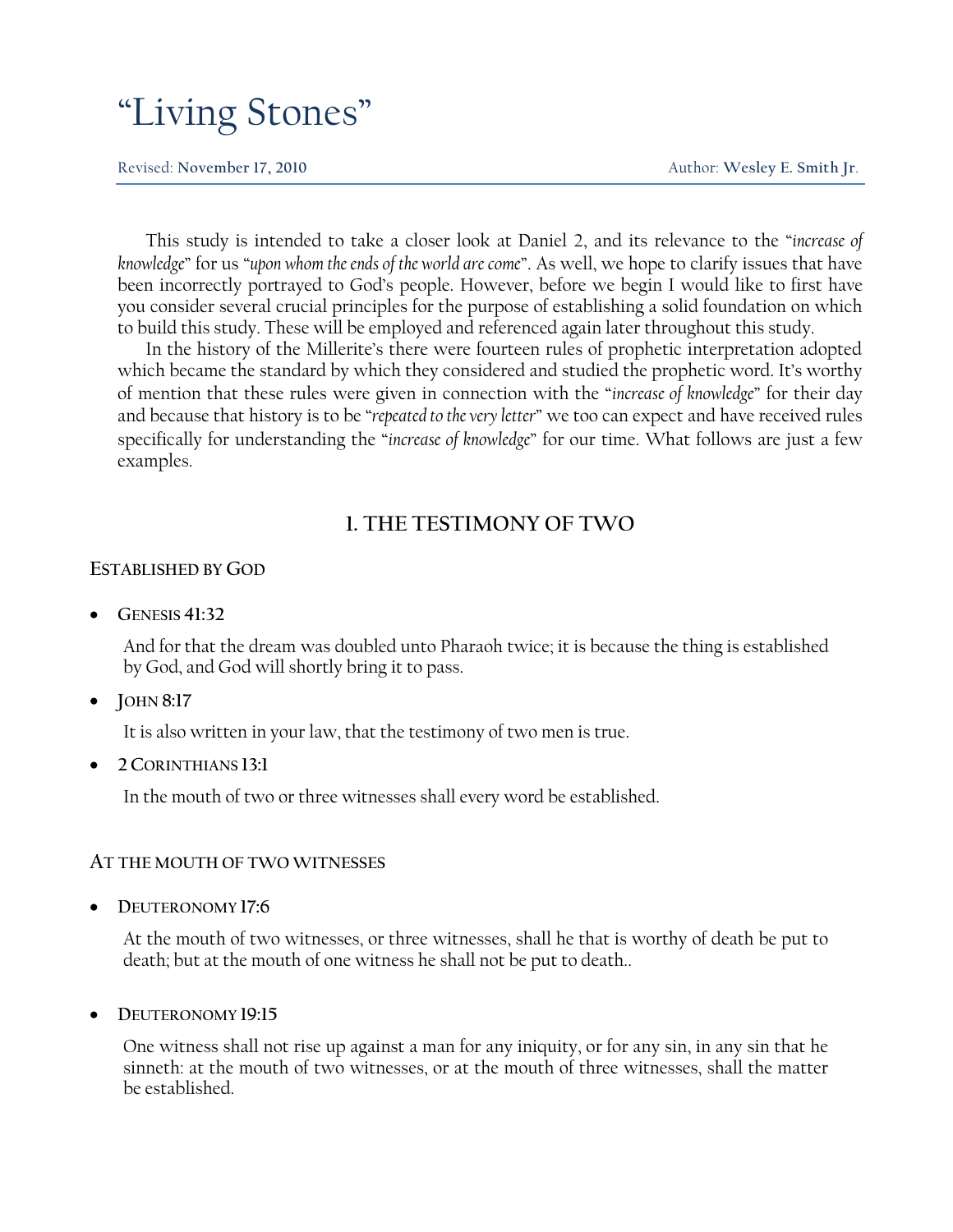# "Living Stones"

Revised: **November 17, 2010** Author: **Wesley E. Smith Jr**.

This study is intended to take a closer look at Daniel 2, and its relevance to the "*increase of knowledge*" for us "upon whom the ends of the world are come". As well, we hope to clarify issues that have been incorrectly portrayed to God's people. However, before we begin I would like to first have you consider several crucial principles for the purpose of establishing a solid foundation on which to build this study. These will be employed and referenced again later throughout this study.

In the history of the Millerite's there were fourteen rules of prophetic interpretation adopted which became the standard by which they considered and studied the prophetic word. It's worthy of mention that these rules were given in connection with the "*increase of knowledge*" for their day and because that history is to be "repeated to the very letter" we too can expect and have received rules specifically for understanding the "*increase of knowledge*" for our time. What follows are just a few examples.

# **1. THE TESTIMONY OF TWO**

# **ESTABLISHED BY GOD**

**GENESIS 41:32**

And for that the dream was doubled unto Pharaoh twice; it is because the thing is established by God, and God will shortly bring it to pass.

**JOHN 8:17**

It is also written in your law, that the testimony of two men is true.

**2 CORINTHIANS 13:1**

In the mouth of two or three witnesses shall every word be established.

# **AT THE MOUTH OF TWO WITNESSES**

**DEUTERONOMY 17:6**

At the mouth of two witnesses, or three witnesses, shall he that is worthy of death be put to death; but at the mouth of one witness he shall not be put to death..

**DEUTERONOMY 19:15**

One witness shall not rise up against a man for any iniquity, or for any sin, in any sin that he sinneth: at the mouth of two witnesses, or at the mouth of three witnesses, shall the matter be established.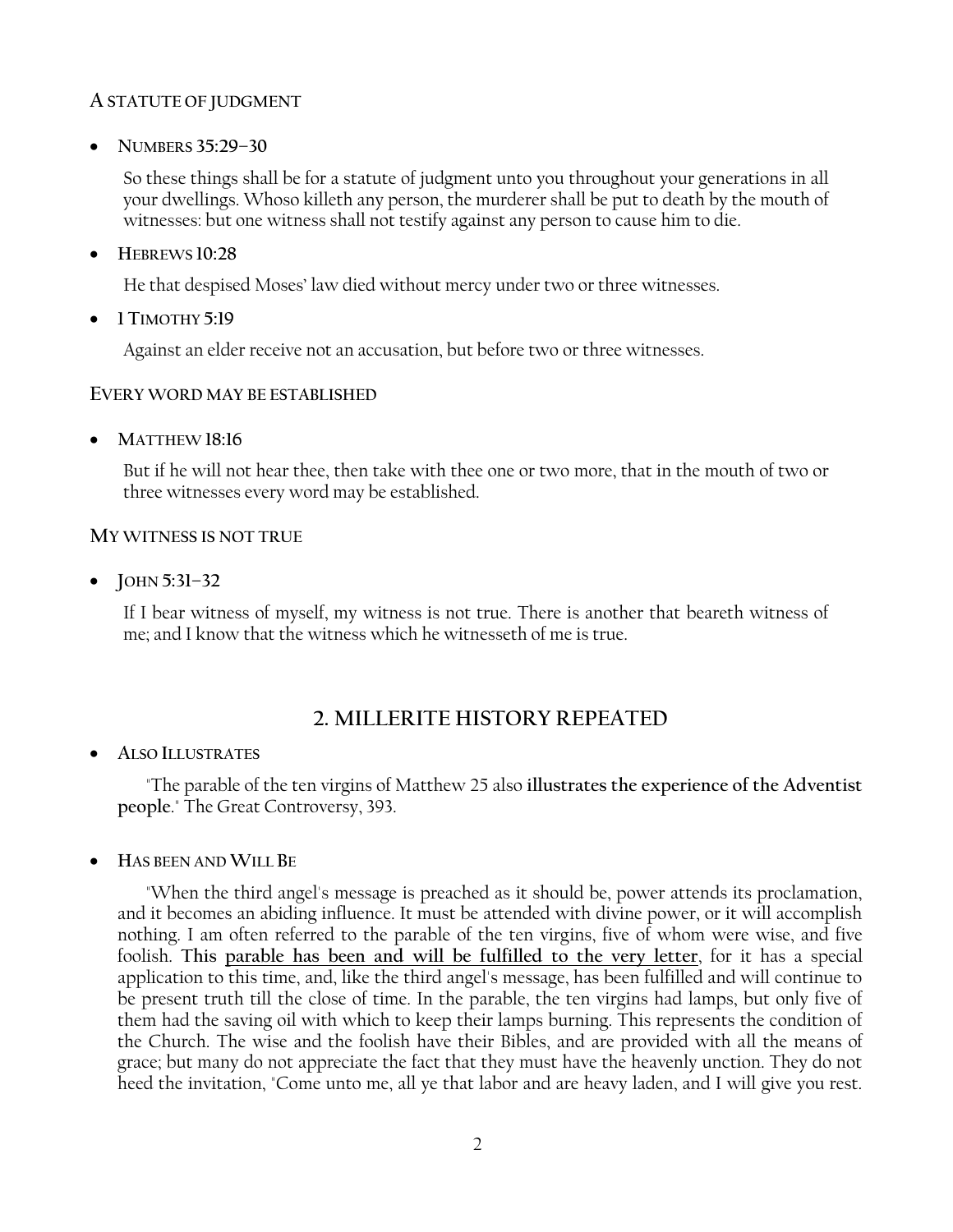# **A STATUTE OF JUDGMENT**

**NUMBERS 35:29–30**

So these things shall be for a statute of judgment unto you throughout your generations in all your dwellings. Whoso killeth any person, the murderer shall be put to death by the mouth of witnesses: but one witness shall not testify against any person to cause him to die.

**HEBREWS 10:28**

He that despised Moses' law died without mercy under two or three witnesses.

**1 TIMOTHY 5:19**

Against an elder receive not an accusation, but before two or three witnesses.

# **EVERY WORD MAY BE ESTABLISHED**

**MATTHEW 18:16**

But if he will not hear thee, then take with thee one or two more, that in the mouth of two or three witnesses every word may be established.

# **MY WITNESS IS NOT TRUE**

**JOHN 5:31–32**

If I bear witness of myself, my witness is not true. There is another that beareth witness of me; and I know that the witness which he witnesseth of me is true.

# **2. MILLERITE HISTORY REPEATED**

**ALSO ILLUSTRATES**

"The parable of the ten virgins of Matthew 25 also **illustrates the experience of the Adventist people**." The Great Controversy, 393.

**HAS BEEN AND WILL BE**

"When the third angel's message is preached as it should be, power attends its proclamation, and it becomes an abiding influence. It must be attended with divine power, or it will accomplish nothing. I am often referred to the parable of the ten virgins, five of whom were wise, and five foolish. **This parable has been and will be fulfilled to the very letter**, for it has a special application to this time, and, like the third angel's message, has been fulfilled and will continue to be present truth till the close of time. In the parable, the ten virgins had lamps, but only five of them had the saving oil with which to keep their lamps burning. This represents the condition of the Church. The wise and the foolish have their Bibles, and are provided with all the means of grace; but many do not appreciate the fact that they must have the heavenly unction. They do not heed the invitation, "Come unto me, all ye that labor and are heavy laden, and I will give you rest.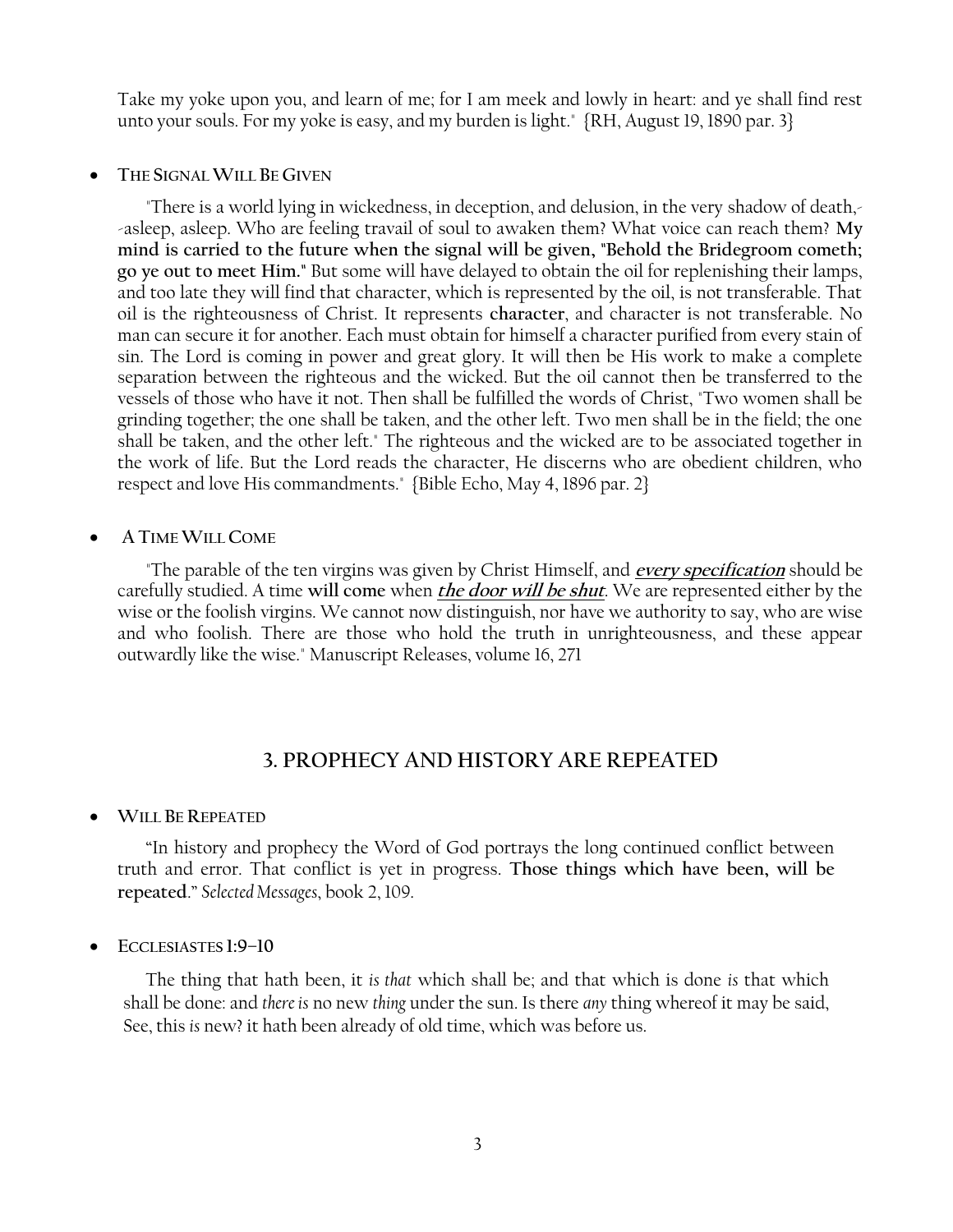Take my yoke upon you, and learn of me; for I am meek and lowly in heart: and ye shall find rest unto your souls. For my yoke is easy, and my burden is light." {RH, August 19, 1890 par. 3}

#### **THE SIGNAL WILL BE GIVEN**

"There is a world lying in wickedness, in deception, and delusion, in the very shadow of death,- -asleep, asleep. Who are feeling travail of soul to awaken them? What voice can reach them? **My mind is carried to the future when the signal will be given, "Behold the Bridegroom cometh; go ye out to meet Him."** But some will have delayed to obtain the oil for replenishing their lamps, and too late they will find that character, which is represented by the oil, is not transferable. That oil is the righteousness of Christ. It represents **character**, and character is not transferable. No man can secure it for another. Each must obtain for himself a character purified from every stain of sin. The Lord is coming in power and great glory. It will then be His work to make a complete separation between the righteous and the wicked. But the oil cannot then be transferred to the vessels of those who have it not. Then shall be fulfilled the words of Christ, "Two women shall be grinding together; the one shall be taken, and the other left. Two men shall be in the field; the one shall be taken, and the other left." The righteous and the wicked are to be associated together in the work of life. But the Lord reads the character, He discerns who are obedient children, who respect and love His commandments." {Bible Echo, May 4, 1896 par. 2}

### **A TIME WILL COME**

"The parable of the ten virgins was given by Christ Himself, and **every specification** should be carefully studied. A time **will come** when **the door will be shut**. We are represented either by the wise or the foolish virgins. We cannot now distinguish, nor have we authority to say, who are wise and who foolish. There are those who hold the truth in unrighteousness, and these appear outwardly like the wise." Manuscript Releases, volume 16, 271

# **3. PROPHECY AND HISTORY ARE REPEATED**

### **WILL BE REPEATED**

―In history and prophecy the Word of God portrays the long continued conflict between truth and error. That conflict is yet in progress. **Those things which have been, will be repeated**.‖ *Selected Messages*, book 2, 109.

**ECCLESIASTES 1:9–10**

The thing that hath been, it *is that* which shall be; and that which is done *is* that which shall be done: and *there is* no new *thing* under the sun. Is there *any* thing whereof it may be said, See, this *is* new? it hath been already of old time, which was before us.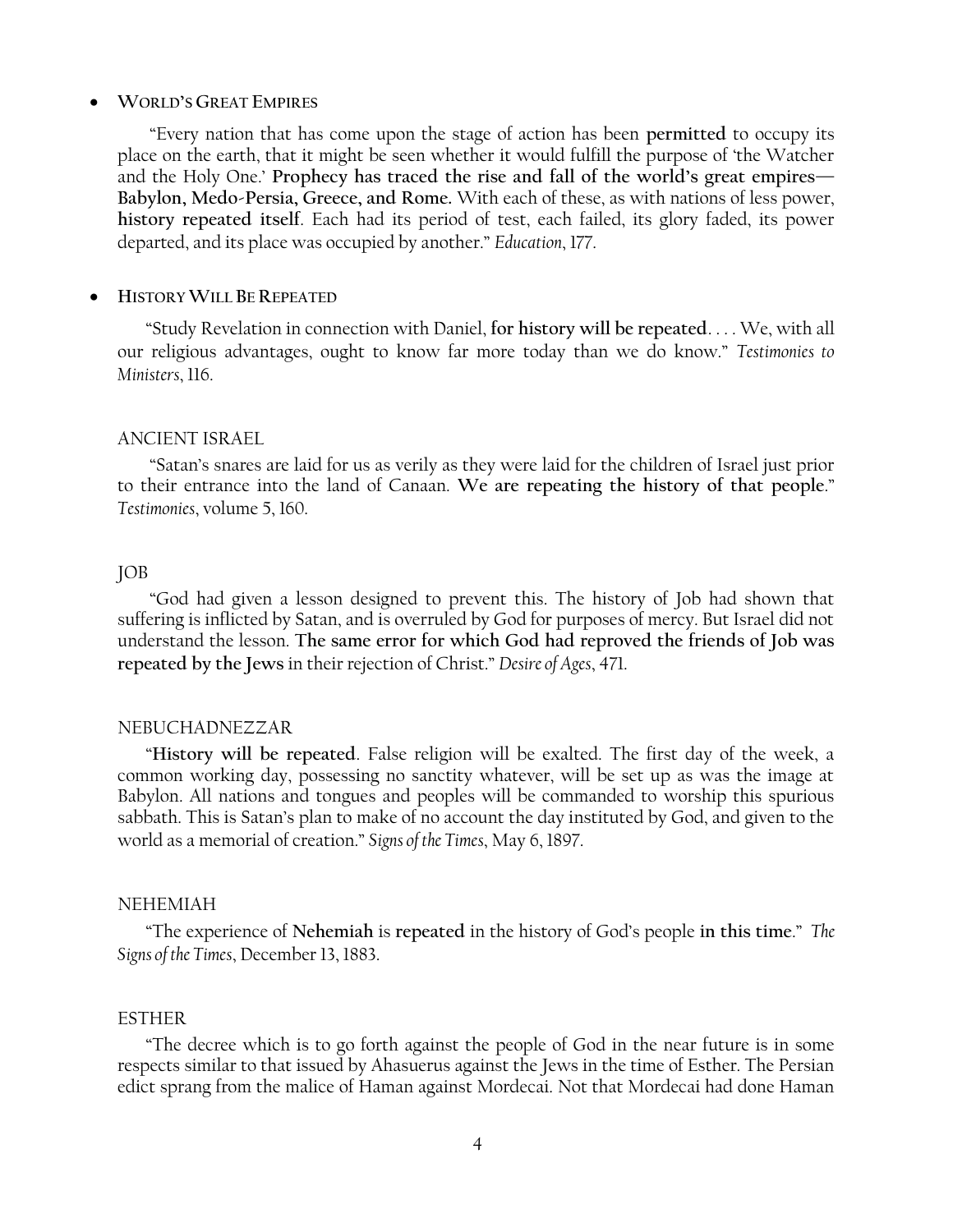### **WORLD'S GREAT EMPIRES**

―Every nation that has come upon the stage of action has been **permitted** to occupy its place on the earth, that it might be seen whether it would fulfill the purpose of 'the Watcher' and the Holy One.' **Prophecy has traced the rise and fall of the world's great empires— Babylon, Medo-Persia, Greece, and Rome.** With each of these, as with nations of less power, **history repeated itself**. Each had its period of test, each failed, its glory faded, its power departed, and its place was occupied by another.‖ *Education*, 177.

#### **HISTORY WILL BE REPEATED**

―Study Revelation in connection with Daniel, **for history will be repeated**. . . . We, with all our religious advantages, ought to know far more today than we do know.‖ *Testimonies to Ministers*, 116.

#### ANCIENT ISRAEL

―Satan's snares are laid for us as verily as they were laid for the children of Israel just prior to their entrance into the land of Canaan. We are repeating the history of that people." *Testimonies*, volume 5, 160.

# JOB

―God had given a lesson designed to prevent this. The history of Job had shown that suffering is inflicted by Satan, and is overruled by God for purposes of mercy. But Israel did not understand the lesson. **The same error for which God had reproved the friends of Job was repeated by the Jews** in their rejection of Christ.‖ *Desire of Ages*, 471.

### NEBUCHADNEZZAR

―**History will be repeated**. False religion will be exalted. The first day of the week, a common working day, possessing no sanctity whatever, will be set up as was the image at Babylon. All nations and tongues and peoples will be commanded to worship this spurious sabbath. This is Satan's plan to make of no account the day instituted by God, and given to the world as a memorial of creation.‖ *Signs of the Times*, May 6, 1897.

#### NEHEMIAH

―The experience of **Nehemiah** is **repeated** in the history of God's people **in this time**.‖ *The Signs of the Times*, December 13, 1883.

### ESTHER

―The decree which is to go forth against the people of God in the near future is in some respects similar to that issued by Ahasuerus against the Jews in the time of Esther. The Persian edict sprang from the malice of Haman against Mordecai. Not that Mordecai had done Haman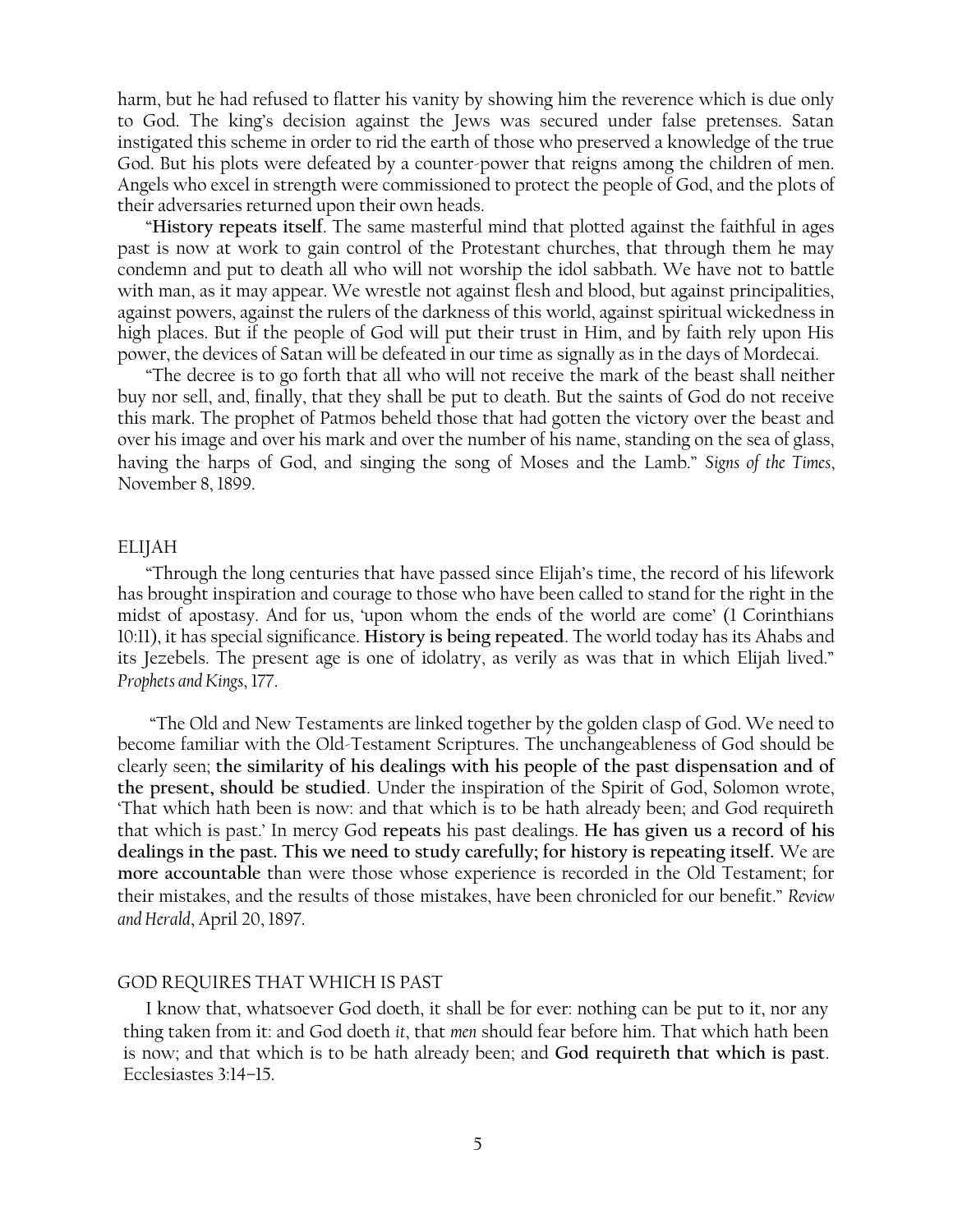harm, but he had refused to flatter his vanity by showing him the reverence which is due only to God. The king's decision against the Jews was secured under false pretenses. Satan instigated this scheme in order to rid the earth of those who preserved a knowledge of the true God. But his plots were defeated by a counter-power that reigns among the children of men. Angels who excel in strength were commissioned to protect the people of God, and the plots of their adversaries returned upon their own heads.

―**History repeats itself**. The same masterful mind that plotted against the faithful in ages past is now at work to gain control of the Protestant churches, that through them he may condemn and put to death all who will not worship the idol sabbath. We have not to battle with man, as it may appear. We wrestle not against flesh and blood, but against principalities, against powers, against the rulers of the darkness of this world, against spiritual wickedness in high places. But if the people of God will put their trust in Him, and by faith rely upon His power, the devices of Satan will be defeated in our time as signally as in the days of Mordecai.

―The decree is to go forth that all who will not receive the mark of the beast shall neither buy nor sell, and, finally, that they shall be put to death. But the saints of God do not receive this mark. The prophet of Patmos beheld those that had gotten the victory over the beast and over his image and over his mark and over the number of his name, standing on the sea of glass, having the harps of God, and singing the song of Moses and the Lamb." *Signs of the Times*, November 8, 1899.

#### ELIJAH

―Through the long centuries that have passed since Elijah's time, the record of his lifework has brought inspiration and courage to those who have been called to stand for the right in the midst of apostasy. And for us, 'upon whom the ends of the world are come' (1 Corinthians 10:11), it has special significance. **History is being repeated**. The world today has its Ahabs and its Jezebels. The present age is one of idolatry, as verily as was that in which Elijah lived." *Prophets and Kings*, 177.

―The Old and New Testaments are linked together by the golden clasp of God. We need to become familiar with the Old-Testament Scriptures. The unchangeableness of God should be clearly seen; **the similarity of his dealings with his people of the past dispensation and of the present, should be studied**. Under the inspiration of the Spirit of God, Solomon wrote, ‗That which hath been is now: and that which is to be hath already been; and God requireth that which is past.' In mercy God **repeats** his past dealings. **He has given us a record of his dealings in the past. This we need to study carefully; for history is repeating itself.** We are **more accountable** than were those whose experience is recorded in the Old Testament; for their mistakes, and the results of those mistakes, have been chronicled for our benefit.‖ *Review and Herald*, April 20, 1897.

#### GOD REQUIRES THAT WHICH IS PAST

I know that, whatsoever God doeth, it shall be for ever: nothing can be put to it, nor any thing taken from it: and God doeth *it*, that *men* should fear before him. That which hath been is now; and that which is to be hath already been; and **God requireth that which is past**. Ecclesiastes 3:14–15.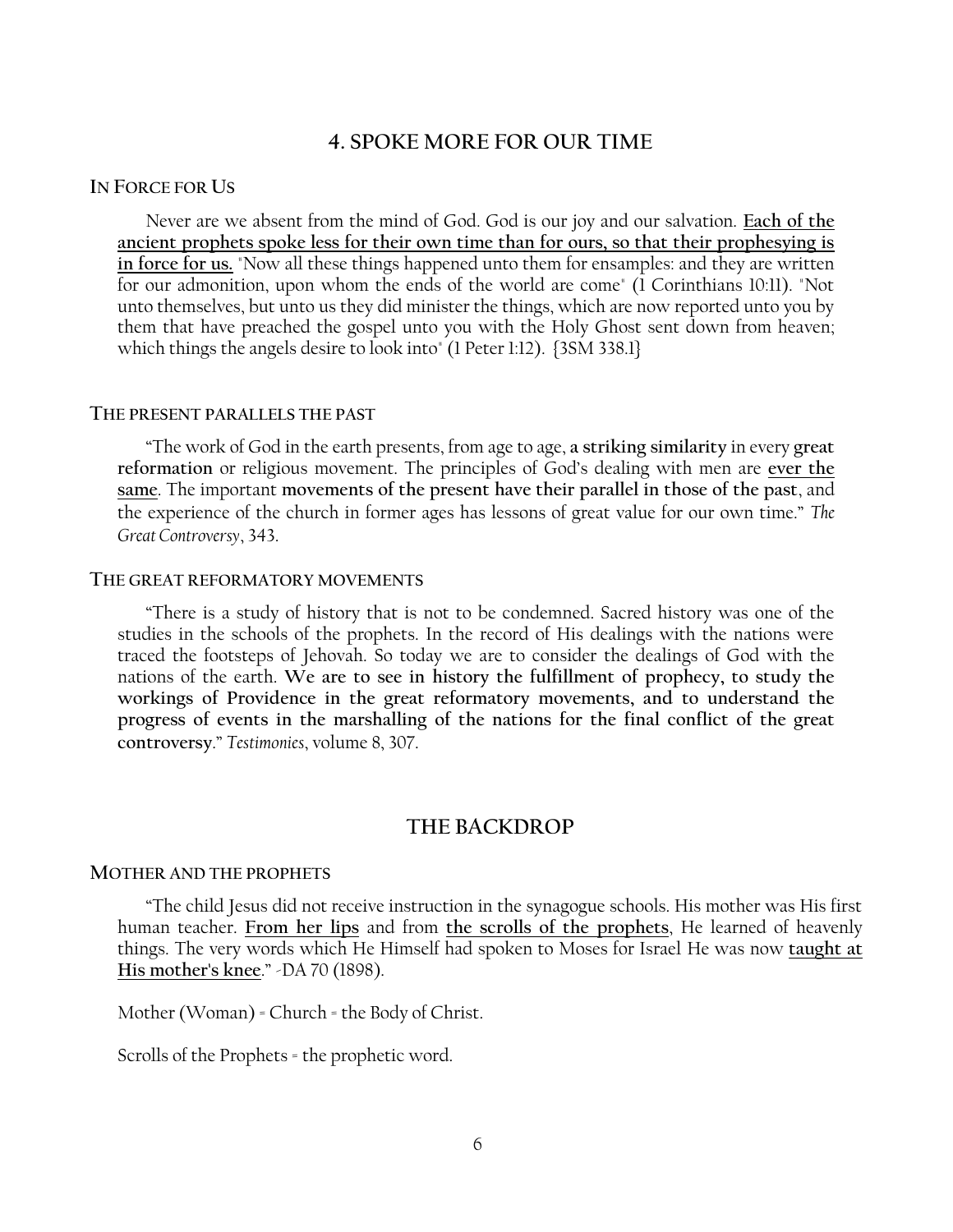# **4. SPOKE MORE FOR OUR TIME**

### **IN FORCE FOR US**

Never are we absent from the mind of God. God is our joy and our salvation. **Each of the ancient prophets spoke less for their own time than for ours, so that their prophesying is in force for us.** "Now all these things happened unto them for ensamples: and they are written for our admonition, upon whom the ends of the world are come" (1 Corinthians 10:11). "Not unto themselves, but unto us they did minister the things, which are now reported unto you by them that have preached the gospel unto you with the Holy Ghost sent down from heaven; which things the angels desire to look into" (1 Peter 1:12). {3SM 338.1}

#### **THE PRESENT PARALLELS THE PAST**

―The work of God in the earth presents, from age to age, **a striking similarity** in every **great reformation** or religious movement. The principles of God's dealing with men are **ever the same**. The important **movements of the present have their parallel in those of the past**, and the experience of the church in former ages has lessons of great value for our own time.‖ *The Great Controversy*, 343.

#### **THE GREAT REFORMATORY MOVEMENTS**

―There is a study of history that is not to be condemned. Sacred history was one of the studies in the schools of the prophets. In the record of His dealings with the nations were traced the footsteps of Jehovah. So today we are to consider the dealings of God with the nations of the earth. **We are to see in history the fulfillment of prophecy, to study the workings of Providence in the great reformatory movements, and to understand the progress of events in the marshalling of the nations for the final conflict of the great controversy**.‖ *Testimonies*, volume 8, 307.

### **THE BACKDROP**

### **MOTHER AND THE PROPHETS**

―The child Jesus did not receive instruction in the synagogue schools. His mother was His first human teacher. **From her lips** and from **the scrolls of the prophets**, He learned of heavenly things. The very words which He Himself had spoken to Moses for Israel He was now **taught at His mother's knee."** -DA 70 (1898).

Mother (Woman) = Church = the Body of Christ.

Scrolls of the Prophets = the prophetic word.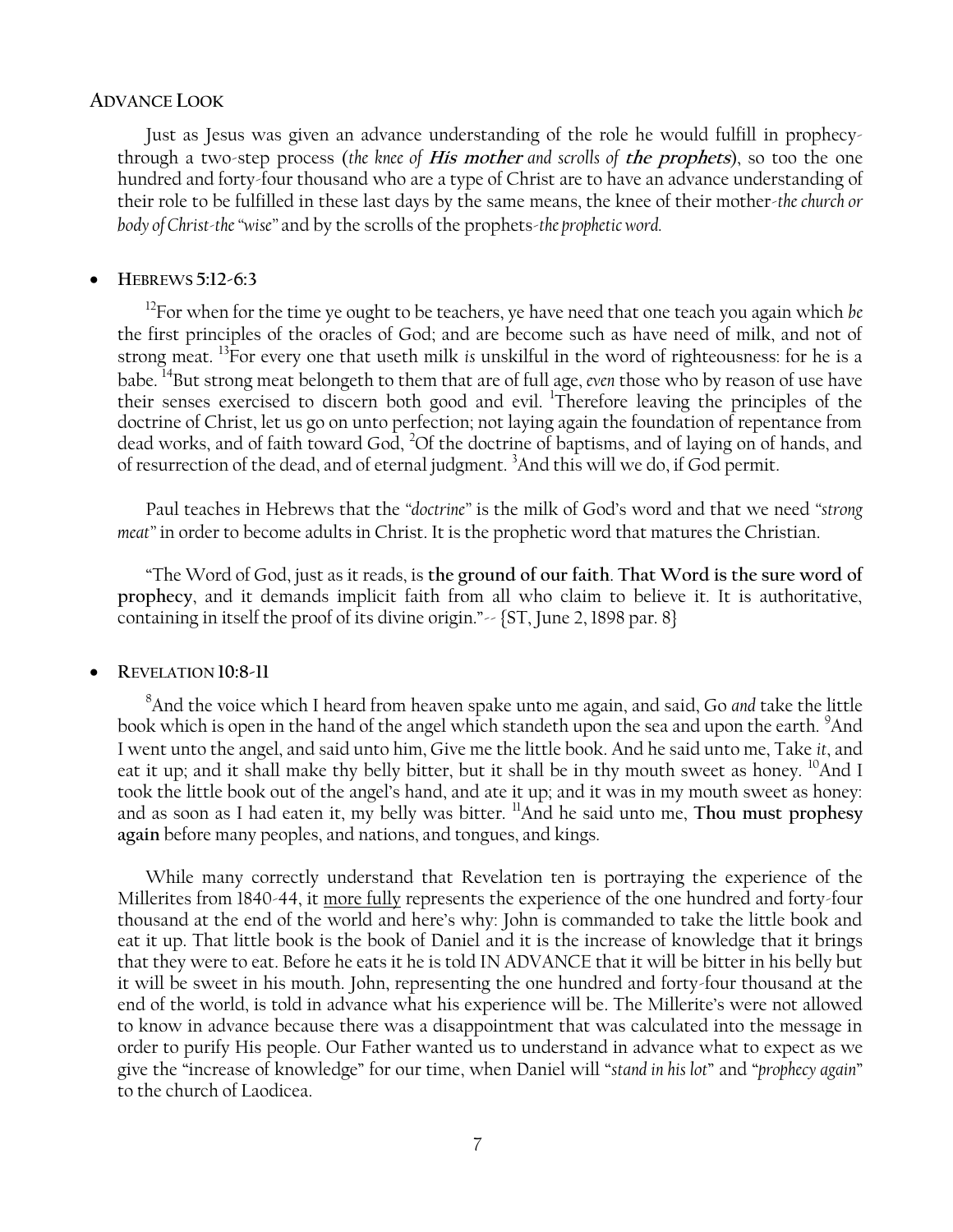### **ADVANCE LOOK**

Just as Jesus was given an advance understanding of the role he would fulfill in prophecythrough a two-step process (*the knee of* **His mother** *and scrolls of* **the prophets**), so too the one hundred and forty-four thousand who are a type of Christ are to have an advance understanding of their role to be fulfilled in these last days by the same means, the knee of their mother-*the church or body of Christ-the ―wise‖* and by the scrolls of the prophets-*the prophetic word.*

### **HEBREWS 5:12-6:3**

<sup>12</sup>For when for the time ye ought to be teachers, ye have need that one teach you again which *be* the first principles of the oracles of God; and are become such as have need of milk, and not of strong meat. <sup>13</sup>For every one that useth milk *is* unskilful in the word of righteousness: for he is a babe. <sup>14</sup>But strong meat belongeth to them that are of full age, *even* those who by reason of use have their senses exercised to discern both good and evil. <sup>1</sup>Therefore leaving the principles of the doctrine of Christ, let us go on unto perfection; not laying again the foundation of repentance from dead works, and of faith toward God, <sup>2</sup>Of the doctrine of baptisms, and of laying on of hands, and of resurrection of the dead, and of eternal judgment. <sup>3</sup>And this will we do, if God permit.

Paul teaches in Hebrews that the "*doctrine*" is the milk of God's word and that we need "strong *meat*" in order to become adults in Christ. It is the prophetic word that matures the Christian.

―The Word of God, just as it reads, is **the ground of our faith**. **That Word is the sure word of prophecy**, and it demands implicit faith from all who claim to believe it. It is authoritative, containing in itself the proof of its divine origin." $\sim$  {ST, June 2, 1898 par. 8}

### **REVELATION 10:8-11**

<sup>8</sup>And the voice which I heard from heaven spake unto me again, and said, Go *and* take the little book which is open in the hand of the angel which standeth upon the sea and upon the earth. <sup>9</sup>And I went unto the angel, and said unto him, Give me the little book. And he said unto me, Take *it*, and eat it up; and it shall make thy belly bitter, but it shall be in thy mouth sweet as honey.  $^{10}$ And I took the little book out of the angel's hand, and ate it up; and it was in my mouth sweet as honey: and as soon as I had eaten it, my belly was bitter. <sup>11</sup>And he said unto me, **Thou must prophesy again** before many peoples, and nations, and tongues, and kings.

While many correctly understand that Revelation ten is portraying the experience of the Millerites from 1840-44, it more fully represents the experience of the one hundred and forty-four thousand at the end of the world and here's why: John is commanded to take the little book and eat it up. That little book is the book of Daniel and it is the increase of knowledge that it brings that they were to eat. Before he eats it he is told IN ADVANCE that it will be bitter in his belly but it will be sweet in his mouth. John, representing the one hundred and forty-four thousand at the end of the world, is told in advance what his experience will be. The Millerite's were not allowed to know in advance because there was a disappointment that was calculated into the message in order to purify His people. Our Father wanted us to understand in advance what to expect as we give the "increase of knowledge" for our time, when Daniel will "stand in his lot" and "prophecy again" to the church of Laodicea.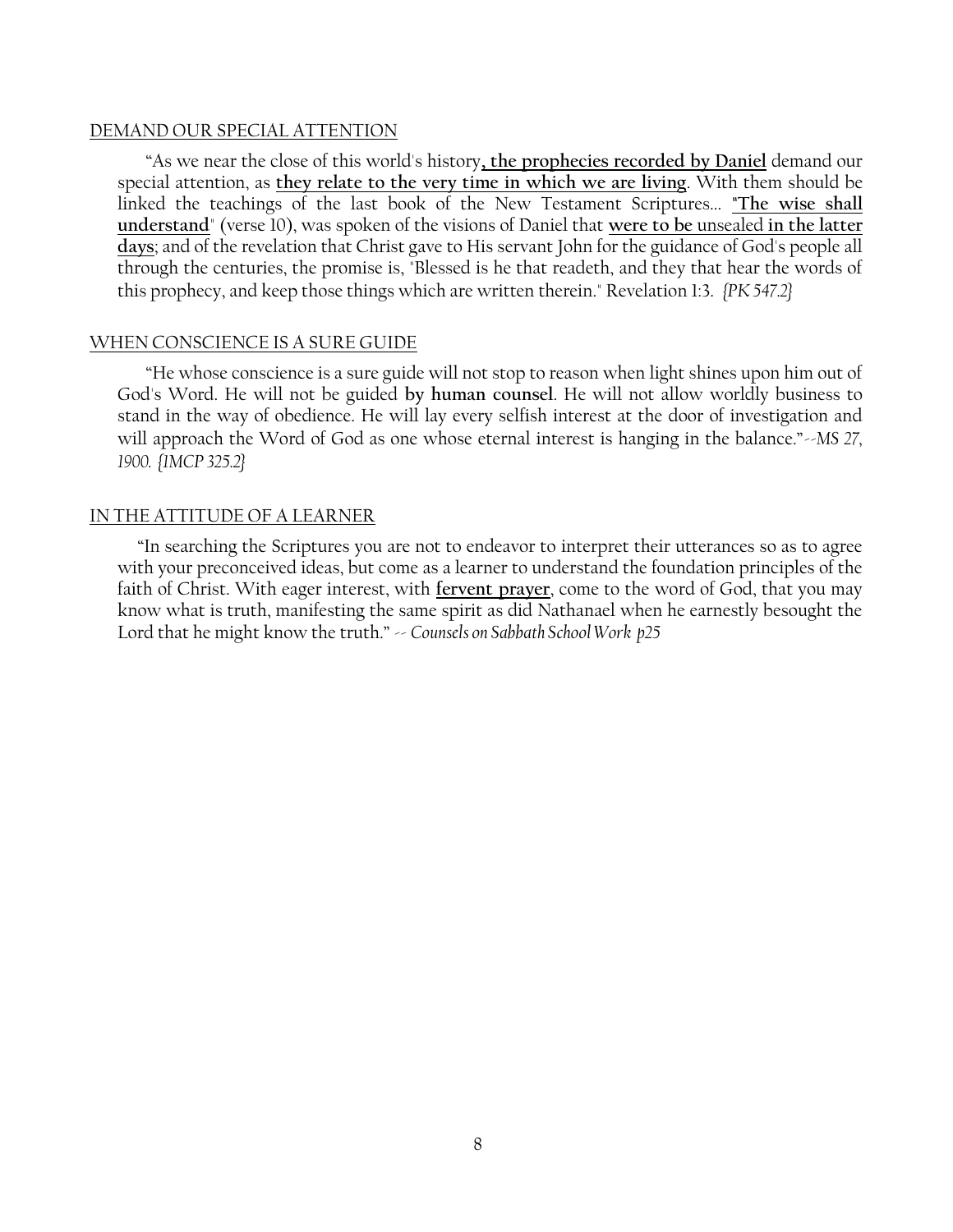### DEMAND OUR SPECIAL ATTENTION

―As we near the close of this world's history**, the prophecies recorded by Daniel** demand our special attention, as **they relate to the very time in which we are living**. With them should be linked the teachings of the last book of the New Testament Scriptures... **"The wise shall understand**" (verse 10), was spoken of the visions of Daniel that **were to be** unsealed **in the latter days**; and of the revelation that Christ gave to His servant John for the guidance of God's people all through the centuries, the promise is, "Blessed is he that readeth, and they that hear the words of this prophecy, and keep those things which are written therein." Revelation 1:3. *{PK 547.2}*

### WHEN CONSCIENCE IS A SURE GUIDE

―He whose conscience is a sure guide will not stop to reason when light shines upon him out of God's Word. He will not be guided **by human counsel**. He will not allow worldly business to stand in the way of obedience. He will lay every selfish interest at the door of investigation and will approach the Word of God as one whose eternal interest is hanging in the balance."~*MS* 27, *1900. {1MCP 325.2}*

### IN THE ATTITUDE OF A LEARNER

"In searching the Scriptures you are not to endeavor to interpret their utterances so as to agree with your preconceived ideas, but come as a learner to understand the foundation principles of the faith of Christ. With eager interest, with **fervent prayer**, come to the word of God, that you may know what is truth, manifesting the same spirit as did Nathanael when he earnestly besought the Lord that he might know the truth."  $\sim$  *Counsels on Sabbath School Work p25*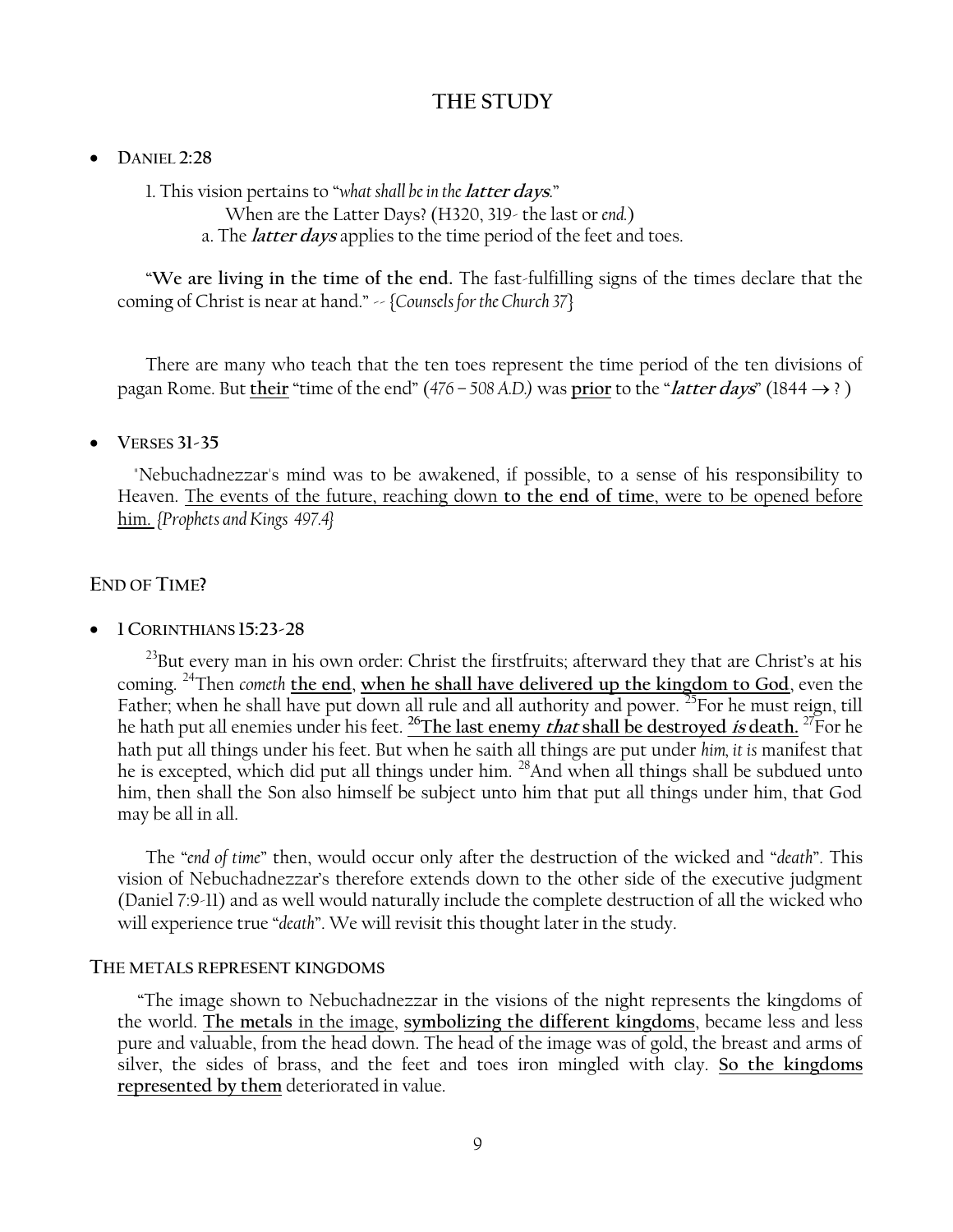# **THE STUDY**

### **DANIEL 2:28**

1. This vision pertains to "what shall be in the *latter days.*"

- When are the Latter Days? (H320, 319- the last or *end.*)
- a. The **latter days** applies to the time period of the feet and toes.

―**We are living in the time of the end.** The fast-fulfilling signs of the times declare that the coming of Christ is near at hand." -- {*Counsels for the Church 37*}

There are many who teach that the ten toes represent the time period of the ten divisions of pagan Rome. But their "time of the end" ( $476 - 508$  A.D.) was prior to the "*latter days*" ( $1844 \rightarrow ?$ )

### **VERSES 31-35**

 "Nebuchadnezzar's mind was to be awakened, if possible, to a sense of his responsibility to Heaven. The events of the future, reaching down **to the end of time**, were to be opened before him. *{Prophets and Kings 497.4}*

# **END OF TIME?**

### **1 CORINTHIANS 15:23-28**

<sup>23</sup>But every man in his own order: Christ the firstfruits; afterward they that are Christ's at his coming. <sup>24</sup>Then *cometh* **the end**, **when he shall have delivered up the kingdom to God**, even the Father; when he shall have put down all rule and all authority and power. <sup>25</sup>For he must reign, till he hath put all enemies under his feet. **<sup>26</sup>The last enemy that shall be destroyed is death.** <sup>27</sup>For he hath put all things under his feet. But when he saith all things are put under *him, it is* manifest that he is excepted, which did put all things under him. <sup>28</sup>And when all things shall be subdued unto him, then shall the Son also himself be subject unto him that put all things under him, that God may be all in all.

The "end of time" then, would occur only after the destruction of the wicked and "death". This vision of Nebuchadnezzar's therefore extends down to the other side of the executive judgment (Daniel 7:9-11) and as well would naturally include the complete destruction of all the wicked who will experience true "death". We will revisit this thought later in the study.

### **THE METALS REPRESENT KINGDOMS**

 ―The image shown to Nebuchadnezzar in the visions of the night represents the kingdoms of the world. **The metals** in the image, **symbolizing the different kingdoms**, became less and less pure and valuable, from the head down. The head of the image was of gold, the breast and arms of silver, the sides of brass, and the feet and toes iron mingled with clay. **So the kingdoms represented by them** deteriorated in value.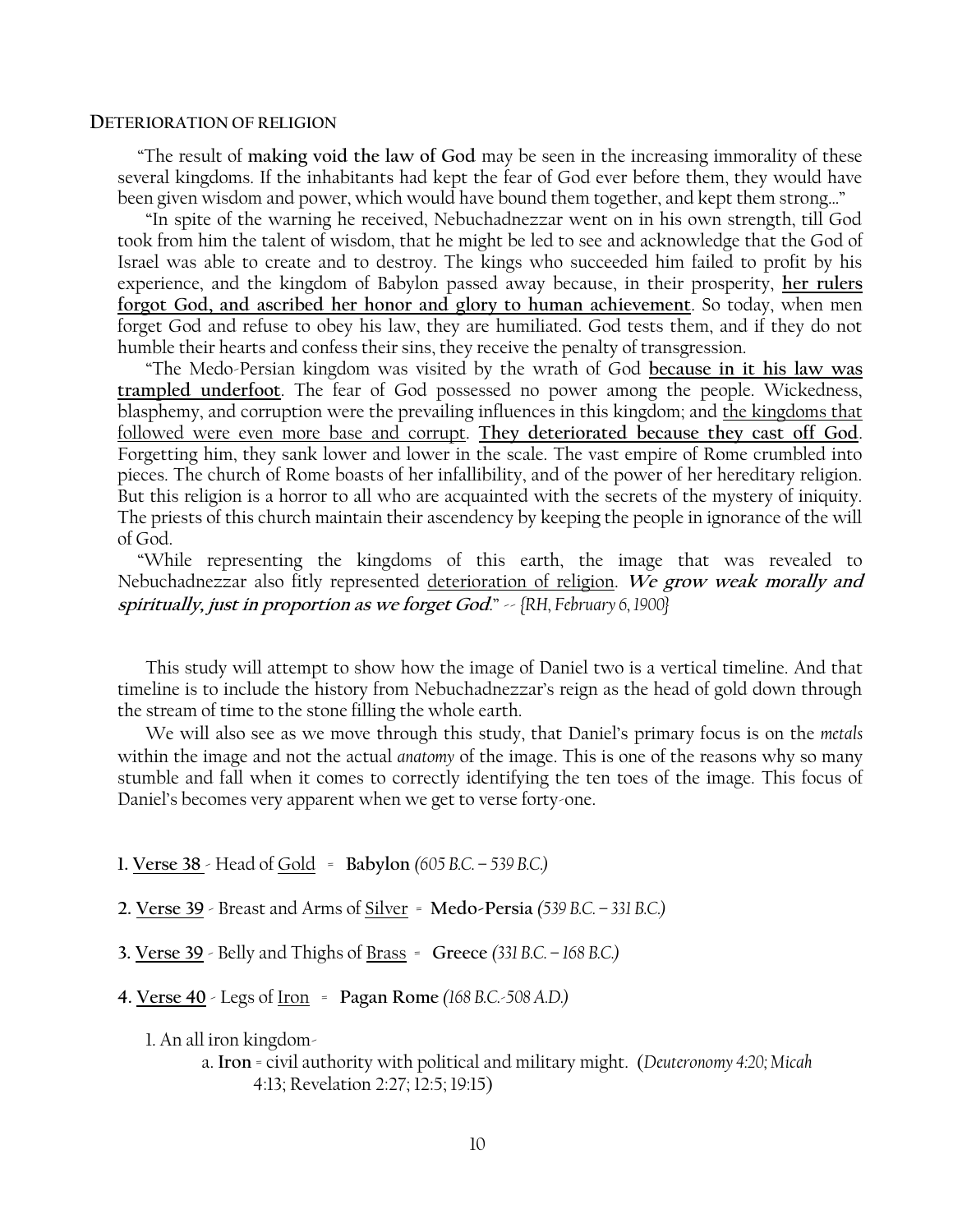#### **DETERIORATION OF RELIGION**

 ―The result of **making void the law of God** may be seen in the increasing immorality of these several kingdoms. If the inhabitants had kept the fear of God ever before them, they would have been given wisdom and power, which would have bound them together, and kept them strong..."

―In spite of the warning he received, Nebuchadnezzar went on in his own strength, till God took from him the talent of wisdom, that he might be led to see and acknowledge that the God of Israel was able to create and to destroy. The kings who succeeded him failed to profit by his experience, and the kingdom of Babylon passed away because, in their prosperity, **her rulers forgot God, and ascribed her honor and glory to human achievement**. So today, when men forget God and refuse to obey his law, they are humiliated. God tests them, and if they do not humble their hearts and confess their sins, they receive the penalty of transgression.

―The Medo-Persian kingdom was visited by the wrath of God **because in it his law was trampled underfoot**. The fear of God possessed no power among the people. Wickedness, blasphemy, and corruption were the prevailing influences in this kingdom; and the kingdoms that followed were even more base and corrupt. **They deteriorated because they cast off God**. Forgetting him, they sank lower and lower in the scale. The vast empire of Rome crumbled into pieces. The church of Rome boasts of her infallibility, and of the power of her hereditary religion. But this religion is a horror to all who are acquainted with the secrets of the mystery of iniquity. The priests of this church maintain their ascendency by keeping the people in ignorance of the will of God.

 ―While representing the kingdoms of this earth, the image that was revealed to Nebuchadnezzar also fitly represented deterioration of religion. **We grow weak morally and spiritually, just in proportion as we forget God**.‖ -- *{RH, February 6, 1900}*

This study will attempt to show how the image of Daniel two is a vertical timeline. And that timeline is to include the history from Nebuchadnezzar's reign as the head of gold down through the stream of time to the stone filling the whole earth.

We will also see as we move through this study, that Daniel's primary focus is on the *metals* within the image and not the actual *anatomy* of the image. This is one of the reasons why so many stumble and fall when it comes to correctly identifying the ten toes of the image. This focus of Daniel's becomes very apparent when we get to verse forty-one.

**1. Verse 38** - Head of Gold = **Babylon** *(605 B.C. – 539 B.C.)*

**2. Verse 39** - Breast and Arms of Silver = **Medo-Persia** *(539 B.C. – 331 B.C.)*

**3. Verse 39** - Belly and Thighs of Brass = **Greece** *(331 B.C. – 168 B.C.)*

**4. Verse 40** - Legs of Iron = **Pagan Rome** *(168 B.C.-508 A.D.)*

1. An all iron kingdom-

a. **Iron** = civil authority with political and military might. (*Deuteronomy 4:20; Micah* 4:13; Revelation 2:27; 12:5; 19:15)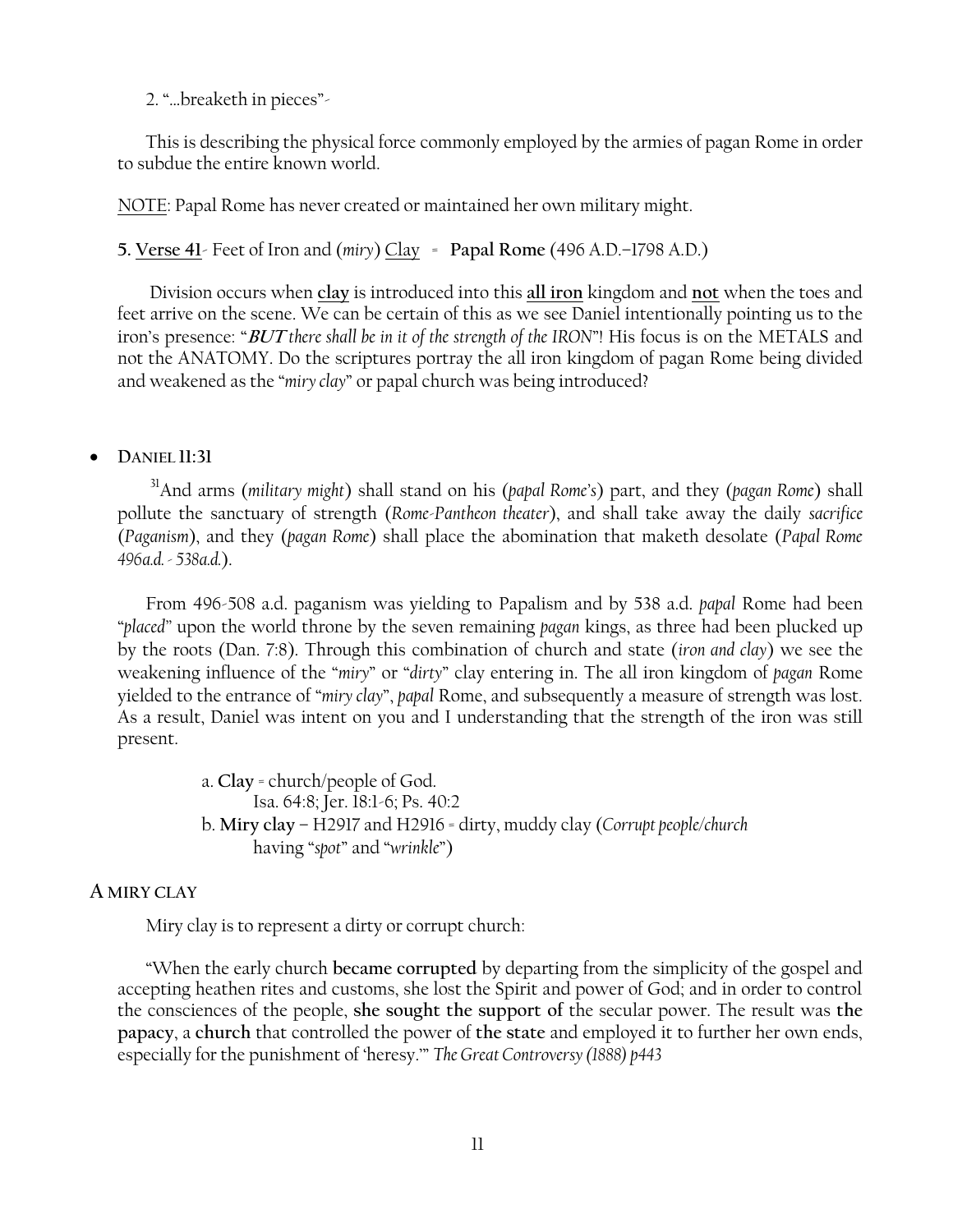2. "...breaketh in pieces"

This is describing the physical force commonly employed by the armies of pagan Rome in order to subdue the entire known world.

NOTE: Papal Rome has never created or maintained her own military might.

**5. Verse 41**- Feet of Iron and (*miry*) Clay = **Papal Rome** (496 A.D.–1798 A.D.)

Division occurs when **clay** is introduced into this **all iron** kingdom and **not** when the toes and feet arrive on the scene. We can be certain of this as we see Daniel intentionally pointing us to the iron's presence: "BUT there shall be in it of the strength of the IRON"! His focus is on the METALS and not the ANATOMY. Do the scriptures portray the all iron kingdom of pagan Rome being divided and weakened as the "*miry clay*" or papal church was being introduced?

# **DANIEL 11:31**

<sup>31</sup>And arms (*military might*) shall stand on his (*papal Rome's*) part, and they (*pagan Rome*) shall pollute the sanctuary of strength (*Rome-Pantheon theater*), and shall take away the daily *sacrifice*  (*Paganism*), and they (*pagan Rome*) shall place the abomination that maketh desolate (*Papal Rome 496a.d. - 538a.d.*).

From 496-508 a.d. paganism was yielding to Papalism and by 538 a.d. *papal* Rome had been ―*placed‖* upon the world throne by the seven remaining *pagan* kings, as three had been plucked up by the roots (Dan. 7:8). Through this combination of church and state (*iron and clay*) we see the weakening influence of the "miry" or "dirty" clay entering in. The all iron kingdom of *pagan* Rome yielded to the entrance of "*miry clay*", *papal* Rome, and subsequently a measure of strength was lost. As a result, Daniel was intent on you and I understanding that the strength of the iron was still present.

> a. **Clay** = church/people of God. Isa. 64:8; Jer. 18:1-6; Ps. 40:2 b. **Miry clay** – H2917 and H2916 = dirty, muddy clay (*Corrupt people/church* having "spot" and "wrinkle")

# **A MIRY CLAY**

Miry clay is to represent a dirty or corrupt church:

―When the early church **became corrupted** by departing from the simplicity of the gospel and accepting heathen rites and customs, she lost the Spirit and power of God; and in order to control the consciences of the people, **she sought the support of** the secular power. The result was **the papacy**, a **church** that controlled the power of **the state** and employed it to further her own ends, especially for the punishment of 'heresy.'" *The Great Controversy (1888) p443*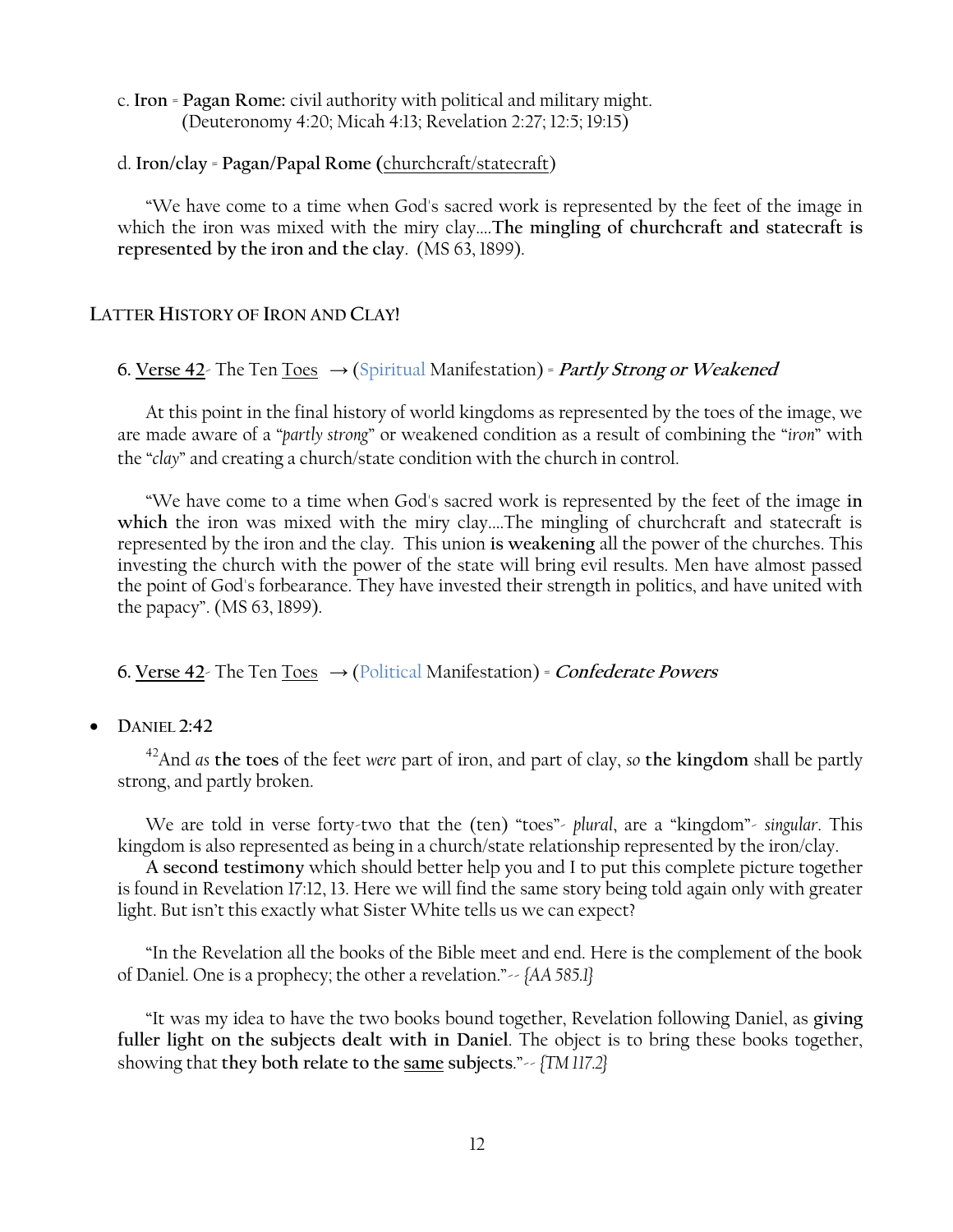c. **Iron** = **Pagan Rome:** civil authority with political and military might. (Deuteronomy 4:20; Micah 4:13; Revelation 2:27; 12:5; 19:15)

# d. **Iron/clay** = **Pagan/Papal Rome (**churchcraft/statecraft)

―We have come to a time when God's sacred work is represented by the feet of the image in which the iron was mixed with the miry clay....**The mingling of churchcraft and statecraft is represented by the iron and the clay**. (MS 63, 1899).

# **LATTER HISTORY OF IRON AND CLAY!**

# **6. Verse 42**- The Ten Toes  $\rightarrow$  (Spiritual Manifestation) = Partly Strong or Weakened

At this point in the final history of world kingdoms as represented by the toes of the image, we are made aware of a "partly strong" or weakened condition as a result of combining the "iron" with the "*clay*" and creating a church/state condition with the church in control.

―We have come to a time when God's sacred work is represented by the feet of the image **in**  which the iron was mixed with the miry clay....The mingling of churchcraft and statecraft is represented by the iron and the clay. This union **is weakening** all the power of the churches. This investing the church with the power of the state will bring evil results. Men have almost passed the point of God's forbearance. They have invested their strength in politics, and have united with the papacy". (MS 63, 1899).

**6. Verse 42**- The Ten Toes  $\rightarrow$  (Political Manifestation) = *Confederate Powers* 

# **DANIEL 2:42**

<sup>42</sup>And *as* **the toes** of the feet *were* part of iron, and part of clay, *so* **the kingdom** shall be partly strong, and partly broken.

We are told in verse forty-two that the (ten) "toes"- *plural*, are a "kingdom"- *singular*. This kingdom is also represented as being in a church/state relationship represented by the iron/clay.

**A second testimony** which should better help you and I to put this complete picture together is found in Revelation 17:12, 13. Here we will find the same story being told again only with greater light. But isn't this exactly what Sister White tells us we can expect?

―In the Revelation all the books of the Bible meet and end. Here is the complement of the book of Daniel. One is a prophecy; the other a revelation.‖-- *{AA 585.1}*

―It was my idea to have the two books bound together, Revelation following Daniel, as **giving fuller light on the subjects dealt with in Daniel**. The object is to bring these books together, showing that **they both relate to the same subjects**.‖-- *{TM 117.2}*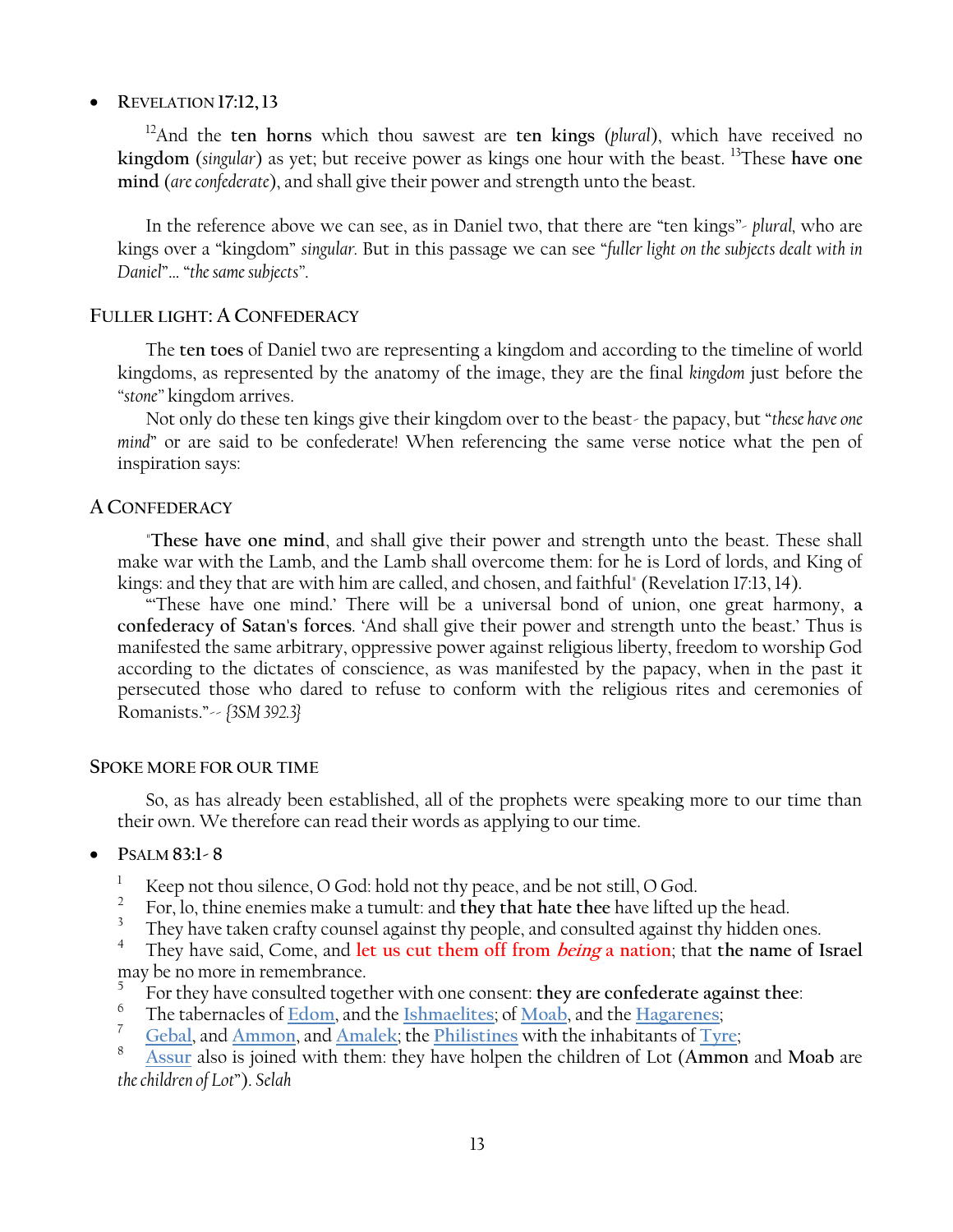# **REVELATION 17:12,13**

<sup>12</sup>And the **ten horns** which thou sawest are **ten kings** (*plural*), which have received no **kingdom** (*singular*) as yet; but receive power as kings one hour with the beast. <sup>13</sup>These **have one mind** (*are confederate*), and shall give their power and strength unto the beast.

In the reference above we can see, as in Daniel two, that there are "ten kings"- *plural*, who are kings over a "kingdom" *singular*. But in this passage we can see "fuller light on the subjects dealt with in *Daniel*‖… ―*the same subjects‖*.

### **FULLER LIGHT: A CONFEDERACY**

The **ten toes** of Daniel two are representing a kingdom and according to the timeline of world kingdoms, as represented by the anatomy of the image, they are the final *kingdom* just before the *―stone‖* kingdom arrives.

Not only do these ten kings give their kingdom over to the beast- the papacy, but "these have one *mind*" or are said to be confederate! When referencing the same verse notice what the pen of inspiration says:

# **A CONFEDERACY**

"**These have one mind**, and shall give their power and strength unto the beast. These shall make war with the Lamb, and the Lamb shall overcome them: for he is Lord of lords, and King of kings: and they that are with him are called, and chosen, and faithful" (Revelation 17:13, 14).

―‗These have one mind.' There will be a universal bond of union, one great harmony, **a confederacy of Satan's forces**. ‗And shall give their power and strength unto the beast.' Thus is manifested the same arbitrary, oppressive power against religious liberty, freedom to worship God according to the dictates of conscience, as was manifested by the papacy, when in the past it persecuted those who dared to refuse to conform with the religious rites and ceremonies of Romanists.‖-- *{3SM 392.3}*

### **SPOKE MORE FOR OUR TIME**

So, as has already been established, all of the prophets were speaking more to our time than their own. We therefore can read their words as applying to our time.

- **PSALM 83:1- 8**
	- <sup>1</sup> Keep not thou silence, O God: hold not thy peace, and be not still, O God.
	- 2 For, lo, thine enemies make a tumult: and **they that hate thee** have lifted up the head.
	- 3 They have taken crafty counsel against thy people, and consulted against thy hidden ones.

4 They have said, Come, and **let us cut them off from being a nation**; that **the name of Israel** may be no more in remembrance.

- 5 For they have consulted together with one consent: **they are confederate against thee**:
- 6 The tabernacles of **Edom**, and the **Ishmaelites**; of **Moab**, and the **Hagarenes**;
- <sup>7</sup> **Gebal**, and **Ammon**, and **Amalek**; the **Philistines** with the inhabitants of **Tyre**;

<sup>8</sup> **Assur** also is joined with them: they have holpen the children of Lot (**Ammon** and **Moab** are *the children of Lot*‖). *Selah*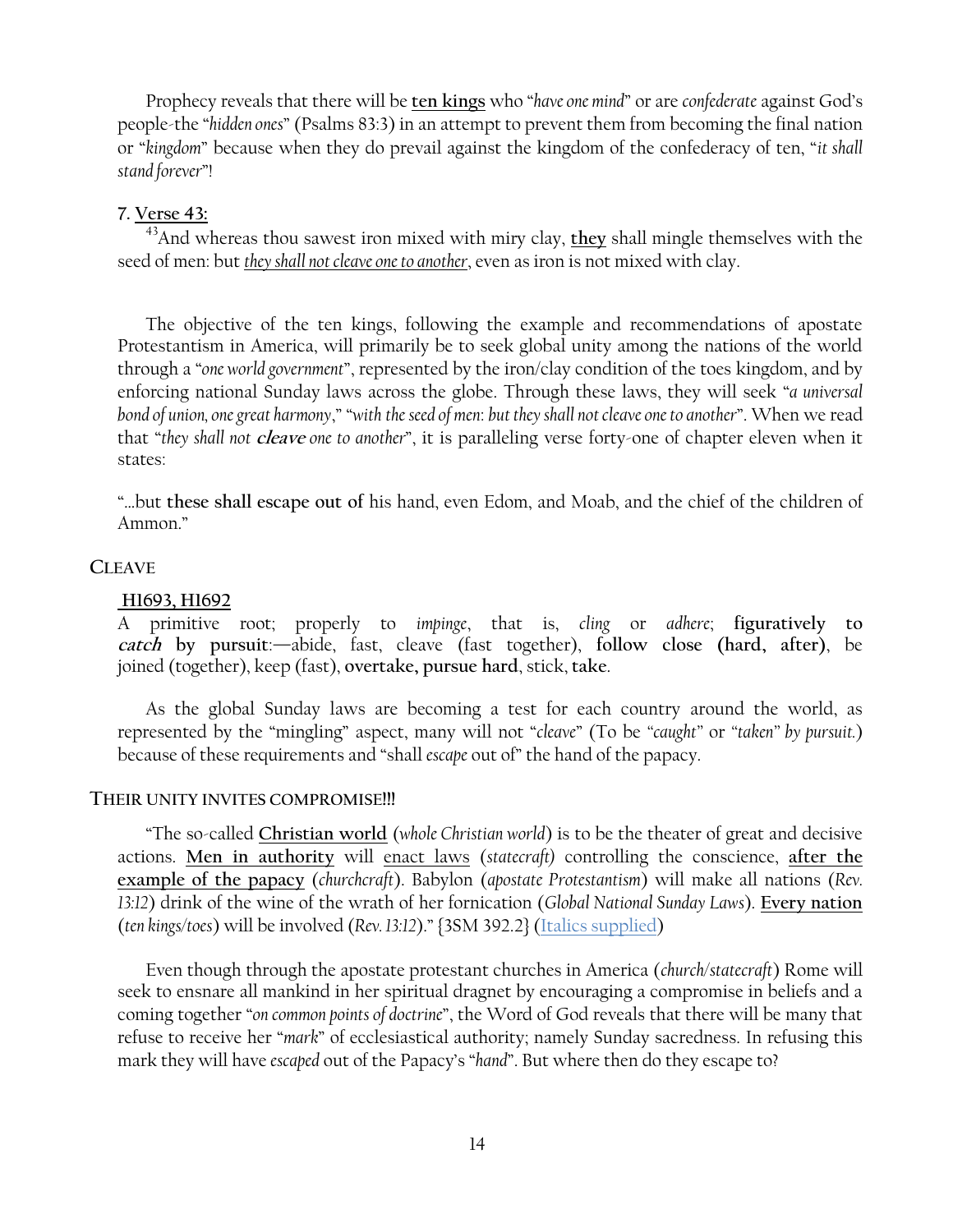Prophecy reveals that there will be ten kings who "have one mind" or are *confederate* against God's people-the ―*hidden ones*‖ (Psalms 83:3) in an attempt to prevent them from becoming the final nation or "kingdom" because when they do prevail against the kingdom of the confederacy of ten, "it shall *stand forever*‖!

# **7. Verse 43:**

<sup>43</sup>And whereas thou sawest iron mixed with miry clay, **they** shall mingle themselves with the seed of men: but *they shall not cleave one to another*, even as iron is not mixed with clay.

The objective of the ten kings, following the example and recommendations of apostate Protestantism in America, will primarily be to seek global unity among the nations of the world through a "one world government", represented by the iron/clay condition of the toes kingdom, and by enforcing national Sunday laws across the globe. Through these laws, they will seek "*a universal bond of union, one great harmony*,‖ ―*with the seed of men*: *but they shall not cleave one to another*‖. When we read that "they shall not *cleave* one to another", it is paralleling verse forty-one of chapter eleven when it states:

―…but **these shall escape out of** his hand, even Edom, and Moab, and the chief of the children of Ammon."

# **CLEAVE**

### **H1693, H1692**

A primitive root; properly to *impinge*, that is, *cling* or *adhere*; **figuratively to catch by pursuit**:—abide, fast, cleave (fast together), **follow close (hard, after)**, be joined (together), keep (fast), **overtake, pursue hard**, stick, **take**.

As the global Sunday laws are becoming a test for each country around the world, as represented by the "mingling" aspect, many will not "*cleave*" (To be "*caught*" or "*taken*" by pursuit.) because of these requirements and "shall *escape* out of" the hand of the papacy.

### **THEIR UNITY INVITES COMPROMISE!!!**

―The so-called **Christian world** (*whole Christian world*) is to be the theater of great and decisive actions. **Men in authority** will enact laws (*statecraft)* controlling the conscience, **after the example of the papacy** (*churchcraft*). Babylon (*apostate Protestantism*) will make all nations (*Rev. 13:12*) drink of the wine of the wrath of her fornication (*Global National Sunday Laws*). **Every nation** (*ten kings/toes*) will be involved (*Rev. 13:12*).‖ {3SM 392.2} (Italics supplied)

Even though through the apostate protestant churches in America (*church/statecraft*) Rome will seek to ensnare all mankind in her spiritual dragnet by encouraging a compromise in beliefs and a coming together "on common points of doctrine", the Word of God reveals that there will be many that refuse to receive her "*mark*" of ecclesiastical authority; namely Sunday sacredness. In refusing this mark they will have *escaped* out of the Papacy's "hand". But where then do they escape to?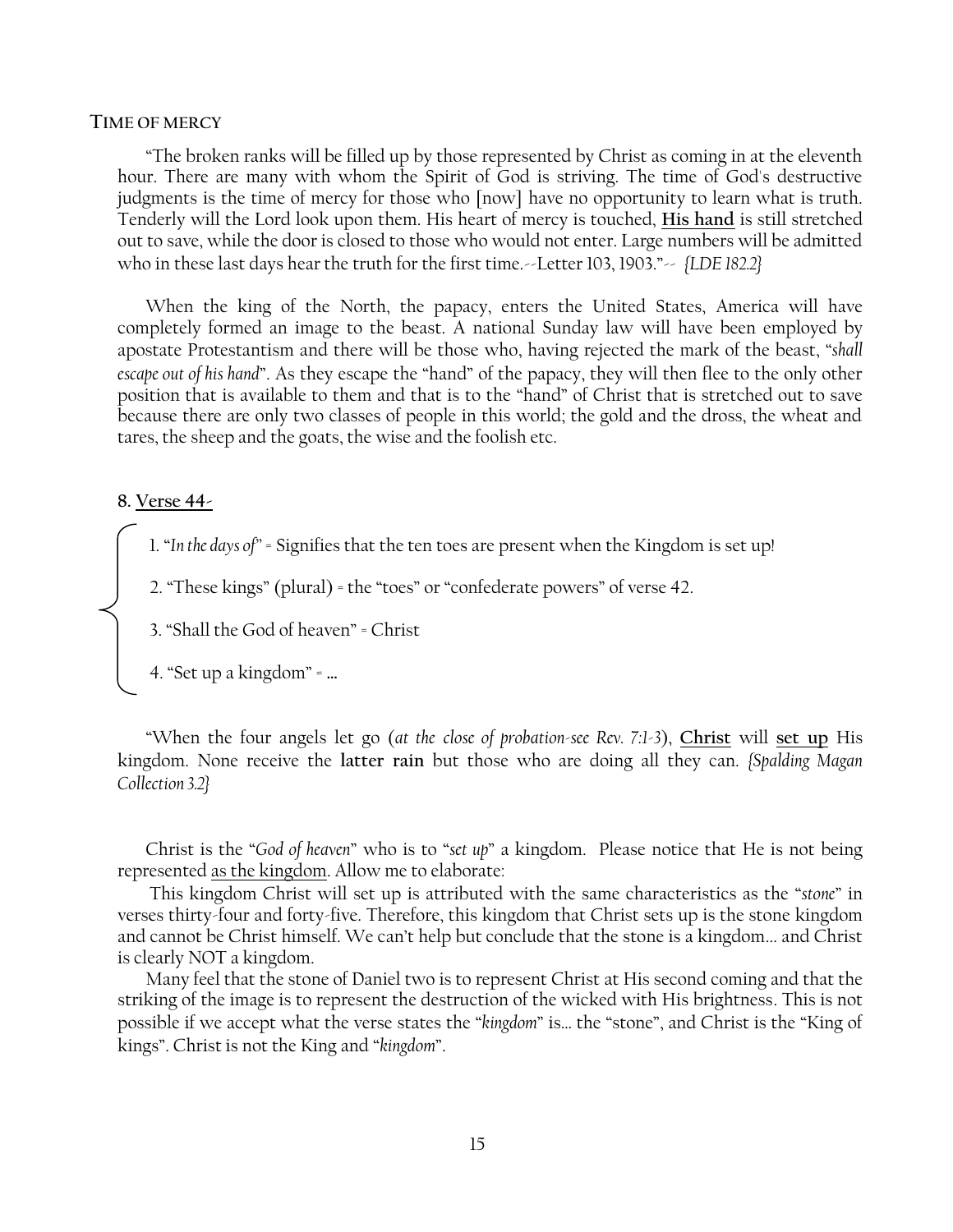### **TIME OF MERCY**

―The broken ranks will be filled up by those represented by Christ as coming in at the eleventh hour. There are many with whom the Spirit of God is striving. The time of God's destructive judgments is the time of mercy for those who [now] have no opportunity to learn what is truth. Tenderly will the Lord look upon them. His heart of mercy is touched, **His hand** is still stretched out to save, while the door is closed to those who would not enter. Large numbers will be admitted who in these last days hear the truth for the first time.--Letter 103, 1903."-- *{LDE 182.2}* 

When the king of the North, the papacy, enters the United States, America will have completely formed an image to the beast. A national Sunday law will have been employed by apostate Protestantism and there will be those who, having rejected the mark of the beast, "shall *escape out of his hand*". As they escape the "hand" of the papacy, they will then flee to the only other position that is available to them and that is to the "hand" of Christ that is stretched out to save because there are only two classes of people in this world; the gold and the dross, the wheat and tares, the sheep and the goats, the wise and the foolish etc.

### **8. Verse 44-**

 $\overline{\phantom{a}}$ 

1. "In the days of" = Signifies that the ten toes are present when the Kingdom is set up!

2. "These kings" (plural) = the "toes" or "confederate powers" of verse 42.

3. "Shall the God of heaven" = Christ

4. ―Set up a kingdom‖ = **…**

―When the four angels let go (*at the close of probation-see Rev. 7:1-3*), **Christ** will **set up** His kingdom. None receive the **latter rain** but those who are doing all they can. *{Spalding Magan Collection 3.2}*

Christ is the "God of heaven" who is to "set up" a kingdom. Please notice that He is not being represented as the kingdom. Allow me to elaborate:

This kingdom Christ will set up is attributed with the same characteristics as the "stone" in verses thirty-four and forty-five. Therefore, this kingdom that Christ sets up is the stone kingdom and cannot be Christ himself. We can't help but conclude that the stone is a kingdom... and Christ is clearly NOT a kingdom.

Many feel that the stone of Daniel two is to represent Christ at His second coming and that the striking of the image is to represent the destruction of the wicked with His brightness. This is not possible if we accept what the verse states the "kingdom" is... the "stone", and Christ is the "King of kings". Christ is not the King and "*kingdom*".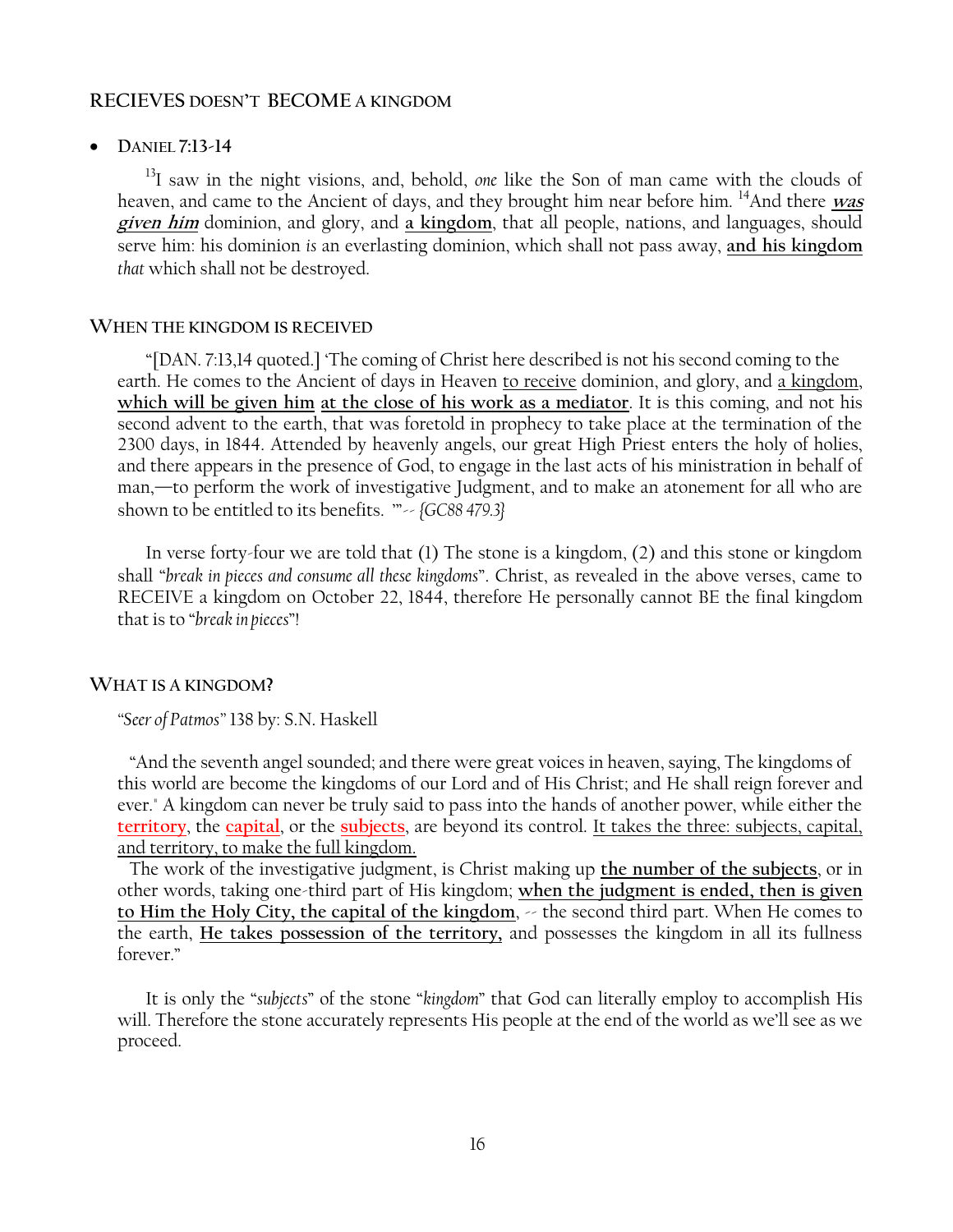### **RECIEVES DOESN'T BECOME A KINGDOM**

### **DANIEL 7:13-14**

<sup>13</sup>I saw in the night visions, and, behold, *one* like the Son of man came with the clouds of heaven, and came to the Ancient of days, and they brought him near before him. <sup>14</sup>And there *was* **given him** dominion, and glory, and **a kingdom**, that all people, nations, and languages, should serve him: his dominion *is* an everlasting dominion, which shall not pass away, **and his kingdom** *that* which shall not be destroyed.

### **WHEN THE KINGDOM IS RECEIVED**

―[DAN. 7:13,14 quoted.] ‗The coming of Christ here described is not his second coming to the earth. He comes to the Ancient of days in Heaven to receive dominion, and glory, and a kingdom, **which will be given him at the close of his work as a mediator**. It is this coming, and not his second advent to the earth, that was foretold in prophecy to take place at the termination of the 2300 days, in 1844. Attended by heavenly angels, our great High Priest enters the holy of holies, and there appears in the presence of God, to engage in the last acts of his ministration in behalf of man,—to perform the work of investigative Judgment, and to make an atonement for all who are shown to be entitled to its benefits. "~ *{GC88 479.3}* 

In verse forty-four we are told that (1) The stone is a kingdom, (2) and this stone or kingdom shall "break in pieces and consume all these kingdoms". Christ, as revealed in the above verses, came to RECEIVE a kingdom on October 22, 1844, therefore He personally cannot BE the final kingdom that is to ―*break in pieces*‖!

### **WHAT IS A KINGDOM?**

*―Seer of Patmos‖* 138 by: S.N. Haskell

 ―And the seventh angel sounded; and there were great voices in heaven, saying, The kingdoms of this world are become the kingdoms of our Lord and of His Christ; and He shall reign forever and ever." A kingdom can never be truly said to pass into the hands of another power, while either the **territory**, the **capital**, or the **subjects**, are beyond its control. It takes the three: subjects, capital, and territory, to make the full kingdom.

 The work of the investigative judgment, is Christ making up **the number of the subjects**, or in other words, taking one-third part of His kingdom; **when the judgment is ended, then is given**  to Him the Holy City, the capital of the kingdom,  $\sim$  the second third part. When He comes to the earth, **He takes possession of the territory,** and possesses the kingdom in all its fullness forever"

It is only the "subjects" of the stone "kingdom" that God can literally employ to accomplish His will. Therefore the stone accurately represents His people at the end of the world as we'll see as we proceed.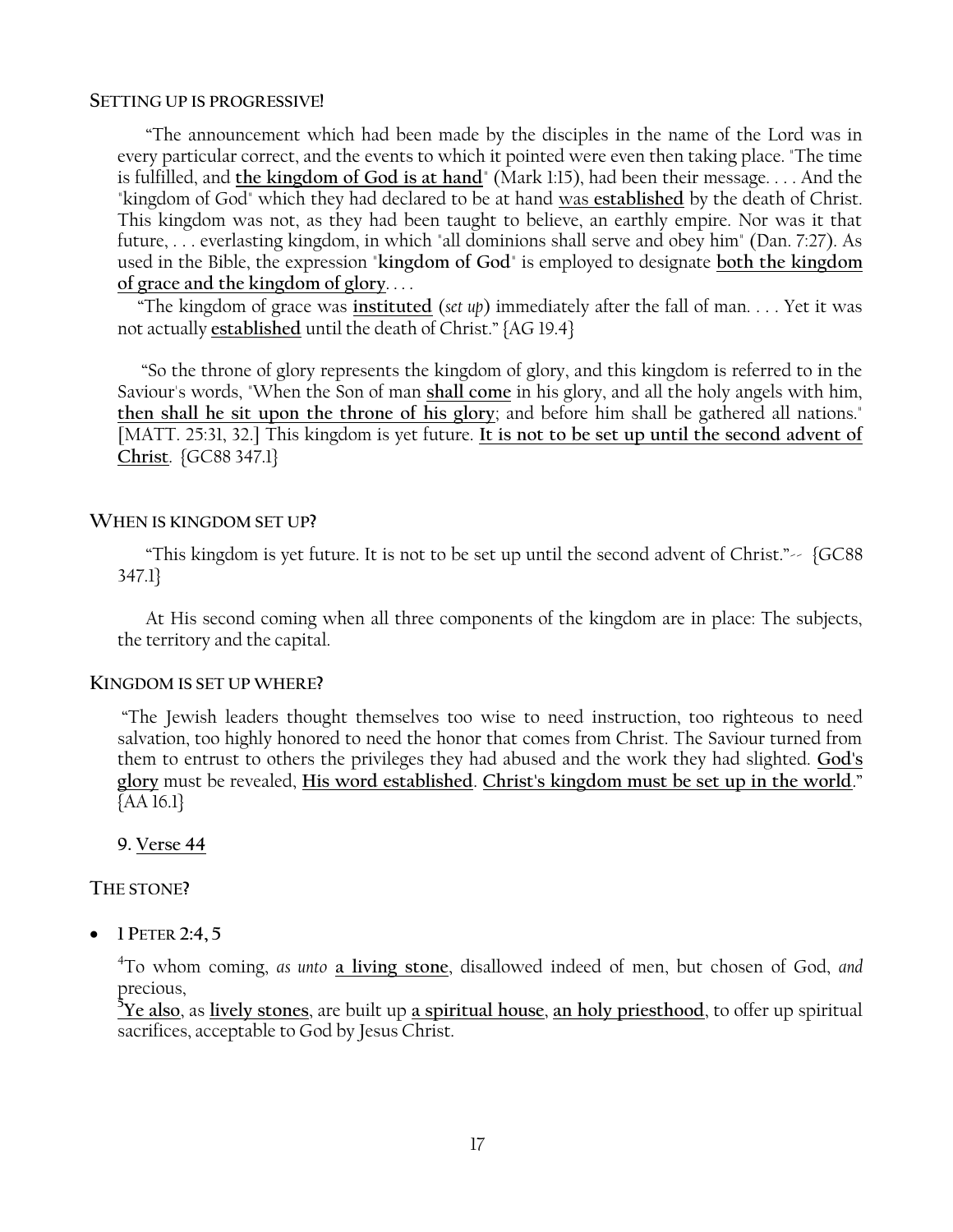### **SETTING UP IS PROGRESSIVE!**

―The announcement which had been made by the disciples in the name of the Lord was in every particular correct, and the events to which it pointed were even then taking place. "The time is fulfilled, and **the kingdom of God is at hand**" (Mark 1:15), had been their message. . . . And the "kingdom of God" which they had declared to be at hand was **established** by the death of Christ. This kingdom was not, as they had been taught to believe, an earthly empire. Nor was it that future, . . . everlasting kingdom, in which "all dominions shall serve and obey him" (Dan. 7:27). As used in the Bible, the expression "**kingdom of God**" is employed to designate **both the kingdom of grace and the kingdom of glory**. . . .

 ―The kingdom of grace was **instituted** (*set up*) immediately after the fall of man. . . . Yet it was not actually established until the death of Christ." {AG 19.4}

 ―So the throne of glory represents the kingdom of glory, and this kingdom is referred to in the Saviour's words, "When the Son of man **shall come** in his glory, and all the holy angels with him, **then shall he sit upon the throne of his glory**; and before him shall be gathered all nations." [MATT. 25:31, 32.] This kingdom is yet future. **It is not to be set up until the second advent of Christ**. {GC88 347.1}

# **WHEN IS KINGDOM SET UP?**

"This kingdom is yet future. It is not to be set up until the second advent of Christ." $\sim$  {GC88} 347.1}

At His second coming when all three components of the kingdom are in place: The subjects, the territory and the capital.

# **KINGDOM IS SET UP WHERE?**

―The Jewish leaders thought themselves too wise to need instruction, too righteous to need salvation, too highly honored to need the honor that comes from Christ. The Saviour turned from them to entrust to others the privileges they had abused and the work they had slighted. **God's glory** must be revealed, **His word established**. **Christ's kingdom must be set up in the world**.‖ {AA 16.1}

**9. Verse 44** 

# **THE STONE?**

**1 PETER 2:4, 5**

4 To whom coming, *as unto* **a living stone**, disallowed indeed of men, but chosen of God, *and* precious,

**<sup>5</sup>Ye also**, as **lively stones**, are built up **a spiritual house**, **an holy priesthood**, to offer up spiritual sacrifices, acceptable to God by Jesus Christ.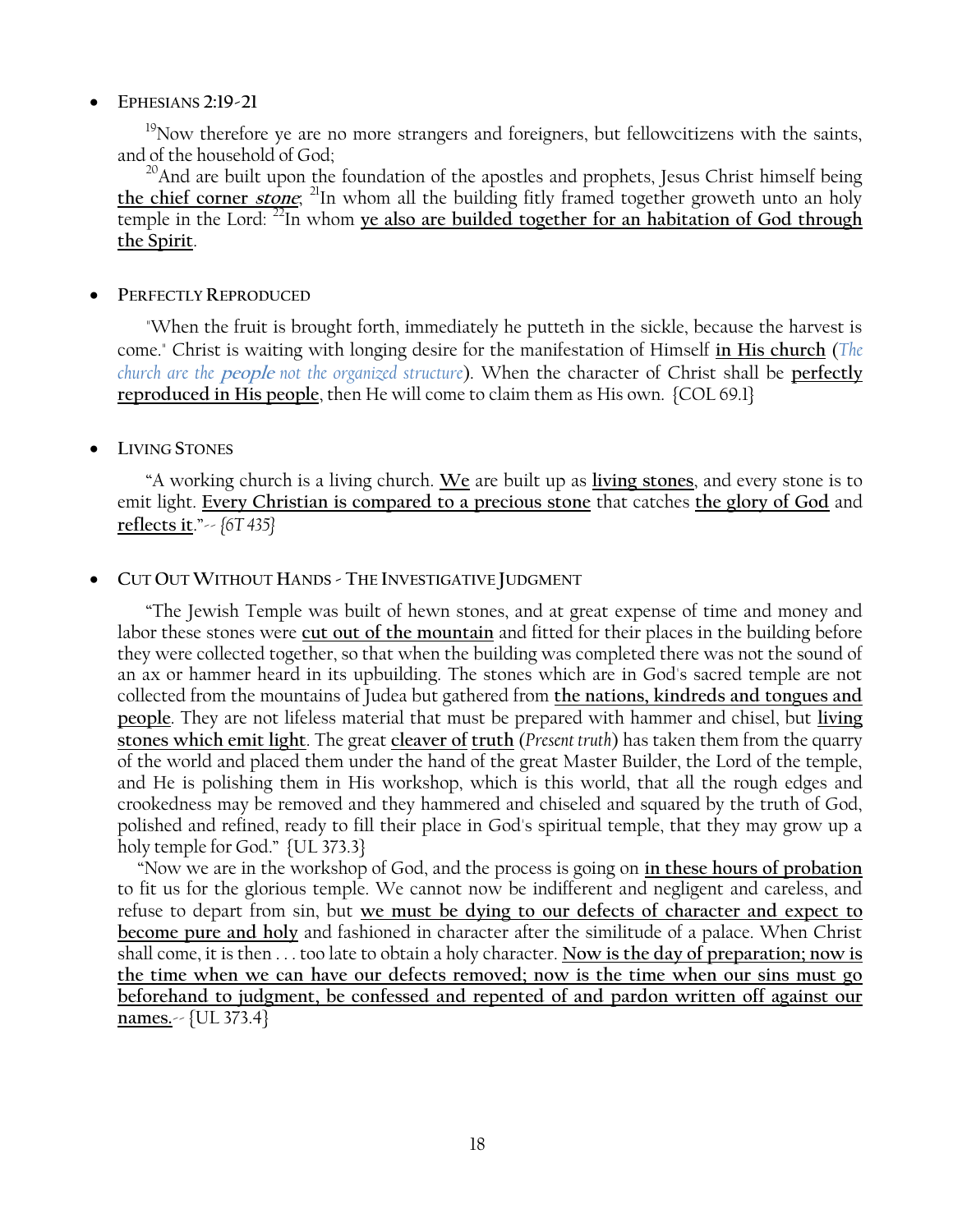# **EPHESIANS 2:19-21**

<sup>19</sup>Now therefore ye are no more strangers and foreigners, but fellowcitizens with the saints, and of the household of God;

<sup>20</sup>And are built upon the foundation of the apostles and prophets, Jesus Christ himself being **the chief corner stone**; <sup>21</sup>In whom all the building fitly framed together groweth unto an holy temple in the Lord: <sup>22</sup>In whom **ye also are builded together for an habitation of God through the Spirit**.

# **PERFECTLY REPRODUCED**

"When the fruit is brought forth, immediately he putteth in the sickle, because the harvest is come." Christ is waiting with longing desire for the manifestation of Himself **in His church** (*The church are the* **people** *not the organized structure*). When the character of Christ shall be **perfectly reproduced in His people**, then He will come to claim them as His own. {COL 69.1}

# **LIVING STONES**

―A working church is a living church. **We** are built up as **living stones**, and every stone is to emit light. **Every Christian is compared to a precious stone** that catches **the glory of God** and **reflects it**.‖-- *{6T 435}*

# **CUT OUT WITHOUT HANDS - THE INVESTIGATIVE JUDGMENT**

―The Jewish Temple was built of hewn stones, and at great expense of time and money and labor these stones were **cut out of the mountain** and fitted for their places in the building before they were collected together, so that when the building was completed there was not the sound of an ax or hammer heard in its upbuilding. The stones which are in God's sacred temple are not collected from the mountains of Judea but gathered from **the nations, kindreds and tongues and people**. They are not lifeless material that must be prepared with hammer and chisel, but **living stones which emit light**. The great **cleaver of truth** (*Present truth*) has taken them from the quarry of the world and placed them under the hand of the great Master Builder, the Lord of the temple, and He is polishing them in His workshop, which is this world, that all the rough edges and crookedness may be removed and they hammered and chiseled and squared by the truth of God, polished and refined, ready to fill their place in God's spiritual temple, that they may grow up a holy temple for God." {UL 373.3}

 ―Now we are in the workshop of God, and the process is going on **in these hours of probation** to fit us for the glorious temple. We cannot now be indifferent and negligent and careless, and refuse to depart from sin, but **we must be dying to our defects of character and expect to become pure and holy** and fashioned in character after the similitude of a palace. When Christ shall come, it is then . . . too late to obtain a holy character. **Now is the day of preparation; now is the time when we can have our defects removed; now is the time when our sins must go beforehand to judgment, be confessed and repented of and pardon written off against our names.**-- {UL 373.4}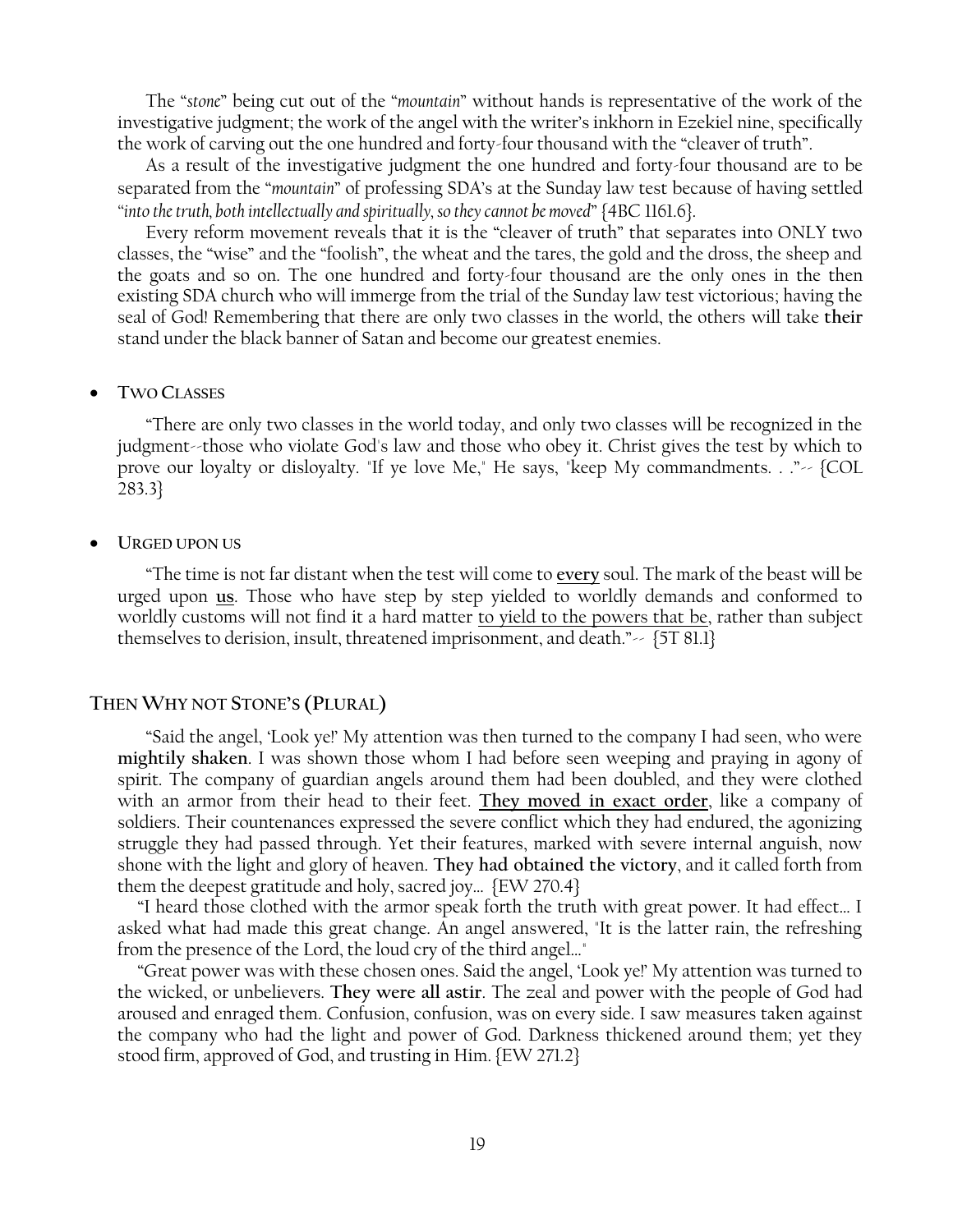The "*stone*" being cut out of the "*mountain*" without hands is representative of the work of the investigative judgment; the work of the angel with the writer's inkhorn in Ezekiel nine, specifically the work of carving out the one hundred and forty-four thousand with the "cleaver of truth".

As a result of the investigative judgment the one hundred and forty-four thousand are to be separated from the "*mountain*" of professing SDA's at the Sunday law test because of having settled "into the truth, both intellectually and spiritually, so they cannot be moved" {4BC 1161.6}.

Every reform movement reveals that it is the "cleaver of truth" that separates into ONLY two classes, the "wise" and the "foolish", the wheat and the tares, the gold and the dross, the sheep and the goats and so on. The one hundred and forty-four thousand are the only ones in the then existing SDA church who will immerge from the trial of the Sunday law test victorious; having the seal of God! Remembering that there are only two classes in the world, the others will take **their** stand under the black banner of Satan and become our greatest enemies.

#### **TWO CLASSES**

―There are only two classes in the world today, and only two classes will be recognized in the judgment--those who violate God's law and those who obey it. Christ gives the test by which to prove our loyalty or disloyalty. "If ye love Me," He says, "keep My commandments. . ." $\sim$  {COL} 283.3}

#### **URGED UPON US**

―The time is not far distant when the test will come to **every** soul. The mark of the beast will be urged upon **us**. Those who have step by step yielded to worldly demands and conformed to worldly customs will not find it a hard matter to yield to the powers that be, rather than subject themselves to derision, insult, threatened imprisonment, and death." $\sim$  {5T 81.1}

### **THEN WHY NOT STONE'S (PLURAL)**

―Said the angel, ‗Look ye!' My attention was then turned to the company I had seen, who were **mightily shaken**. I was shown those whom I had before seen weeping and praying in agony of spirit. The company of guardian angels around them had been doubled, and they were clothed with an armor from their head to their feet. **They moved in exact order**, like a company of soldiers. Their countenances expressed the severe conflict which they had endured, the agonizing struggle they had passed through. Yet their features, marked with severe internal anguish, now shone with the light and glory of heaven. **They had obtained the victory**, and it called forth from them the deepest gratitude and holy, sacred joy… {EW 270.4}

 ―I heard those clothed with the armor speak forth the truth with great power. It had effect… I asked what had made this great change. An angel answered, "It is the latter rain, the refreshing from the presence of the Lord, the loud cry of the third angel…"

 ―Great power was with these chosen ones. Said the angel, ‗Look ye!' My attention was turned to the wicked, or unbelievers. **They were all astir**. The zeal and power with the people of God had aroused and enraged them. Confusion, confusion, was on every side. I saw measures taken against the company who had the light and power of God. Darkness thickened around them; yet they stood firm, approved of God, and trusting in Him. {EW 271.2}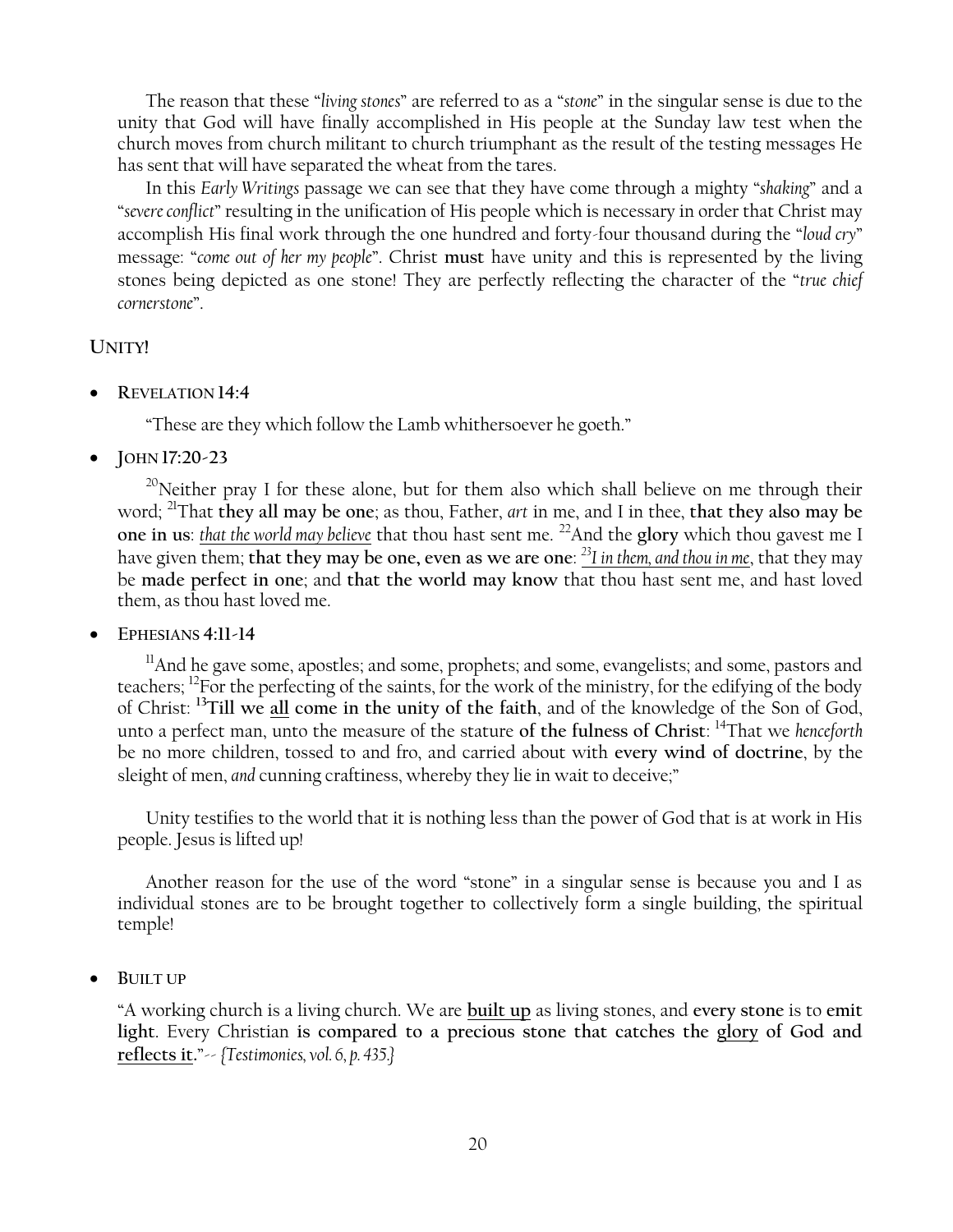The reason that these "*living stones*" are referred to as a "*stone*" in the singular sense is due to the unity that God will have finally accomplished in His people at the Sunday law test when the church moves from church militant to church triumphant as the result of the testing messages He has sent that will have separated the wheat from the tares.

In this *Early Writings* passage we can see that they have come through a mighty ―*shaking*‖ and a ―*severe conflict*‖ resulting in the unification of His people which is necessary in order that Christ may accomplish His final work through the one hundred and forty-four thousand during the "loud cry" message: "*come out of her my people*". Christ must have unity and this is represented by the living stones being depicted as one stone! They are perfectly reflecting the character of the "*true chief cornerstone*‖.

# **UNITY!**

**REVELATION 14:4**

"These are they which follow the Lamb whithersoever he goeth."

**JOHN 17:20-23**

 $20$ Neither pray I for these alone, but for them also which shall believe on me through their word; <sup>21</sup>That **they all may be one**; as thou, Father, *art* in me, and I in thee, **that they also may be one in us**: *that the world may believe* that thou hast sent me. <sup>22</sup>And the **glory** which thou gavest me I have given them; **that they may be one, even as we are one**: *<sup>23</sup>I in them, and thou in me*, that they may be **made perfect in one**; and **that the world may know** that thou hast sent me, and hast loved them, as thou hast loved me.

**EPHESIANS 4:11-14**

 $11$ And he gave some, apostles; and some, prophets; and some, evangelists; and some, pastors and teachers; <sup>12</sup>For the perfecting of the saints, for the work of the ministry, for the edifying of the body of Christ: **<sup>13</sup>Till we all come in the unity of the faith**, and of the knowledge of the Son of God, unto a perfect man, unto the measure of the stature **of the fulness of Christ**: <sup>14</sup>That we *henceforth* be no more children, tossed to and fro, and carried about with **every wind of doctrine**, by the sleight of men, *and* cunning craftiness, whereby they lie in wait to deceive;"

Unity testifies to the world that it is nothing less than the power of God that is at work in His people. Jesus is lifted up!

Another reason for the use of the word "stone" in a singular sense is because you and I as individual stones are to be brought together to collectively form a single building, the spiritual temple!

**BUILT UP**

―A working church is a living church. We are **built up** as living stones, and **every stone** is to **emit light**. Every Christian **is compared to a precious stone that catches the glory of God and reflects it.**‖-- *{Testimonies, vol. 6, p. 435.}*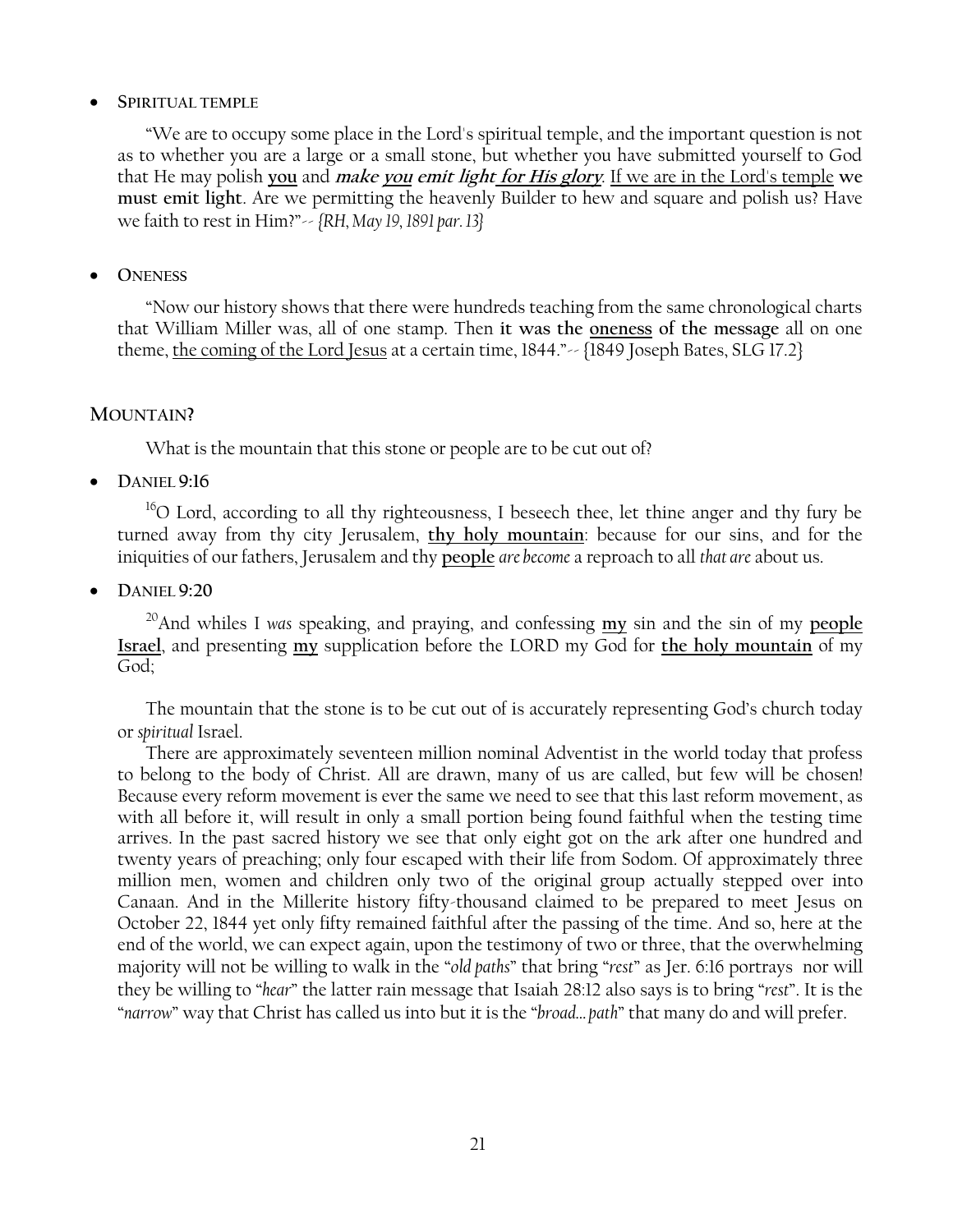# **SPIRITUAL TEMPLE**

―We are to occupy some place in the Lord's spiritual temple, and the important question is not as to whether you are a large or a small stone, but whether you have submitted yourself to God that He may polish **you** and **make you emit light for His glory**. If we are in the Lord's temple **we must emit light**. Are we permitting the heavenly Builder to hew and square and polish us? Have we faith to rest in Him?‖-- *{RH, May 19, 1891 par. 13}*

# **ONENESS**

―Now our history shows that there were hundreds teaching from the same chronological charts that William Miller was, all of one stamp. Then **it was the oneness of the message** all on one theme, the coming of the Lord Jesus at a certain time,  $1844."$   $\sim$   $\{1849$  Joseph Bates, SLG 17.2}

# **MOUNTAIN?**

What is the mountain that this stone or people are to be cut out of?

**DANIEL 9:16**

 $16$ O Lord, according to all thy righteousness, I beseech thee, let thine anger and thy fury be turned away from thy city Jerusalem, **thy holy mountain**: because for our sins, and for the iniquities of our fathers, Jerusalem and thy **people** *are become* a reproach to all *that are* about us.

**DANIEL 9:20**

<sup>20</sup>And whiles I *was* speaking, and praying, and confessing **my** sin and the sin of my **people Israel**, and presenting **my** supplication before the LORD my God for **the holy mountain** of my God;

The mountain that the stone is to be cut out of is accurately representing God's church today or *spiritual* Israel.

There are approximately seventeen million nominal Adventist in the world today that profess to belong to the body of Christ. All are drawn, many of us are called, but few will be chosen! Because every reform movement is ever the same we need to see that this last reform movement, as with all before it, will result in only a small portion being found faithful when the testing time arrives. In the past sacred history we see that only eight got on the ark after one hundred and twenty years of preaching; only four escaped with their life from Sodom. Of approximately three million men, women and children only two of the original group actually stepped over into Canaan. And in the Millerite history fifty-thousand claimed to be prepared to meet Jesus on October 22, 1844 yet only fifty remained faithful after the passing of the time. And so, here at the end of the world, we can expect again, upon the testimony of two or three, that the overwhelming majority will not be willing to walk in the "*old paths*" that bring "rest" as Jer. 6:16 portrays nor will they be willing to ―*hear*‖ the latter rain message that Isaiah 28:12 also says is to bring ―*rest*‖. It is the ―*narrow*‖ way that Christ has called us into but it is the ―*broad… path*‖ that many do and will prefer.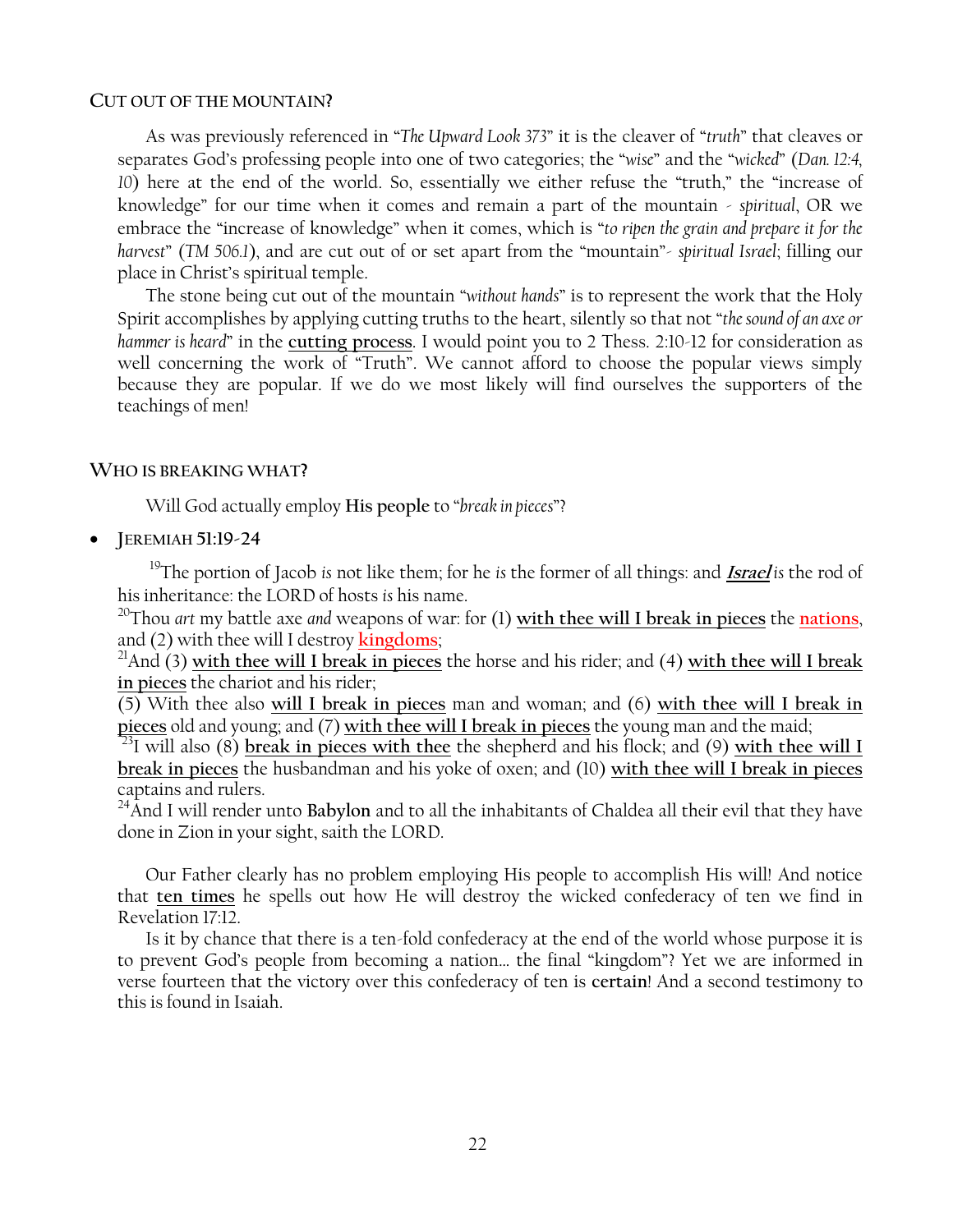### **CUT OUT OF THE MOUNTAIN?**

As was previously referenced in "The Upward Look 373" it is the cleaver of "truth" that cleaves or separates God's professing people into one of two categories; the "wise" and the "wicked" (Dan. 12:4, *10*) here at the end of the world. So, essentially we either refuse the "truth," the "increase of knowledge‖ for our time when it comes and remain a part of the mountain - *spiritual*, OR we embrace the "increase of knowledge" when it comes, which is "to ripen the grain and prepare it for the *harvest*" (*TM 506.1*), and are cut out of or set apart from the "mountain" *- spiritual Israel*; filling our place in Christ's spiritual temple.

The stone being cut out of the mountain "without hands" is to represent the work that the Holy Spirit accomplishes by applying cutting truths to the heart, silently so that not "*the sound of an axe or hammer is heard*‖ in the **cutting process**. I would point you to 2 Thess. 2:10-12 for consideration as well concerning the work of "Truth". We cannot afford to choose the popular views simply because they are popular. If we do we most likely will find ourselves the supporters of the teachings of men!

# **WHO IS BREAKING WHAT?**

Will God actually employ **His** people to "*break in pieces*"?

**JEREMIAH 51:19-24**

<sup>19</sup>The portion of Jacob *is* not like them; for he *is* the former of all things: and **Israel** *is* the rod of his inheritance: the LORD of hosts *is* his name.

<sup>20</sup>Thou *art* my battle axe *and* weapons of war: for (1) **with thee will I break in pieces** the **nations**, and (2) with thee will I destroy **kingdoms**;

<sup>21</sup>And (3) **with thee will I break in pieces** the horse and his rider; and (4) **with thee will I break in pieces** the chariot and his rider;

(5) With thee also **will I break in pieces** man and woman; and (6) **with thee will I break in pieces** old and young; and (7) **with thee will I break in pieces** the young man and the maid;

<sup>23</sup>I will also (8) **break in pieces with thee** the shepherd and his flock; and (9) **with thee will I break in pieces** the husbandman and his yoke of oxen; and (10) **with thee will I break in pieces** captains and rulers.

<sup>24</sup> And I will render unto Babylon and to all the inhabitants of Chaldea all their evil that they have done in Zion in your sight, saith the LORD.

Our Father clearly has no problem employing His people to accomplish His will! And notice that **ten times** he spells out how He will destroy the wicked confederacy of ten we find in Revelation 17:12.

Is it by chance that there is a ten-fold confederacy at the end of the world whose purpose it is to prevent God's people from becoming a nation... the final "kingdom"? Yet we are informed in verse fourteen that the victory over this confederacy of ten is **certain**! And a second testimony to this is found in Isaiah.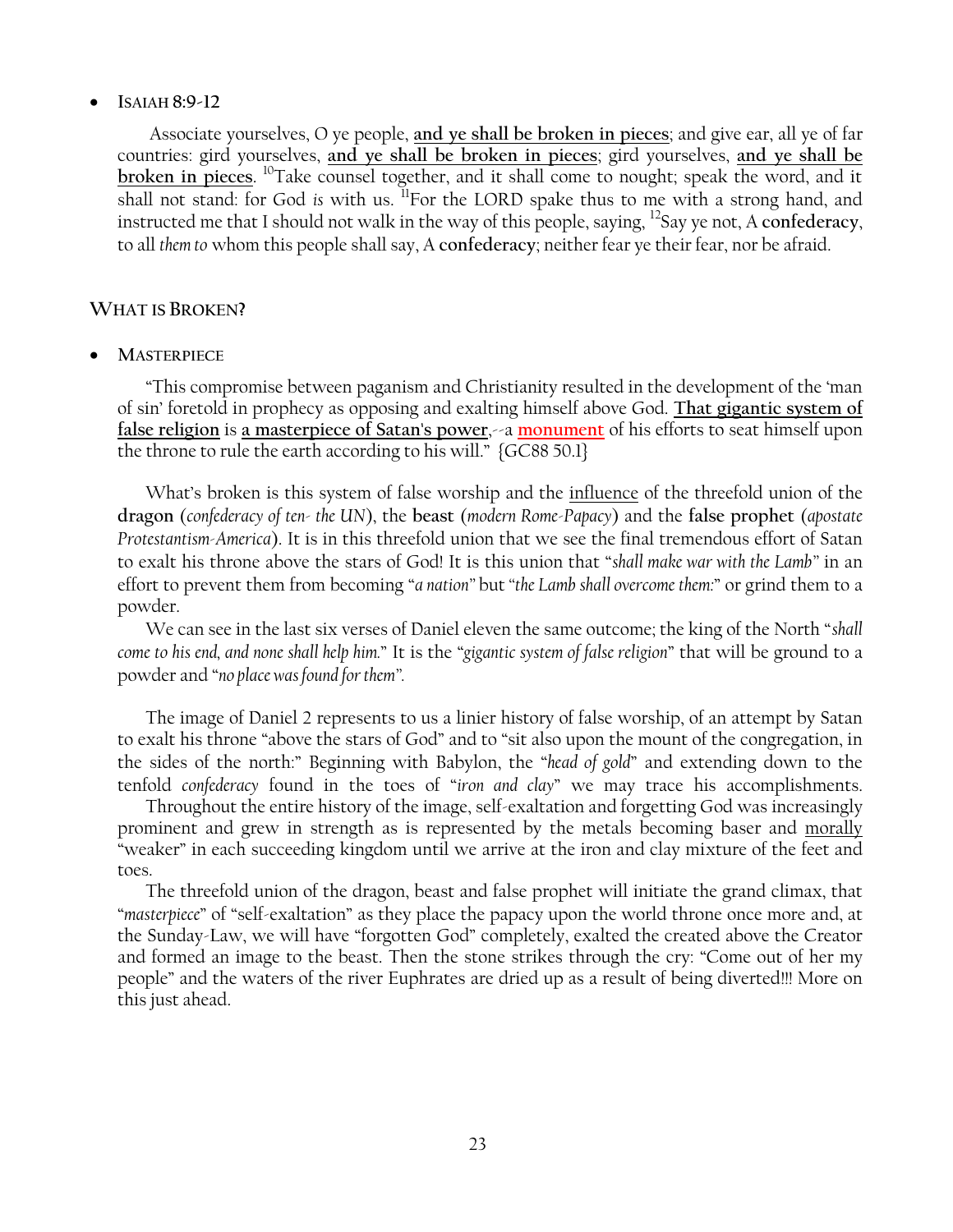# **ISAIAH 8:9-12**

Associate yourselves, O ye people, **and ye shall be broken in pieces**; and give ear, all ye of far countries: gird yourselves, **and ye shall be broken in pieces**; gird yourselves, **and ye shall be broken in pieces**. <sup>10</sup>Take counsel together, and it shall come to nought; speak the word, and it shall not stand: for God *is* with us. <sup>Il</sup>For the LORD spake thus to me with a strong hand, and instructed me that I should not walk in the way of this people, saying, <sup>12</sup>Say ye not, A **confederacy**, to all *them to* whom this people shall say, A **confederacy**; neither fear ye their fear, nor be afraid.

# **WHAT IS BROKEN?**

**MASTERPIECE**

―This compromise between paganism and Christianity resulted in the development of the ‗man of sin' foretold in prophecy as opposing and exalting himself above God. **That gigantic system of false religion** is **a masterpiece of Satan's power**,--a **monument** of his efforts to seat himself upon the throne to rule the earth according to his will." {GC88 50.1}

What's broken is this system of false worship and the <u>influence</u> of the threefold union of the **dragon** (*confederacy of ten- the UN*), the **beast** (*modern Rome-Papacy*) and the **false prophet** (*apostate Protestantism-America*). It is in this threefold union that we see the final tremendous effort of Satan to exalt his throne above the stars of God! It is this union that ―*shall make war with the Lamb‖* in an effort to prevent them from becoming ―*a nation‖* but *―the Lamb shall overcome them:*‖ or grind them to a powder.

We can see in the last six verses of Daniel eleven the same outcome; the king of the North "shall *come to his end, and none shall help him.*‖ It is the ―*gigantic system of false religion*‖ that will be ground to a powder and "no place was found for them".

The image of Daniel 2 represents to us a linier history of false worship, of an attempt by Satan to exalt his throne "above the stars of God" and to "sit also upon the mount of the congregation, in the sides of the north:" Beginning with Babylon, the "*head of gold*" and extending down to the tenfold *confederacy* found in the toes of "*iron and clay*" we may trace his accomplishments.

Throughout the entire history of the image, self-exaltation and forgetting God was increasingly prominent and grew in strength as is represented by the metals becoming baser and morally ―weaker‖ in each succeeding kingdom until we arrive at the iron and clay mixture of the feet and toes.

The threefold union of the dragon, beast and false prophet will initiate the grand climax, that *"masterpiece"* of "self-exaltation" as they place the papacy upon the world throne once more and, at the Sunday-Law, we will have "forgotten God" completely, exalted the created above the Creator and formed an image to the beast. Then the stone strikes through the cry: "Come out of her my people‖ and the waters of the river Euphrates are dried up as a result of being diverted!!! More on this just ahead.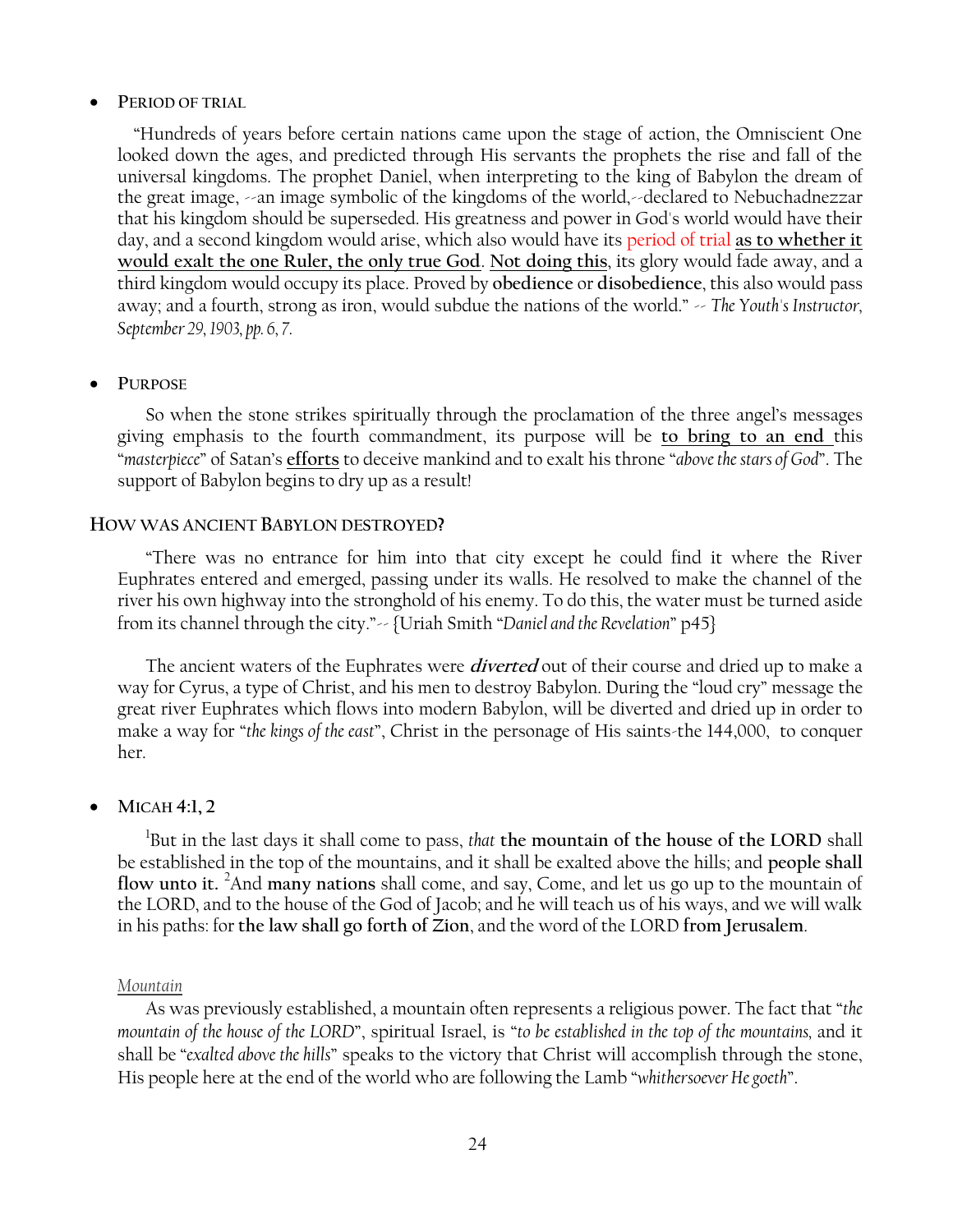### **PERIOD OF TRIAL**

 ―Hundreds of years before certain nations came upon the stage of action, the Omniscient One looked down the ages, and predicted through His servants the prophets the rise and fall of the universal kingdoms. The prophet Daniel, when interpreting to the king of Babylon the dream of the great image, --an image symbolic of the kingdoms of the world,--declared to Nebuchadnezzar that his kingdom should be superseded. His greatness and power in God's world would have their day, and a second kingdom would arise, which also would have its period of trial **as to whether it would exalt the one Ruler, the only true God**. **Not doing this**, its glory would fade away, and a third kingdom would occupy its place. Proved by **obedience** or **disobedience**, this also would pass away; and a fourth, strong as iron, would subdue the nations of the world." -- *The Youth's Instructor*, *September 29, 1903, pp. 6, 7.*

# **PURPOSE**

So when the stone strikes spiritually through the proclamation of the three angel's messages giving emphasis to the fourth commandment, its purpose will be **to bring to an end** this ―*masterpiece*‖ of Satan's **efforts** to deceive mankind and to exalt his throne ―*above the stars of God*‖. The support of Babylon begins to dry up as a result!

### **HOW WAS ANCIENT BABYLON DESTROYED?**

―There was no entrance for him into that city except he could find it where the River Euphrates entered and emerged, passing under its walls. He resolved to make the channel of the river his own highway into the stronghold of his enemy. To do this, the water must be turned aside from its channel through the city."-- {Uriah Smith "Daniel and the Revelation" p45}

The ancient waters of the Euphrates were **diverted** out of their course and dried up to make a way for Cyrus, a type of Christ, and his men to destroy Babylon. During the "loud cry" message the great river Euphrates which flows into modern Babylon, will be diverted and dried up in order to make a way for "*the kings of the east*", Christ in the personage of His saints-the 144,000, to conquer her.

# **MICAH 4:1, 2**

1 But in the last days it shall come to pass, *that* **the mountain of the house of the LORD** shall be established in the top of the mountains, and it shall be exalted above the hills; and **people shall flow unto it.** <sup>2</sup>And **many nations** shall come, and say, Come, and let us go up to the mountain of the LORD, and to the house of the God of Jacob; and he will teach us of his ways, and we will walk in his paths: for **the law shall go forth of Zion**, and the word of the LORD **from Jerusalem**.

### *Mountain*

As was previously established, a mountain often represents a religious power. The fact that *"the mountain of the house of the LORD*", spiritual Israel, is "to be established in the top of the mountains, and it shall be "exalted above the hills" speaks to the victory that Christ will accomplish through the stone, His people here at the end of the world who are following the Lamb "whithersoever He goeth".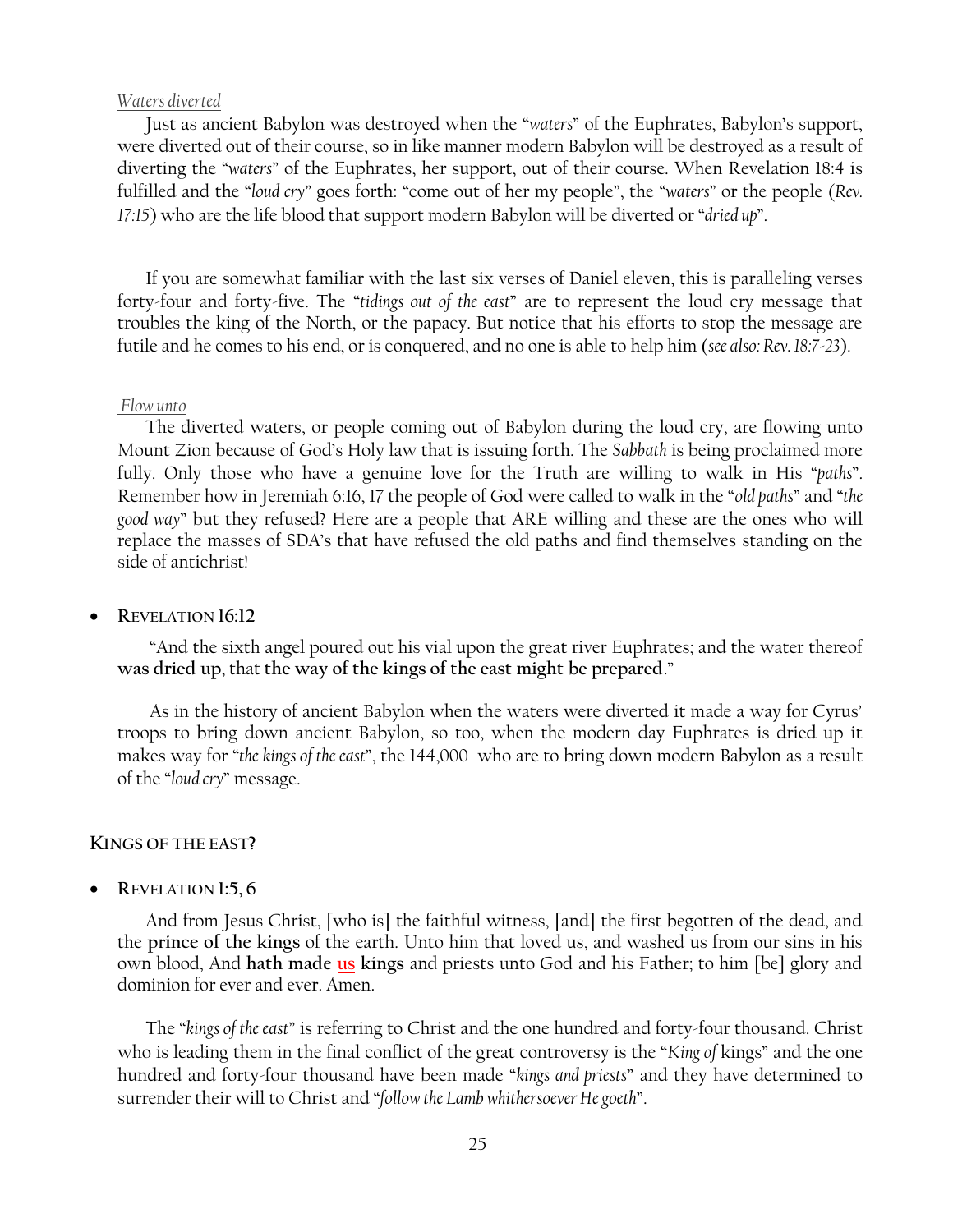### *Waters diverted*

Just as ancient Babylon was destroyed when the "*waters*" of the Euphrates, Babylon's support, were diverted out of their course, so in like manner modern Babylon will be destroyed as a result of diverting the "waters" of the Euphrates, her support, out of their course. When Revelation 18:4 is fulfilled and the "*loud cry*" goes forth: "come out of her my people", the "waters" or the people (*Rev. 17:15*) who are the life blood that support modern Babylon will be diverted or "*dried up*".

If you are somewhat familiar with the last six verses of Daniel eleven, this is paralleling verses forty-four and forty-five. The "tidings out of the east" are to represent the loud cry message that troubles the king of the North, or the papacy. But notice that his efforts to stop the message are futile and he comes to his end, or is conquered, and no one is able to help him (*see also: Rev. 18:7-23*).

#### *Flow unto*

The diverted waters, or people coming out of Babylon during the loud cry, are flowing unto Mount Zion because of God's Holy law that is issuing forth. The *Sabbath* is being proclaimed more fully. Only those who have a genuine love for the Truth are willing to walk in His "*paths*". Remember how in Jeremiah 6:16, 17 the people of God were called to walk in the "old paths" and "the *good way*‖ but they refused? Here are a people that ARE willing and these are the ones who will replace the masses of SDA's that have refused the old paths and find themselves standing on the side of antichrist!

**REVELATION 16:12**

"And the sixth angel poured out his vial upon the great river Euphrates; and the water thereof **was dried up**, that **the way of the kings of the east might be prepared**.‖

As in the history of ancient Babylon when the waters were diverted it made a way for Cyrus' troops to bring down ancient Babylon, so too, when the modern day Euphrates is dried up it makes way for "the kings of the east", the 144,000 who are to bring down modern Babylon as a result of the "*loud cry*" message.

### **KINGS OF THE EAST?**

**REVELATION 1:5, 6**

And from Jesus Christ, [who is] the faithful witness, [and] the first begotten of the dead, and the **prince of the kings** of the earth. Unto him that loved us, and washed us from our sins in his own blood, And **hath made us kings** and priests unto God and his Father; to him [be] glory and dominion for ever and ever. Amen.

The "kings of the east" is referring to Christ and the one hundred and forty-four thousand. Christ who is leading them in the final conflict of the great controversy is the "King of kings" and the one hundred and forty-four thousand have been made "kings and priests" and they have determined to surrender their will to Christ and "follow the Lamb whithersoever He goeth".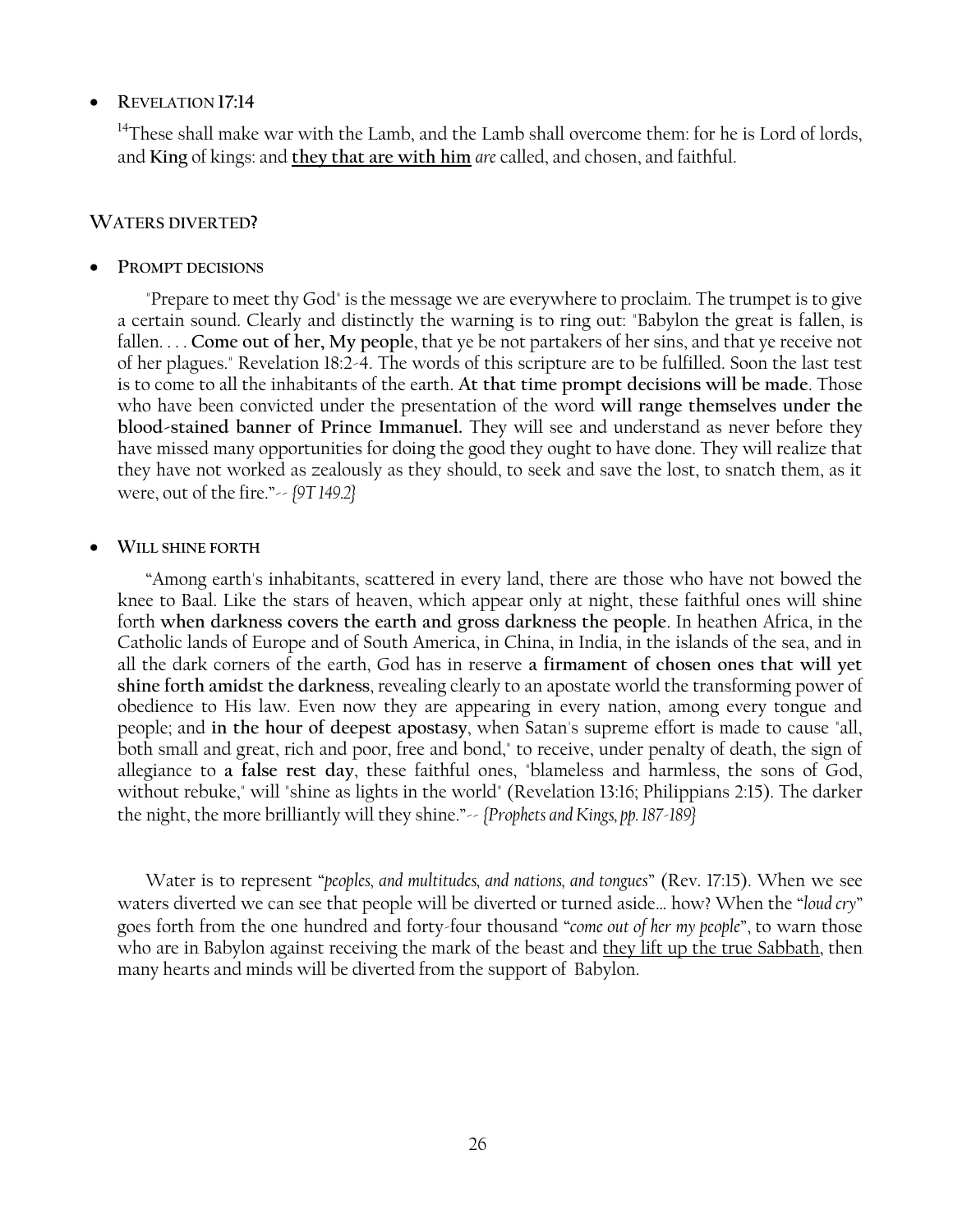# **REVELATION 17:14**

 $14$ These shall make war with the Lamb, and the Lamb shall overcome them: for he is Lord of lords, and **King** of kings: and **they that are with him** *are* called, and chosen, and faithful.

### **WATERS DIVERTED?**

### **PROMPT DECISIONS**

"Prepare to meet thy God" is the message we are everywhere to proclaim. The trumpet is to give a certain sound. Clearly and distinctly the warning is to ring out: "Babylon the great is fallen, is fallen. . . . **Come out of her, My people**, that ye be not partakers of her sins, and that ye receive not of her plagues." Revelation 18:2-4. The words of this scripture are to be fulfilled. Soon the last test is to come to all the inhabitants of the earth. **At that time prompt decisions will be made**. Those who have been convicted under the presentation of the word **will range themselves under the blood-stained banner of Prince Immanuel.** They will see and understand as never before they have missed many opportunities for doing the good they ought to have done. They will realize that they have not worked as zealously as they should, to seek and save the lost, to snatch them, as it were, out of the fire.‖-- *{9T 149.2}*

### **WILL SHINE FORTH**

―Among earth's inhabitants, scattered in every land, there are those who have not bowed the knee to Baal. Like the stars of heaven, which appear only at night, these faithful ones will shine forth **when darkness covers the earth and gross darkness the people**. In heathen Africa, in the Catholic lands of Europe and of South America, in China, in India, in the islands of the sea, and in all the dark corners of the earth, God has in reserve **a firmament of chosen ones that will yet shine forth amidst the darkness**, revealing clearly to an apostate world the transforming power of obedience to His law. Even now they are appearing in every nation, among every tongue and people; and **in the hour of deepest apostasy**, when Satan's supreme effort is made to cause "all, both small and great, rich and poor, free and bond," to receive, under penalty of death, the sign of allegiance to **a false rest day**, these faithful ones, "blameless and harmless, the sons of God, without rebuke," will "shine as lights in the world" (Revelation 13:16; Philippians 2:15). The darker the night, the more brilliantly will they shine."-- *{Prophets and Kings, pp. 187-189}* 

Water is to represent "*peoples, and multitudes, and nations, and tongues*" (Rev. 17:15). When we see waters diverted we can see that people will be diverted or turned aside... how? When the "loud cry" goes forth from the one hundred and forty-four thousand "*come out of her my people*", to warn those who are in Babylon against receiving the mark of the beast and they lift up the true Sabbath, then many hearts and minds will be diverted from the support of Babylon.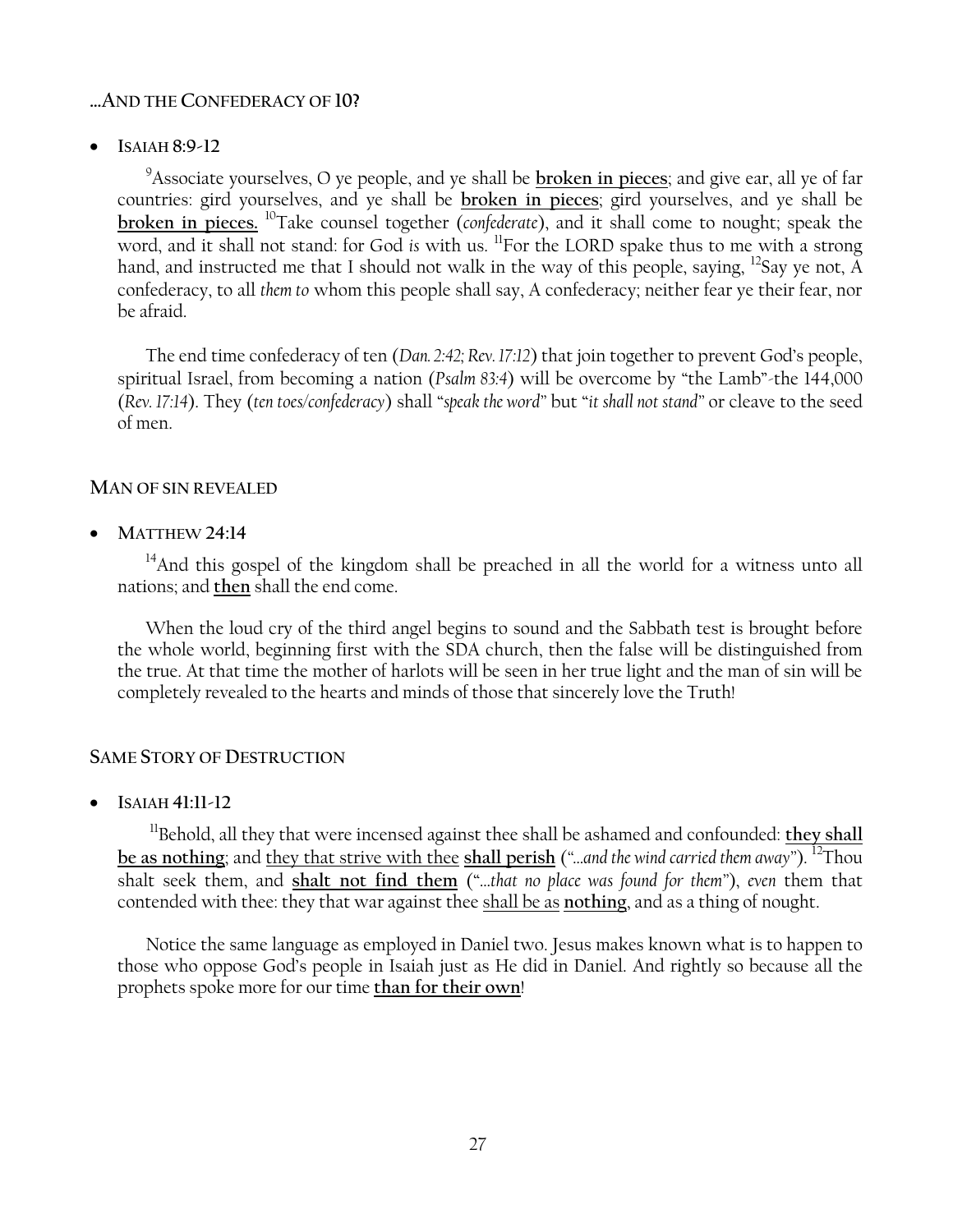# **…AND THE CONFEDERACY OF 10?**

**ISAIAH 8:9-12**

<sup>9</sup>Associate yourselves, O ye people, and ye shall be **broken in pieces**; and give ear, all ye of far countries: gird yourselves, and ye shall be **broken in pieces**; gird yourselves, and ye shall be **broken in pieces.** <sup>10</sup>Take counsel together (*confederate*), and it shall come to nought; speak the word, and it shall not stand: for God *is* with us. <sup>11</sup>For the LORD spake thus to me with a strong hand, and instructed me that I should not walk in the way of this people, saying, <sup>12</sup>Say ye not,  $\tilde{A}$ confederacy, to all *them to* whom this people shall say, A confederacy; neither fear ye their fear, nor be afraid.

The end time confederacy of ten (*Dan. 2:42; Rev. 17:12*) that join together to prevent God's people, spiritual Israel, from becoming a nation (*Psalm 83:4*) will be overcome by "the Lamb"-the 144,000 (*Rev. 17:14*). They (*ten toes/confederacy*) shall "speak the word" but "it shall not stand" or cleave to the seed of men.

# **MAN OF SIN REVEALED**

**MATTHEW 24:14**

<sup>14</sup>And this gospel of the kingdom shall be preached in all the world for a witness unto all nations; and **then** shall the end come.

When the loud cry of the third angel begins to sound and the Sabbath test is brought before the whole world, beginning first with the SDA church, then the false will be distinguished from the true. At that time the mother of harlots will be seen in her true light and the man of sin will be completely revealed to the hearts and minds of those that sincerely love the Truth!

# **SAME STORY OF DESTRUCTION**

**ISAIAH 41:11-12**

<sup>11</sup>Behold, all they that were incensed against thee shall be ashamed and confounded: they shall be as nothing; and <u>they that strive with thee shall perish</u> ("…and the wind carried them away"). <sup>12</sup>Thou shalt seek them, and shalt not find them ("...that no place was found for them"), even them that contended with thee: they that war against thee shall be as **nothing**, and as a thing of nought.

Notice the same language as employed in Daniel two. Jesus makes known what is to happen to those who oppose God's people in Isaiah just as He did in Daniel. And rightly so because all the prophets spoke more for our time **than for their own**!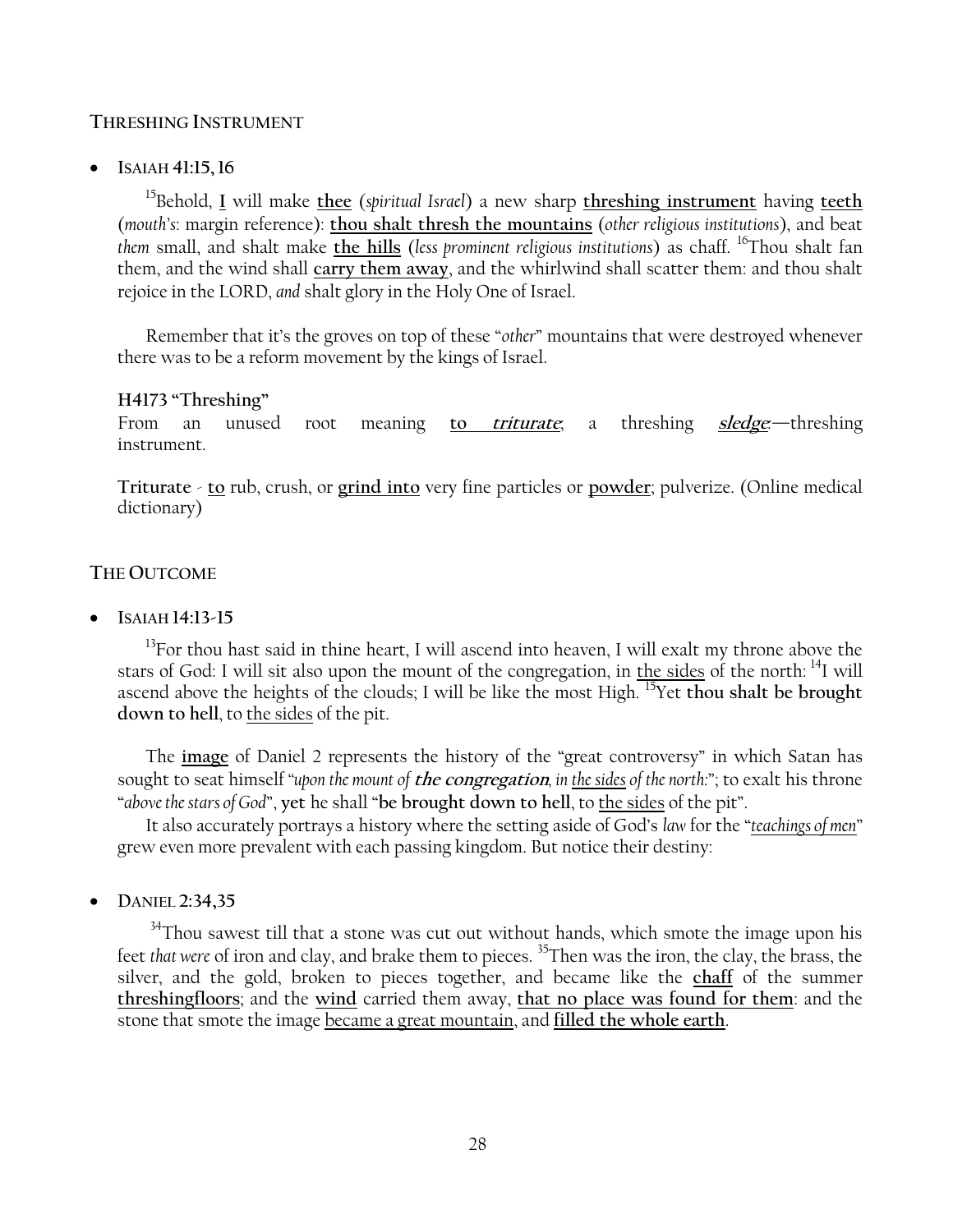# **THRESHING INSTRUMENT**

# **ISAIAH 41:15, 16**

<sup>15</sup>Behold, **I** will make **thee** (*spiritual Israel*) a new sharp **threshing instrument** having **teeth** (*mouth's*: margin reference): **thou shalt thresh the mountains** (*other religious institutions*), and beat *them* small, and shalt make **the hills** (*less prominent religious institutions*) as chaff. <sup>16</sup>Thou shalt fan them, and the wind shall **carry them away**, and the whirlwind shall scatter them: and thou shalt rejoice in the LORD, *and* shalt glory in the Holy One of Israel.

Remember that it's the groves on top of these "*other*" mountains that were destroyed whenever there was to be a reform movement by the kings of Israel.

# **H4173 ―Threshing‖**

From an unused root meaning **to triturate**; a threshing **sledge***:—*threshing instrument.

**Triturate** - **to** rub, crush, or **grind into** very fine particles or **powder**; pulverize. (Online medical dictionary)

# **THE OUTCOME**

**ISAIAH 14:13-15**

 $13$ For thou hast said in thine heart, I will ascend into heaven, I will exalt my throne above the stars of God: I will sit also upon the mount of the congregation, in the sides of the north: <sup>14</sup>I will ascend above the heights of the clouds; I will be like the most High. <sup>15</sup>Yet **thou shalt be brought down to hell**, to the sides of the pit.

The image of Daniel 2 represents the history of the "great controversy" in which Satan has sought to seat himself "upon the mount of *the congregation*, in the sides of the north:"; to exalt his throne "above the stars of God", yet he shall "be brought down to hell, to the sides of the pit".

It also accurately portrays a history where the setting aside of God's *law* for the "*teachings of men*" grew even more prevalent with each passing kingdom. But notice their destiny:

**DANIEL 2:34,35**

<sup>34</sup>Thou sawest till that a stone was cut out without hands, which smote the image upon his feet *that were* of iron and clay, and brake them to pieces. <sup>35</sup>Then was the iron, the clay, the brass, the silver, and the gold, broken to pieces together, and became like the **chaff** of the summer **threshingfloors**; and the **wind** carried them away, **that no place was found for them**: and the stone that smote the image became a great mountain, and **filled the whole earth**.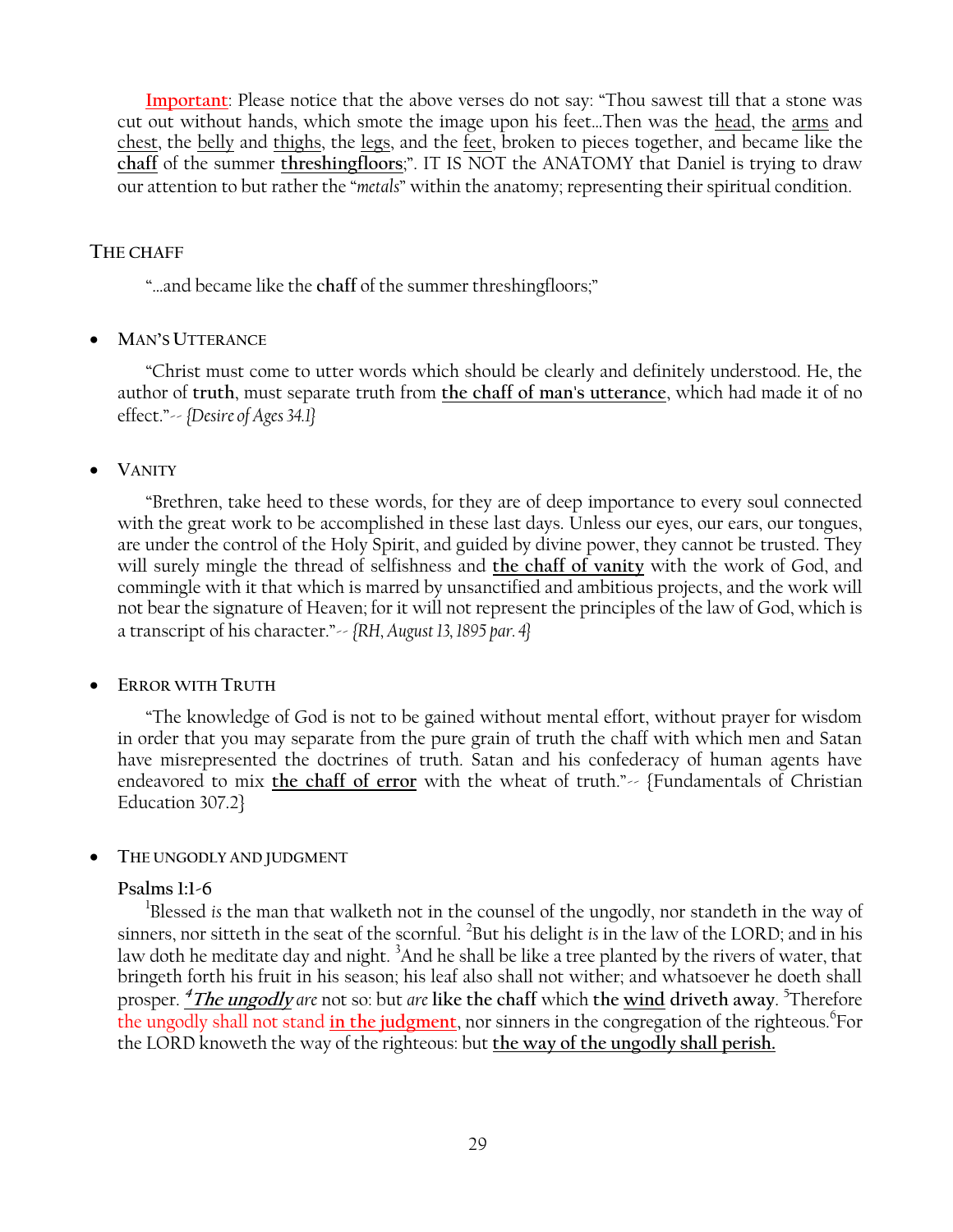**Important**: Please notice that the above verses do not say: "Thou sawest till that a stone was cut out without hands, which smote the image upon his feet…Then was the head, the arms and chest, the belly and thighs, the legs, and the feet, broken to pieces together, and became like the chaff of the summer *threshingfloors*;". IT IS NOT the ANATOMY that Daniel is trying to draw our attention to but rather the "*metals*" within the anatomy; representing their spiritual condition.

# **THE CHAFF**

"...and became like the chaff of the summer threshingfloors;"

# **MAN'S UTTERANCE**

―Christ must come to utter words which should be clearly and definitely understood. He, the author of **truth**, must separate truth from **the chaff of man's utterance**, which had made it of no effect.‖-- *{Desire of Ages 34.1}*

# **VANITY**

―Brethren, take heed to these words, for they are of deep importance to every soul connected with the great work to be accomplished in these last days. Unless our eyes, our ears, our tongues, are under the control of the Holy Spirit, and guided by divine power, they cannot be trusted. They will surely mingle the thread of selfishness and **the chaff of vanity** with the work of God, and commingle with it that which is marred by unsanctified and ambitious projects, and the work will not bear the signature of Heaven; for it will not represent the principles of the law of God, which is a transcript of his character.‖-- *{RH, August 13, 1895 par. 4}*

# **ERROR WITH TRUTH**

―The knowledge of God is not to be gained without mental effort, without prayer for wisdom in order that you may separate from the pure grain of truth the chaff with which men and Satan have misrepresented the doctrines of truth. Satan and his confederacy of human agents have endeavored to mix the chaff of error with the wheat of truth."-- {Fundamentals of Christian Education 307.2}

# **THE UNGODLY AND JUDGMENT**

# **Psalms 1:1-6**

<sup>1</sup>Blessed is the man that walketh not in the counsel of the ungodly, nor standeth in the way of sinners, nor sitteth in the seat of the scornful. <sup>2</sup> But his delight *is* in the law of the LORD; and in his law doth he meditate day and night. <sup>3</sup>And he shall be like a tree planted by the rivers of water, that bringeth forth his fruit in his season; his leaf also shall not wither; and whatsoever he doeth shall prosper. **<sup>4</sup>The ungodly** *are* not so: but *are* **like the chaff** which **the wind driveth away**. 5 Therefore the ungodly shall not stand in the judgment, nor sinners in the congregation of the righteous. <sup>6</sup>For the LORD knoweth the way of the righteous: but **the way of the ungodly shall perish.**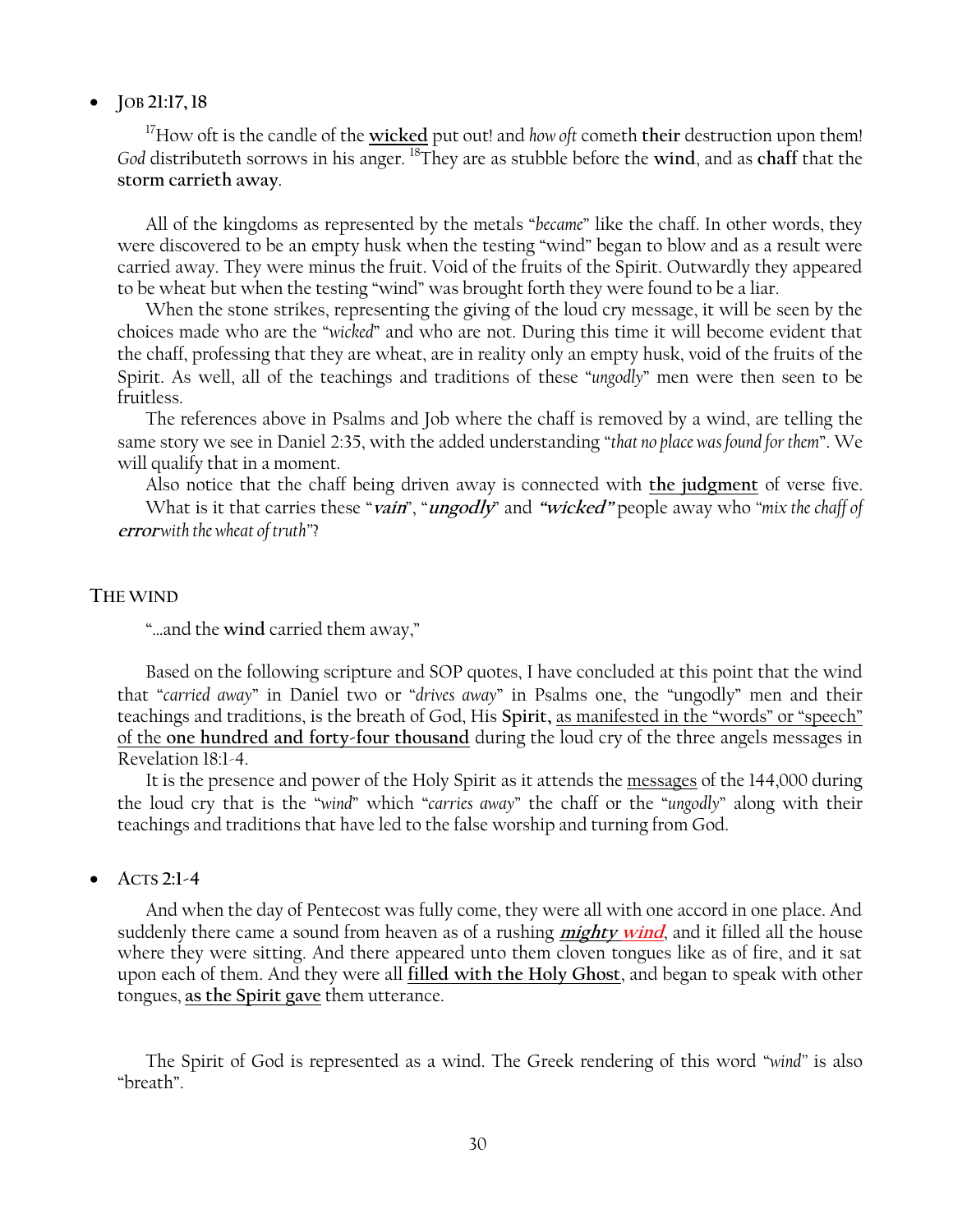# **JOB 21:17,18**

<sup>17</sup>How oft is the candle of the **wicked** put out! and *how oft* cometh **their** destruction upon them! *God* distributeth sorrows in his anger. <sup>18</sup>They are as stubble before the **wind**, and as **chaff** that the **storm carrieth away**.

All of the kingdoms as represented by the metals "*became*" like the chaff. In other words, they were discovered to be an empty husk when the testing "wind" began to blow and as a result were carried away. They were minus the fruit. Void of the fruits of the Spirit. Outwardly they appeared to be wheat but when the testing "wind" was brought forth they were found to be a liar.

When the stone strikes, representing the giving of the loud cry message, it will be seen by the choices made who are the ―*wicked*‖ and who are not. During this time it will become evident that the chaff, professing that they are wheat, are in reality only an empty husk, void of the fruits of the Spirit. As well, all of the teachings and traditions of these "ungodly" men were then seen to be fruitless.

The references above in Psalms and Job where the chaff is removed by a wind, are telling the same story we see in Daniel 2:35, with the added understanding "that no place was found for them". We will qualify that in a moment.

Also notice that the chaff being driven away is connected with **the judgment** of verse five. What is it that carries these "*vain*", "*ungodly*" and "*wicked*" people away who "*mix the chaff of* **error** with the wheat of truth"?

### **THE WIND**

"...and the wind carried them away,"

Based on the following scripture and SOP quotes, I have concluded at this point that the wind that "carried away" in Daniel two or "drives away" in Psalms one, the "ungodly" men and their teachings and traditions, is the breath of God, His Spirit, as manifested in the "words" or "speech" of the **one hundred and forty-four thousand** during the loud cry of the three angels messages in Revelation 18:1-4.

It is the presence and power of the Holy Spirit as it attends the messages of the 144,000 during the loud cry that is the "*wind*" which "*carries away*" the chaff or the "*ungodly*" along with their teachings and traditions that have led to the false worship and turning from God.

# **ACTS 2:1-4**

And when the day of Pentecost was fully come, they were all with one accord in one place. And suddenly there came a sound from heaven as of a rushing **mighty wind**, and it filled all the house where they were sitting. And there appeared unto them cloven tongues like as of fire, and it sat upon each of them. And they were all **filled with the Holy Ghost**, and began to speak with other tongues, **as the Spirit gave** them utterance.

The Spirit of God is represented as a wind. The Greek rendering of this word "*wind*" is also ―breath‖.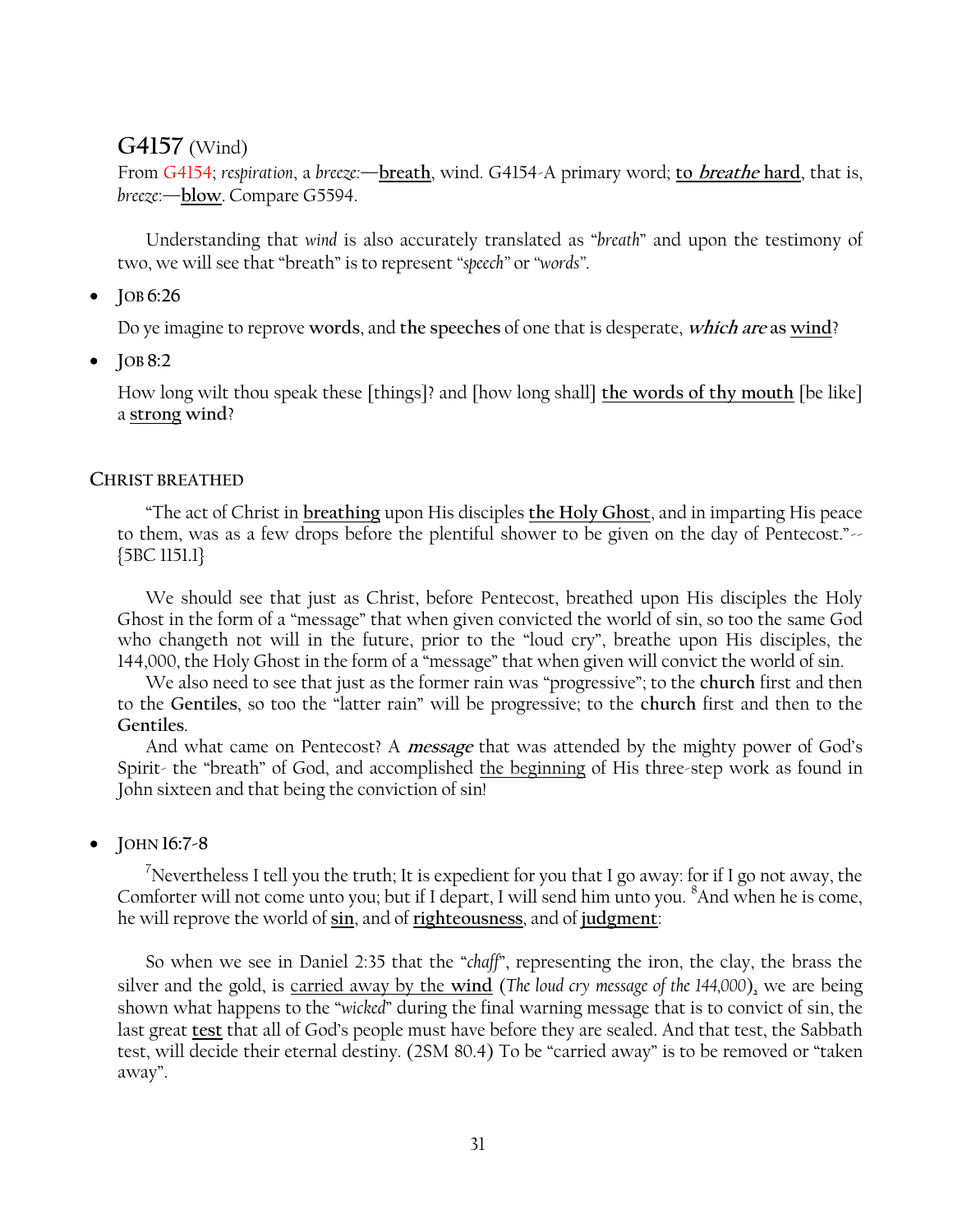# **G4157** (Wind)

From G4154; *respiration*, a *breeze:*—**breath**, wind. G4154-A primary word; **to breathe hard**, that is, *breeze*:—**blow**. Compare G5594.

Understanding that *wind* is also accurately translated as "*breath*" and upon the testimony of two, we will see that "breath" is to represent "speech" or "words".

**JOB 6:26**

Do ye imagine to reprove **words**, and **the speeches** of one that is desperate, **which are as wind**?

**JOB 8:2**

How long wilt thou speak these [things]? and [how long shall] **the words of thy mouth** [be like] a **strong wind**?

### **CHRIST BREATHED**

―The act of Christ in **breathing** upon His disciples **the Holy Ghost**, and in imparting His peace to them, was as a few drops before the plentiful shower to be given on the day of Pentecost."-{5BC 1151.1}

We should see that just as Christ, before Pentecost, breathed upon His disciples the Holy Ghost in the form of a "message" that when given convicted the world of sin, so too the same God who changeth not will in the future, prior to the "loud cry", breathe upon His disciples, the 144,000, the Holy Ghost in the form of a "message" that when given will convict the world of sin.

We also need to see that just as the former rain was "progressive"; to the church first and then to the **Gentiles**, so too the ―latter rain‖ will be progressive; to the **church** first and then to the **Gentiles**.

And what came on Pentecost? A **message** that was attended by the mighty power of God's Spirit- the "breath" of God, and accomplished the beginning of His three-step work as found in John sixteen and that being the conviction of sin!

**JOHN 16:7-8**

<sup>7</sup>Nevertheless I tell you the truth; It is expedient for you that I go away: for if I go not away, the Comforter will not come unto you; but if I depart, I will send him unto you. <sup>8</sup>And when he is come, he will reprove the world of **sin**, and of **righteousness**, and of **judgment**:

So when we see in Daniel 2:35 that the "*chaff*", representing the iron, the clay, the brass the silver and the gold, is carried away by the **wind** (*The loud cry message of the 144,000*), we are being shown what happens to the "*wicked*" during the final warning message that is to convict of sin, the last great **test** that all of God's people must have before they are sealed. And that test, the Sabbath test, will decide their eternal destiny. (2SM 80.4) To be "carried away" is to be removed or "taken away".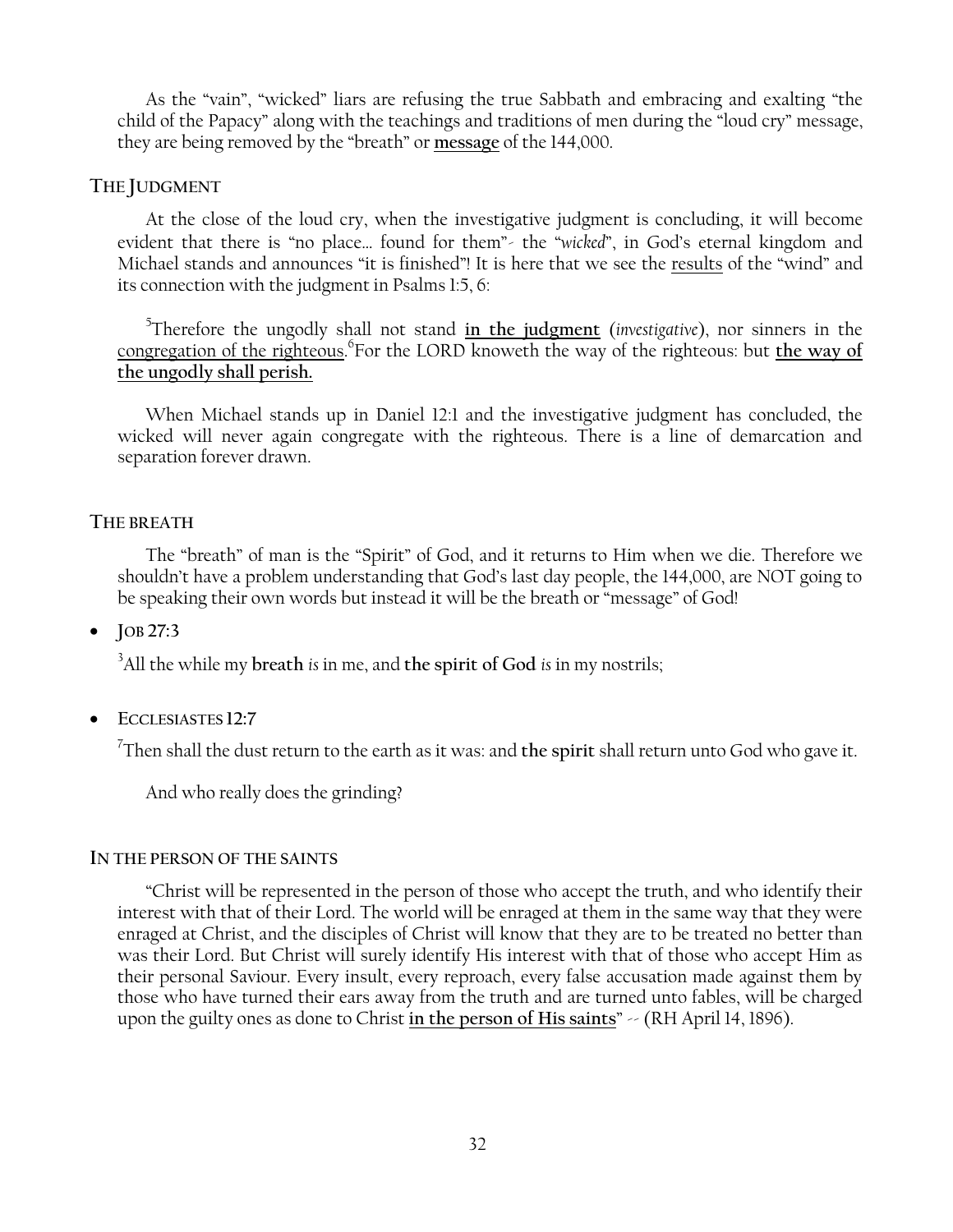As the "vain", "wicked" liars are refusing the true Sabbath and embracing and exalting "the child of the Papacy" along with the teachings and traditions of men during the "loud cry" message, they are being removed by the "breath" or message of the 144,000.

# **THE JUDGMENT**

At the close of the loud cry, when the investigative judgment is concluding, it will become evident that there is "no place... found for them"- the "wicked", in God's eternal kingdom and Michael stands and announces "it is finished"! It is here that we see the results of the "wind" and its connection with the judgment in Psalms 1:5, 6:

5 Therefore the ungodly shall not stand **in the judgment** (*investigative*), nor sinners in the congregation of the righteous. 6 For the LORD knoweth the way of the righteous: but **the way of the ungodly shall perish.**

When Michael stands up in Daniel 12:1 and the investigative judgment has concluded, the wicked will never again congregate with the righteous. There is a line of demarcation and separation forever drawn.

# **THE BREATH**

The "breath" of man is the "Spirit" of God, and it returns to Him when we die. Therefore we shouldn't have a problem understanding that God's last day people, the 144,000, are NOT going to be speaking their own words but instead it will be the breath or "message" of God!

**JOB 27:3**

<sup>3</sup>All the while my **breath** *is* in me, and **the spirit of God** *is* in my nostrils;

**ECCLESIASTES 12:7**

7 Then shall the dust return to the earth as it was: and **the spirit** shall return unto God who gave it.

And who really does the grinding?

# **IN THE PERSON OF THE SAINTS**

―Christ will be represented in the person of those who accept the truth, and who identify their interest with that of their Lord. The world will be enraged at them in the same way that they were enraged at Christ, and the disciples of Christ will know that they are to be treated no better than was their Lord. But Christ will surely identify His interest with that of those who accept Him as their personal Saviour. Every insult, every reproach, every false accusation made against them by those who have turned their ears away from the truth and are turned unto fables, will be charged upon the guilty ones as done to Christ in the person of His saints"  $\sim$  (RH April 14, 1896).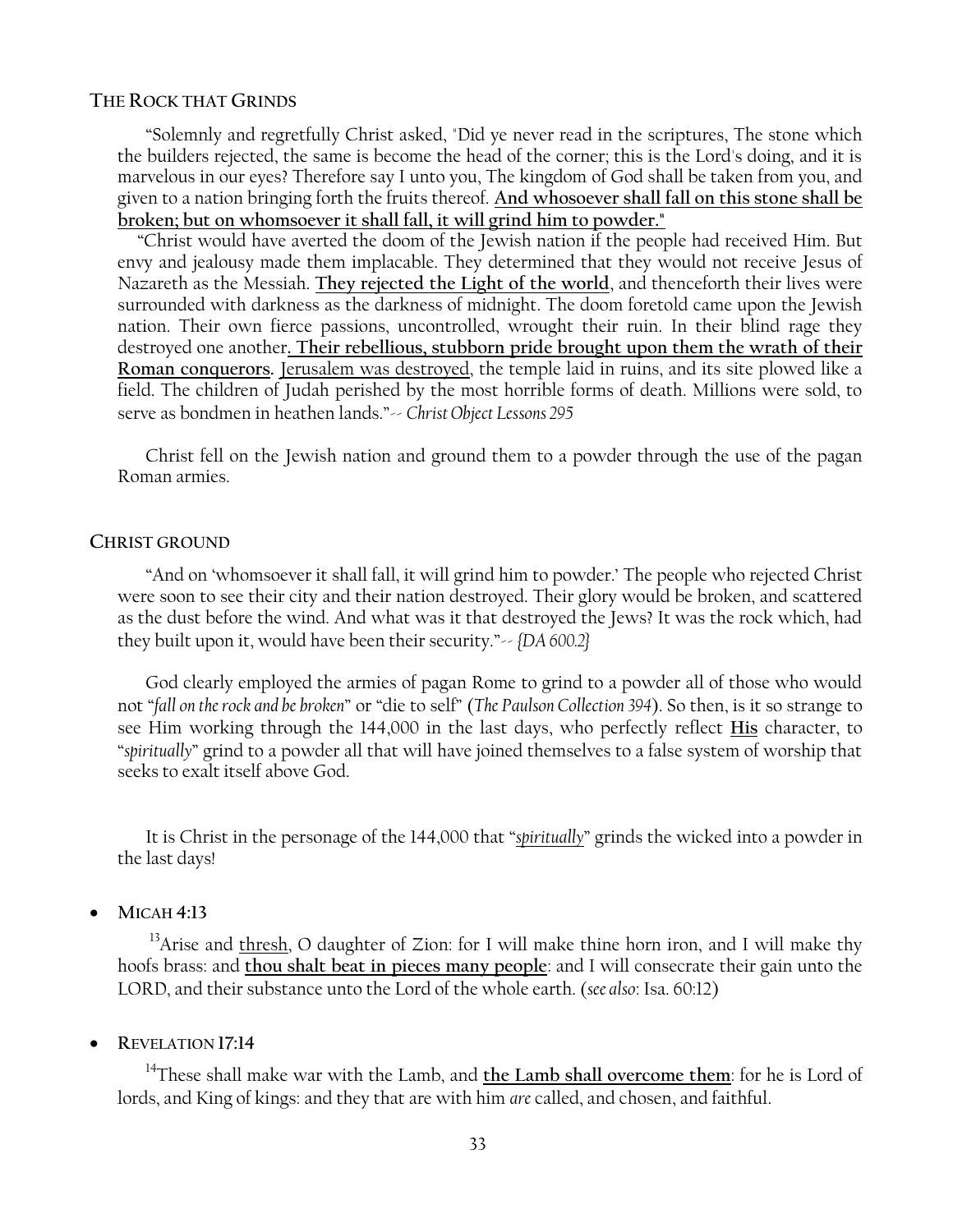### **THE ROCK THAT GRINDS**

―Solemnly and regretfully Christ asked, "Did ye never read in the scriptures, The stone which the builders rejected, the same is become the head of the corner; this is the Lord's doing, and it is marvelous in our eyes? Therefore say I unto you, The kingdom of God shall be taken from you, and given to a nation bringing forth the fruits thereof. **And whosoever shall fall on this stone shall be broken; but on whomsoever it shall fall, it will grind him to powder."**

 ―Christ would have averted the doom of the Jewish nation if the people had received Him. But envy and jealousy made them implacable. They determined that they would not receive Jesus of Nazareth as the Messiah. **They rejected the Light of the world**, and thenceforth their lives were surrounded with darkness as the darkness of midnight. The doom foretold came upon the Jewish nation. Their own fierce passions, uncontrolled, wrought their ruin. In their blind rage they destroyed one another**. Their rebellious, stubborn pride brought upon them the wrath of their Roman conquerors.** Jerusalem was destroyed, the temple laid in ruins, and its site plowed like a field. The children of Judah perished by the most horrible forms of death. Millions were sold, to serve as bondmen in heathen lands."-- *Christ Object Lessons* 295

Christ fell on the Jewish nation and ground them to a powder through the use of the pagan Roman armies.

#### **CHRIST GROUND**

―And on ‗whomsoever it shall fall, it will grind him to powder.' The people who rejected Christ were soon to see their city and their nation destroyed. Their glory would be broken, and scattered as the dust before the wind. And what was it that destroyed the Jews? It was the rock which, had they built upon it, would have been their security."~ *{DA 600.2}* 

God clearly employed the armies of pagan Rome to grind to a powder all of those who would not "fall on the rock and be broken" or "die to self" (*The Paulson Collection 394*). So then, is it so strange to see Him working through the 144,000 in the last days, who perfectly reflect **His** character, to ―*spiritually*‖ grind to a powder all that will have joined themselves to a false system of worship that seeks to exalt itself above God.

It is Christ in the personage of the 144,000 that "*spiritually*" grinds the wicked into a powder in the last days!

**MICAH 4:13**

 $13$ Arise and thresh, O daughter of Zion: for I will make thine horn iron, and I will make thy hoofs brass: and **thou shalt beat in pieces many people**: and I will consecrate their gain unto the LORD, and their substance unto the Lord of the whole earth. (*see also*: Isa. 60:12)

**REVELATION 17:14**

<sup>14</sup>These shall make war with the Lamb, and the Lamb shall overcome them: for he is Lord of lords, and King of kings: and they that are with him *are* called, and chosen, and faithful.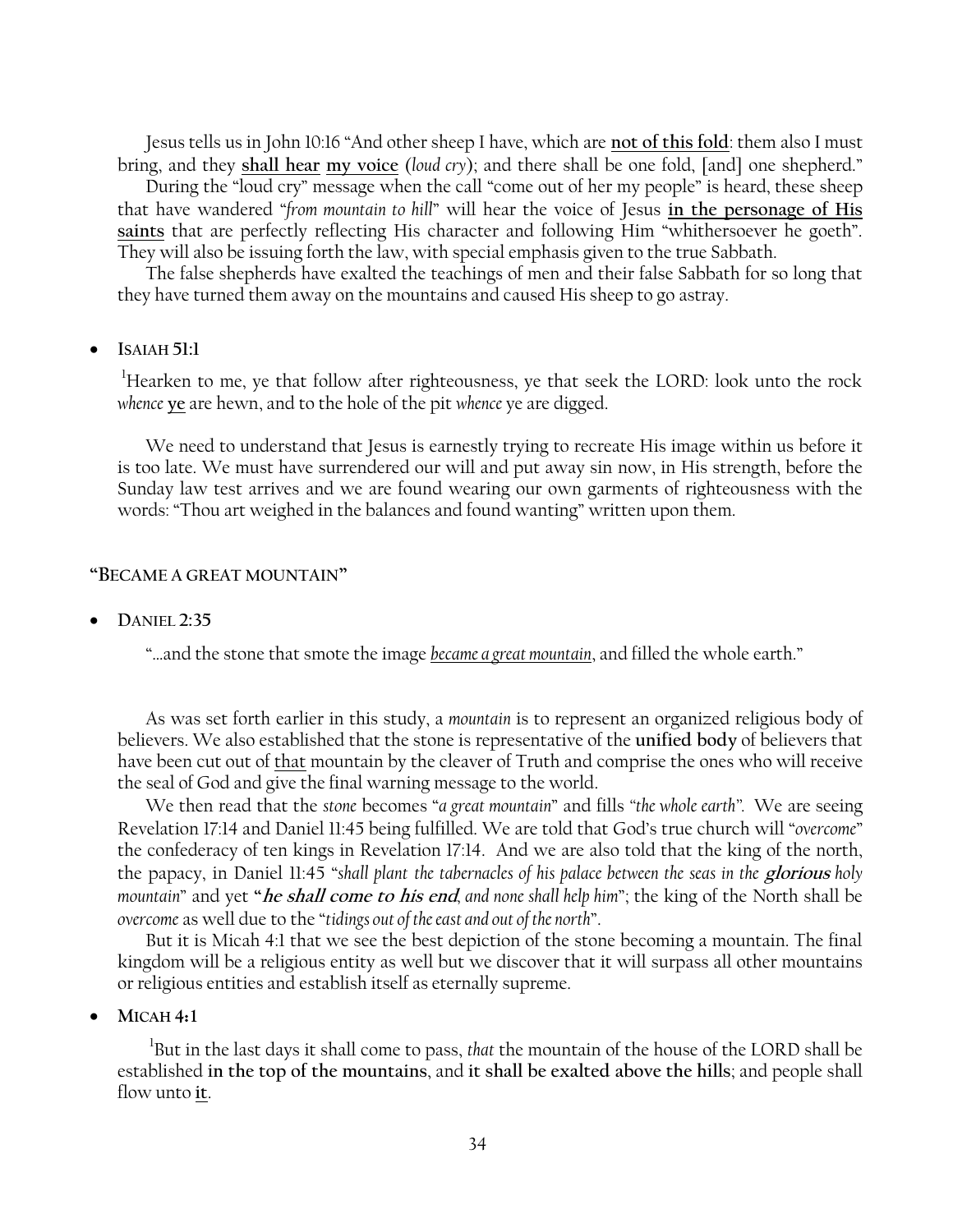Jesus tells us in John 10:16 "And other sheep I have, which are not of this fold: them also I must bring, and they shall hear my voice (loud cry); and there shall be one fold, [and] one shepherd."

During the "loud cry" message when the call "come out of her my people" is heard, these sheep that have wandered "from mountain to hill" will hear the voice of Jesus in the personage of His saints that are perfectly reflecting His character and following Him "whithersoever he goeth". They will also be issuing forth the law, with special emphasis given to the true Sabbath.

The false shepherds have exalted the teachings of men and their false Sabbath for so long that they have turned them away on the mountains and caused His sheep to go astray.

### **ISAIAH 51:1**

<sup>1</sup>Hearken to me, ye that follow after righteousness, ye that seek the LORD: look unto the rock *whence* **ye** are hewn, and to the hole of the pit *whence* ye are digged.

We need to understand that Jesus is earnestly trying to recreate His image within us before it is too late. We must have surrendered our will and put away sin now, in His strength, before the Sunday law test arrives and we are found wearing our own garments of righteousness with the words: "Thou art weighed in the balances and found wanting" written upon them.

### **―BECAME A GREAT MOUNTAIN‖**

**DANIEL 2:35**

"...and the stone that smote the image *became a great mountain*, and filled the whole earth."

As was set forth earlier in this study, a *mountain* is to represent an organized religious body of believers. We also established that the stone is representative of the **unified body** of believers that have been cut out of that mountain by the cleaver of Truth and comprise the ones who will receive the seal of God and give the final warning message to the world.

We then read that the *stone* becomes "*a great mountain*" and fills "the whole earth". We are seeing Revelation 17:14 and Daniel 11:45 being fulfilled. We are told that God's true church will "overcome" the confederacy of ten kings in Revelation 17:14. And we are also told that the king of the north, the papacy, in Daniel 11:45 ―*shall plant the tabernacles of his palace between the seas in the* **glorious** *holy mountain*‖ and yet **―he shall come to his end***, and none shall help him*‖; the king of the North shall be *overcome* as well due to the "tidings out of the east and out of the north".

But it is Micah 4:1 that we see the best depiction of the stone becoming a mountain. The final kingdom will be a religious entity as well but we discover that it will surpass all other mountains or religious entities and establish itself as eternally supreme.

**MICAH 4:1**

1 But in the last days it shall come to pass, *that* the mountain of the house of the LORD shall be established **in the top of the mountains**, and **it shall be exalted above the hills**; and people shall flow unto **it**.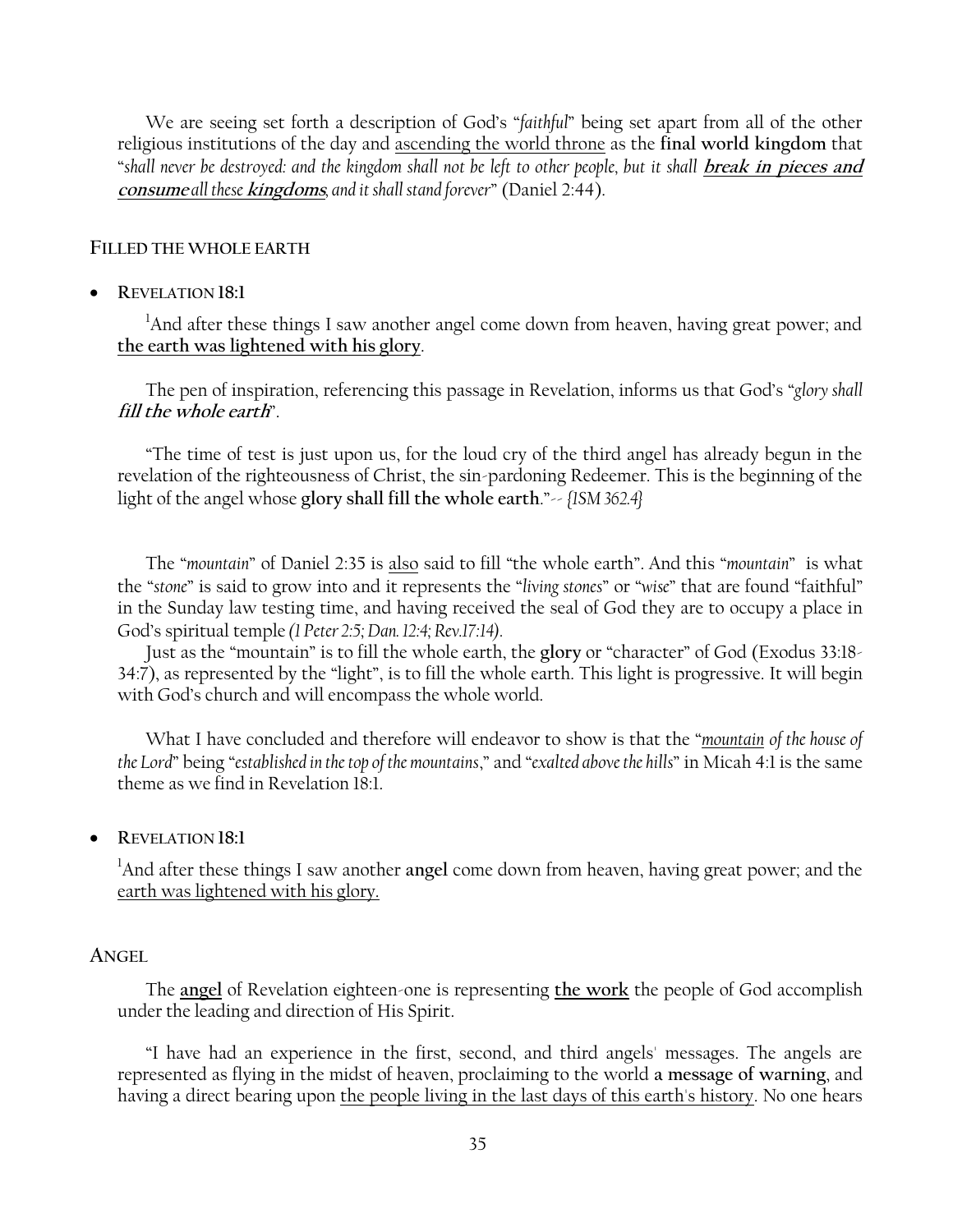We are seeing set forth a description of God's "faithful" being set apart from all of the other religious institutions of the day and ascending the world throne as the **final world kingdom** that ―*shall never be destroyed: and the kingdom shall not be left to other people, but it shall* **break in pieces and consume** *all these* **kingdoms***, and it shall stand forever*‖ (Daniel 2:44).

# **FILLED THE WHOLE EARTH**

**REVELATION 18:1**

<sup>1</sup>And after these things I saw another angel come down from heaven, having great power; and **the earth was lightened with his glory**.

The pen of inspiration, referencing this passage in Revelation, informs us that God's "glory shall fill the whole earth<sup>"</sup>.

―The time of test is just upon us, for the loud cry of the third angel has already begun in the revelation of the righteousness of Christ, the sin-pardoning Redeemer. This is the beginning of the light of the angel whose **glory shall fill the whole earth**.‖-- *{1SM 362.4}*

The "mountain" of Daniel 2:35 is also said to fill "the whole earth". And this "mountain" is what the "stone" is said to grow into and it represents the "*living stones*" or "wise" that are found "faithful" in the Sunday law testing time, and having received the seal of God they are to occupy a place in God's spiritual temple *(1 Peter 2:5; Dan. 12:4; Rev.17:14).*

Just as the "mountain" is to fill the whole earth, the glory or "character" of God (Exodus 33:18-34:7), as represented by the "light", is to fill the whole earth. This light is progressive. It will begin with God's church and will encompass the whole world.

What I have concluded and therefore will endeavor to show is that the "*mountain of the house of the Lord*‖ being ―*established in the top of the mountains*,‖ and ―*exalted above the hills*‖ in Micah 4:1 is the same theme as we find in Revelation 18:1.

**REVELATION 18:1**

<sup>1</sup>And after these things I saw another **angel** come down from heaven, having great power; and the earth was lightened with his glory.

### **ANGEL**

The **angel** of Revelation eighteen-one is representing **the work** the people of God accomplish under the leading and direction of His Spirit.

―I have had an experience in the first, second, and third angels' messages. The angels are represented as flying in the midst of heaven, proclaiming to the world **a message of warning**, and having a direct bearing upon the people living in the last days of this earth's history. No one hears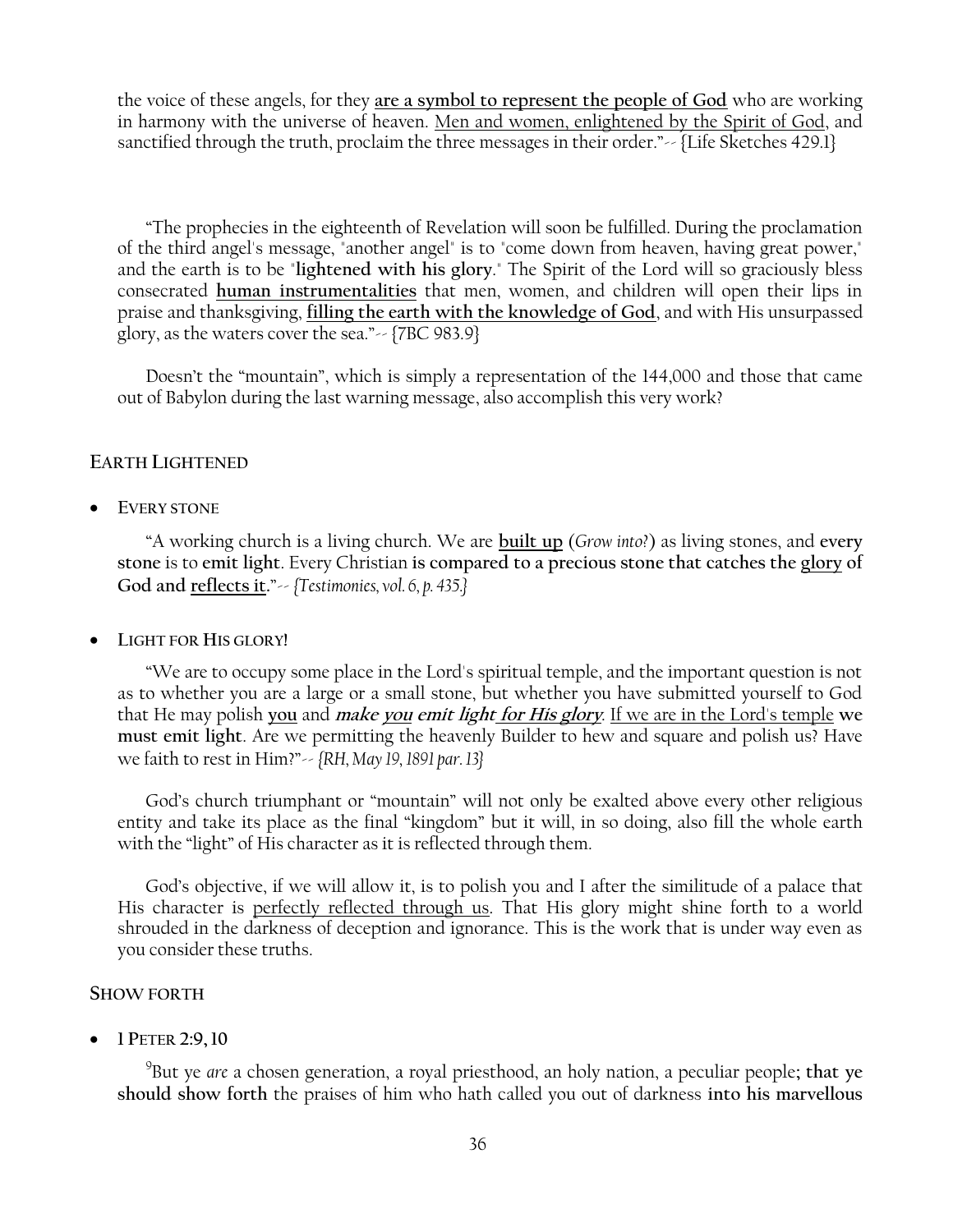the voice of these angels, for they **are a symbol to represent the people of God** who are working in harmony with the universe of heaven. Men and women, enlightened by the Spirit of God, and sanctified through the truth, proclaim the three messages in their order."-- {Life Sketches 429.1}

―The prophecies in the eighteenth of Revelation will soon be fulfilled. During the proclamation of the third angel's message, "another angel" is to "come down from heaven, having great power," and the earth is to be "**lightened with his glory**." The Spirit of the Lord will so graciously bless consecrated **human instrumentalities** that men, women, and children will open their lips in praise and thanksgiving, **filling the earth with the knowledge of God**, and with His unsurpassed glory, as the waters cover the sea." $\sim$  {7BC 983.9}

Doesn't the "mountain", which is simply a representation of the 144,000 and those that came out of Babylon during the last warning message, also accomplish this very work?

# **EARTH LIGHTENED**

**EVERY STONE**

―A working church is a living church. We are **built up** (*Grow into?*) as living stones, and **every stone** is to **emit light**. Every Christian **is compared to a precious stone that catches the glory of God and reflects it.**‖-- *{Testimonies, vol. 6, p. 435.}*

# **LIGHT FOR HIS GLORY!**

―We are to occupy some place in the Lord's spiritual temple, and the important question is not as to whether you are a large or a small stone, but whether you have submitted yourself to God that He may polish **you** and **make you emit light for His glory**. If we are in the Lord's temple **we must emit light**. Are we permitting the heavenly Builder to hew and square and polish us? Have we faith to rest in Him?‖-- *{RH, May 19, 1891 par. 13}*

God's church triumphant or "mountain" will not only be exalted above every other religious entity and take its place as the final "kingdom" but it will, in so doing, also fill the whole earth with the "light" of His character as it is reflected through them.

God's objective, if we will allow it, is to polish you and I after the similitude of a palace that His character is perfectly reflected through us. That His glory might shine forth to a world shrouded in the darkness of deception and ignorance. This is the work that is under way even as you consider these truths.

# **SHOW FORTH**

**1 PETER 2:9,10**

9 But ye *are* a chosen generation, a royal priesthood, an holy nation, a peculiar people**; that ye should show forth** the praises of him who hath called you out of darkness **into his marvellous**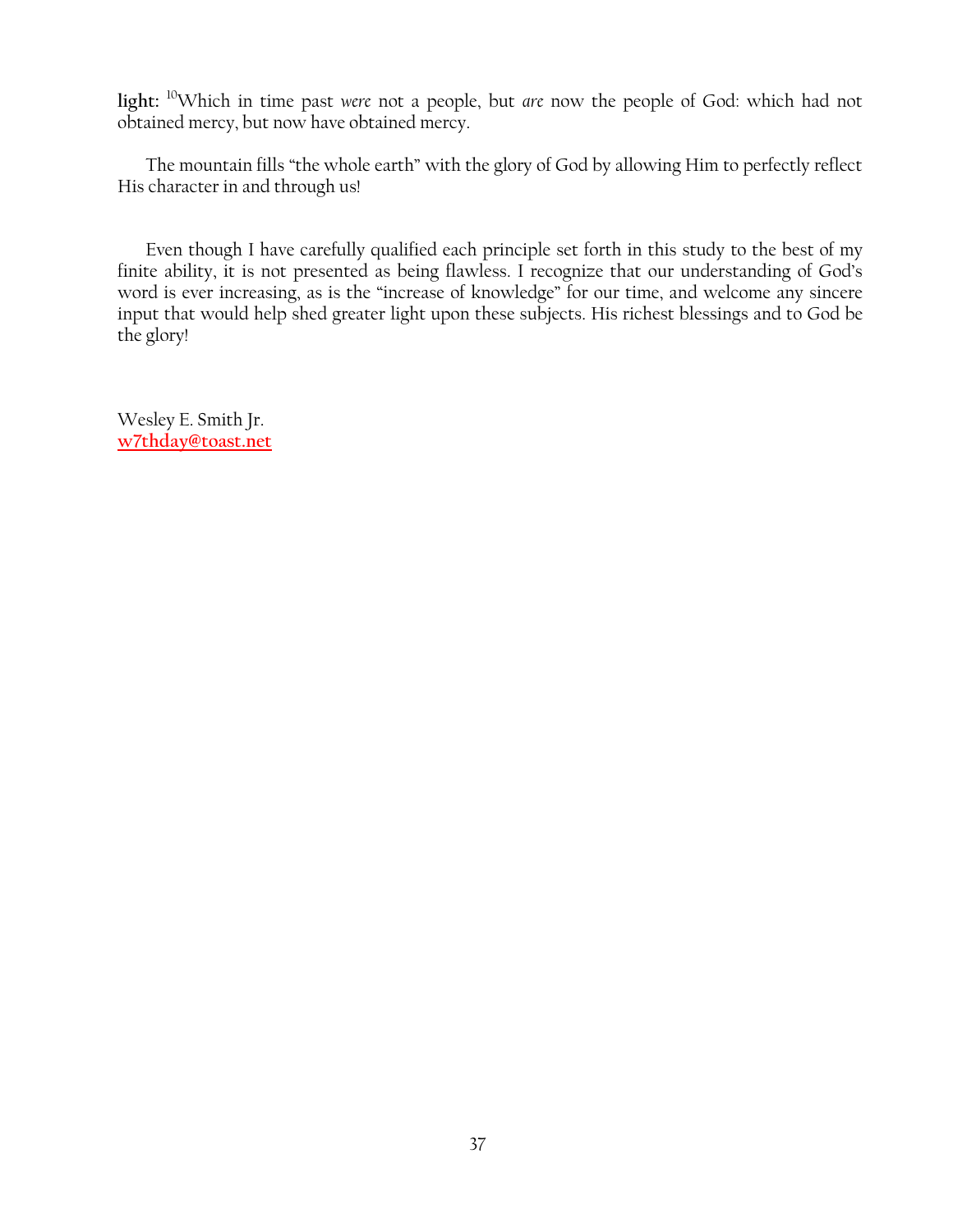**light:** <sup>10</sup>Which in time past *were* not a people, but *are* now the people of God: which had not obtained mercy, but now have obtained mercy.

The mountain fills "the whole earth" with the glory of God by allowing Him to perfectly reflect His character in and through us!

Even though I have carefully qualified each principle set forth in this study to the best of my finite ability, it is not presented as being flawless. I recognize that our understanding of God's word is ever increasing, as is the "increase of knowledge" for our time, and welcome any sincere input that would help shed greater light upon these subjects. His richest blessings and to God be the glory!

Wesley E. Smith Jr. **[w7thday@toast.net](mailto:w7thday@toast.net)**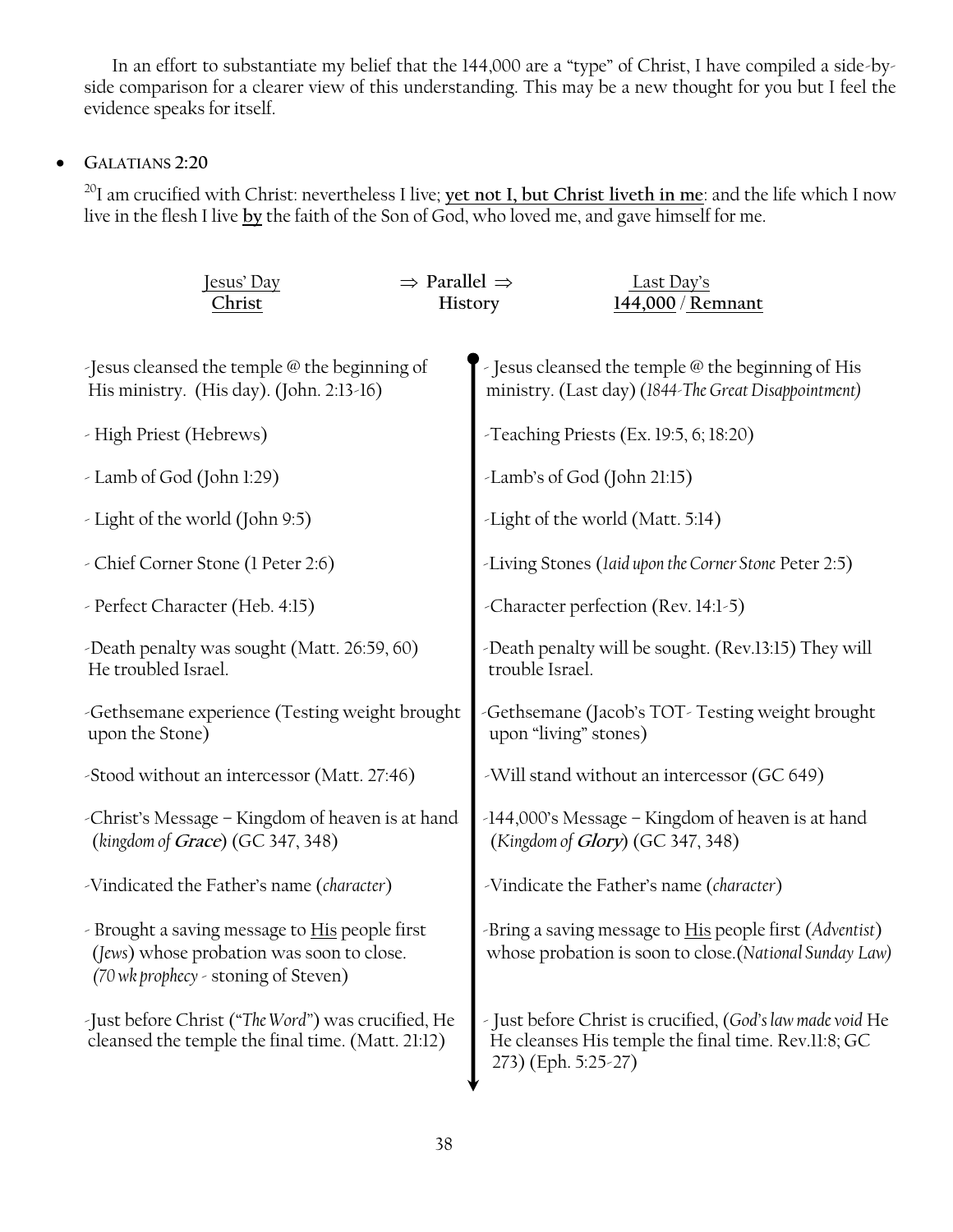In an effort to substantiate my belief that the 144,000 are a "type" of Christ, I have compiled a side-byside comparison for a clearer view of this understanding. This may be a new thought for you but I feel the evidence speaks for itself.

# **GALATIANS 2:20**

<sup>20</sup>I am crucified with Christ: nevertheless I live; **yet not I, but Christ liveth in me**: and the life which I now live in the flesh I live **by** the faith of the Son of God, who loved me, and gave himself for me.

| Jesus' Day<br>Christ                                                                                                                       | $\Rightarrow$ Parallel $\Rightarrow$<br>History | Last Day's<br>144,000 / Remnant                                                                                                          |
|--------------------------------------------------------------------------------------------------------------------------------------------|-------------------------------------------------|------------------------------------------------------------------------------------------------------------------------------------------|
| Jesus cleansed the temple @ the beginning of<br>His ministry. (His day). (John. 2:13-16)                                                   |                                                 | - Jesus cleansed the temple @ the beginning of His<br>ministry. (Last day) (1844-The Great Disappointment)                               |
| - High Priest (Hebrews)                                                                                                                    |                                                 | -Teaching Priests (Ex. 19:5, 6; 18:20)                                                                                                   |
| - Lamb of God (John 1:29)                                                                                                                  |                                                 | -Lamb's of God (John 21:15)                                                                                                              |
| - Light of the world (John 9:5)                                                                                                            |                                                 | -Light of the world (Matt. 5:14)                                                                                                         |
| - Chief Corner Stone (1 Peter 2:6)                                                                                                         |                                                 | -Living Stones (laid upon the Corner Stone Peter 2:5)                                                                                    |
| - Perfect Character (Heb. 4:15)                                                                                                            |                                                 | -Character perfection (Rev. 14:1-5)                                                                                                      |
| -Death penalty was sought (Matt. 26:59, 60)<br>He troubled Israel.                                                                         |                                                 | -Death penalty will be sought. (Rev.13:15) They will<br>trouble Israel.                                                                  |
| -Gethsemane experience (Testing weight brought<br>upon the Stone)                                                                          |                                                 | -Gethsemane (Jacob's TOT-Testing weight brought<br>upon "living" stones)                                                                 |
| -Stood without an intercessor (Matt. 27:46)                                                                                                |                                                 | -Will stand without an intercessor (GC 649)                                                                                              |
| -Christ's Message – Kingdom of heaven is at hand<br>(kingdom of Grace) (GC 347, 348)                                                       |                                                 | -144,000's Message - Kingdom of heaven is at hand<br>(Kingdom of Glory) (GC 347, 348)                                                    |
| -Vindicated the Father's name (character)                                                                                                  |                                                 | -Vindicate the Father's name (character)                                                                                                 |
| - Brought a saving message to <b>His</b> people first<br>(Jews) whose probation was soon to close.<br>(70 wk prophecy - stoning of Steven) |                                                 | -Bring a saving message to His people first (Adventist)<br>whose probation is soon to close.(National Sunday Law)                        |
| -Just before Christ ("The Word") was crucified, He<br>cleansed the temple the final time. (Matt. 21:12)                                    |                                                 | - Just before Christ is crucified, (God's law made void He<br>He cleanses His temple the final time. Rev.11:8; GC<br>273) (Eph. 5:25-27) |
|                                                                                                                                            |                                                 |                                                                                                                                          |